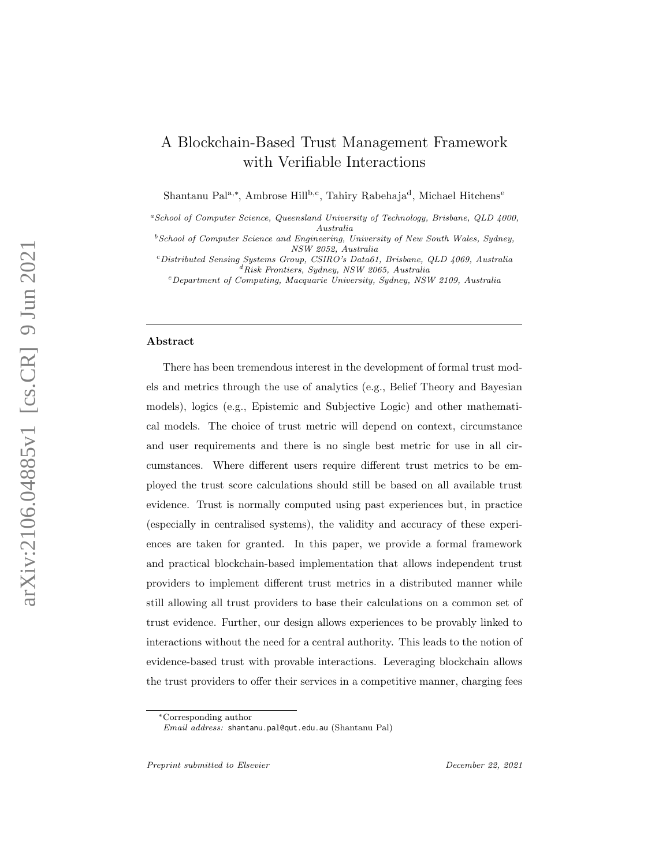# A Blockchain-Based Trust Management Framework with Verifiable Interactions

Shantanu Pal<sup>a,∗</sup>, Ambrose Hill<sup>b,c</sup>, Tahiry Rabehaja<sup>d</sup>, Michael Hitchens<sup>e</sup>

<sup>a</sup>School of Computer Science, Queensland University of Technology, Brisbane, QLD 4000, Australia

 $^{b}$  School of Computer Science and Engineering, University of New South Wales, Sydney, NSW 2052, Australia

<sup>c</sup>Distributed Sensing Systems Group, CSIRO's Data61, Brisbane, QLD 4069, Australia  $d$ Risk Frontiers, Sydney, NSW 2065, Australia

<sup>e</sup>Department of Computing, Macquarie University, Sydney, NSW 2109, Australia

#### Abstract

There has been tremendous interest in the development of formal trust models and metrics through the use of analytics (e.g., Belief Theory and Bayesian models), logics (e.g., Epistemic and Subjective Logic) and other mathematical models. The choice of trust metric will depend on context, circumstance and user requirements and there is no single best metric for use in all circumstances. Where different users require different trust metrics to be employed the trust score calculations should still be based on all available trust evidence. Trust is normally computed using past experiences but, in practice (especially in centralised systems), the validity and accuracy of these experiences are taken for granted. In this paper, we provide a formal framework and practical blockchain-based implementation that allows independent trust providers to implement different trust metrics in a distributed manner while still allowing all trust providers to base their calculations on a common set of trust evidence. Further, our design allows experiences to be provably linked to interactions without the need for a central authority. This leads to the notion of evidence-based trust with provable interactions. Leveraging blockchain allows the trust providers to offer their services in a competitive manner, charging fees

Preprint submitted to Elsevier Communication of the December 22, 2021

<sup>∗</sup>Corresponding author

Email address: shantanu.pal@qut.edu.au (Shantanu Pal)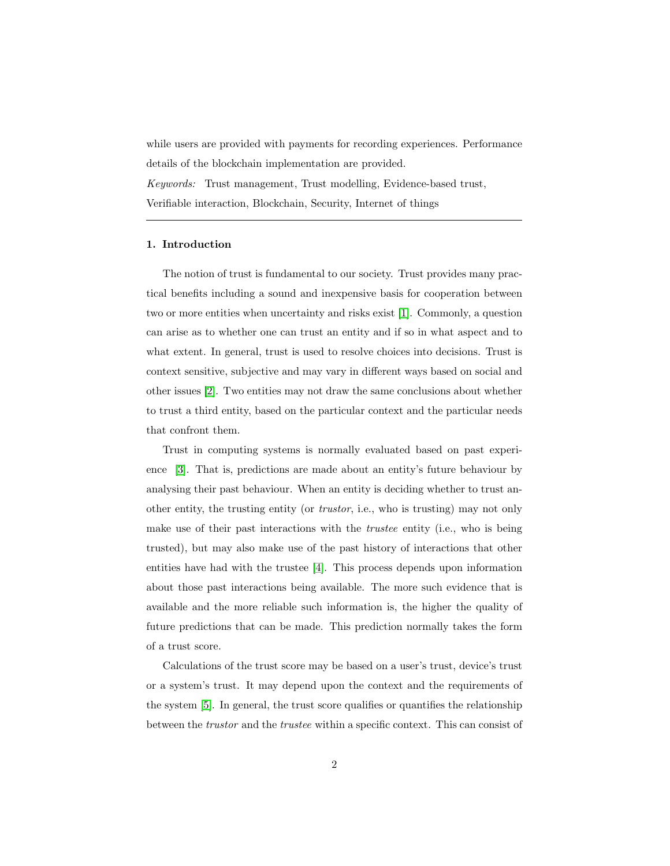while users are provided with payments for recording experiences. Performance details of the blockchain implementation are provided. Keywords: Trust management, Trust modelling, Evidence-based trust, Verifiable interaction, Blockchain, Security, Internet of things

#### 1. Introduction

The notion of trust is fundamental to our society. Trust provides many practical benefits including a sound and inexpensive basis for cooperation between two or more entities when uncertainty and risks exist [\[1\]](#page-50-0). Commonly, a question can arise as to whether one can trust an entity and if so in what aspect and to what extent. In general, trust is used to resolve choices into decisions. Trust is context sensitive, subjective and may vary in different ways based on social and other issues [\[2\]](#page-50-1). Two entities may not draw the same conclusions about whether to trust a third entity, based on the particular context and the particular needs that confront them.

Trust in computing systems is normally evaluated based on past experience [\[3\]](#page-50-2). That is, predictions are made about an entity's future behaviour by analysing their past behaviour. When an entity is deciding whether to trust another entity, the trusting entity (or trustor, i.e., who is trusting) may not only make use of their past interactions with the trustee entity (i.e., who is being trusted), but may also make use of the past history of interactions that other entities have had with the trustee [\[4\]](#page-50-3). This process depends upon information about those past interactions being available. The more such evidence that is available and the more reliable such information is, the higher the quality of future predictions that can be made. This prediction normally takes the form of a trust score.

Calculations of the trust score may be based on a user's trust, device's trust or a system's trust. It may depend upon the context and the requirements of the system [\[5\]](#page-50-4). In general, the trust score qualifies or quantifies the relationship between the trustor and the trustee within a specific context. This can consist of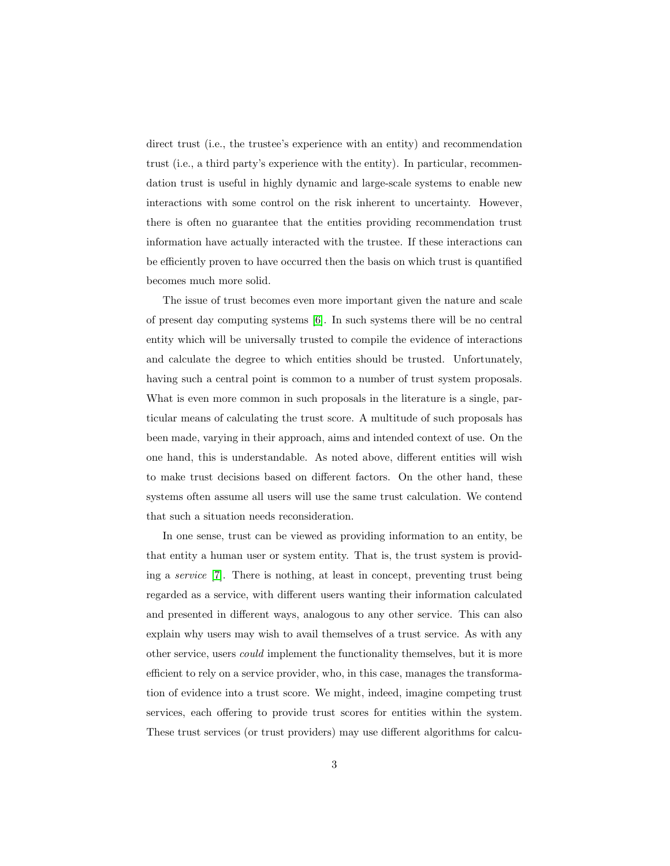direct trust (i.e., the trustee's experience with an entity) and recommendation trust (i.e., a third party's experience with the entity). In particular, recommendation trust is useful in highly dynamic and large-scale systems to enable new interactions with some control on the risk inherent to uncertainty. However, there is often no guarantee that the entities providing recommendation trust information have actually interacted with the trustee. If these interactions can be efficiently proven to have occurred then the basis on which trust is quantified becomes much more solid.

The issue of trust becomes even more important given the nature and scale of present day computing systems [\[6\]](#page-50-5). In such systems there will be no central entity which will be universally trusted to compile the evidence of interactions and calculate the degree to which entities should be trusted. Unfortunately, having such a central point is common to a number of trust system proposals. What is even more common in such proposals in the literature is a single, particular means of calculating the trust score. A multitude of such proposals has been made, varying in their approach, aims and intended context of use. On the one hand, this is understandable. As noted above, different entities will wish to make trust decisions based on different factors. On the other hand, these systems often assume all users will use the same trust calculation. We contend that such a situation needs reconsideration.

In one sense, trust can be viewed as providing information to an entity, be that entity a human user or system entity. That is, the trust system is providing a service [\[7\]](#page-50-6). There is nothing, at least in concept, preventing trust being regarded as a service, with different users wanting their information calculated and presented in different ways, analogous to any other service. This can also explain why users may wish to avail themselves of a trust service. As with any other service, users could implement the functionality themselves, but it is more efficient to rely on a service provider, who, in this case, manages the transformation of evidence into a trust score. We might, indeed, imagine competing trust services, each offering to provide trust scores for entities within the system. These trust services (or trust providers) may use different algorithms for calcu-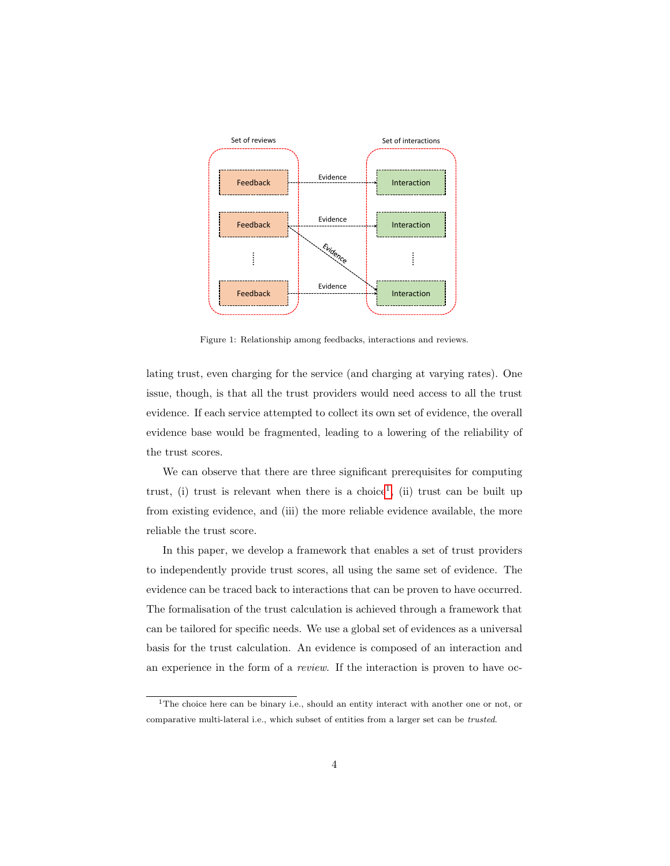

<span id="page-3-1"></span>Figure 1: Relationship among feedbacks, interactions and reviews.

lating trust, even charging for the service (and charging at varying rates). One issue, though, is that all the trust providers would need access to all the trust evidence. If each service attempted to collect its own set of evidence, the overall evidence base would be fragmented, leading to a lowering of the reliability of the trust scores.

We can observe that there are three significant prerequisites for computing trust, (i) trust is relevant when there is a choice<sup>[1](#page-3-0)</sup>, (ii) trust can be built up from existing evidence, and (iii) the more reliable evidence available, the more reliable the trust score.

In this paper, we develop a framework that enables a set of trust providers to independently provide trust scores, all using the same set of evidence. The evidence can be traced back to interactions that can be proven to have occurred. The formalisation of the trust calculation is achieved through a framework that can be tailored for specific needs. We use a global set of evidences as a universal basis for the trust calculation. An evidence is composed of an interaction and an experience in the form of a review. If the interaction is proven to have oc-

<span id="page-3-0"></span><sup>&</sup>lt;sup>1</sup>The choice here can be binary i.e., should an entity interact with another one or not, or comparative multi-lateral i.e., which subset of entities from a larger set can be trusted.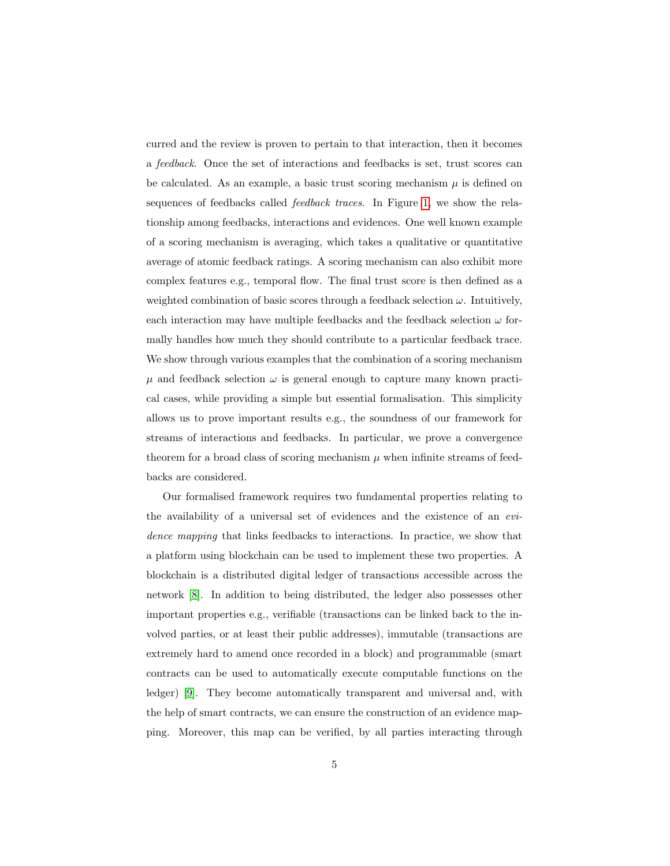curred and the review is proven to pertain to that interaction, then it becomes a feedback. Once the set of interactions and feedbacks is set, trust scores can be calculated. As an example, a basic trust scoring mechanism  $\mu$  is defined on sequences of feedbacks called *feedback traces*. In Figure [1,](#page-3-1) we show the relationship among feedbacks, interactions and evidences. One well known example of a scoring mechanism is averaging, which takes a qualitative or quantitative average of atomic feedback ratings. A scoring mechanism can also exhibit more complex features e.g., temporal flow. The final trust score is then defined as a weighted combination of basic scores through a feedback selection  $\omega$ . Intuitively, each interaction may have multiple feedbacks and the feedback selection  $\omega$  formally handles how much they should contribute to a particular feedback trace. We show through various examples that the combination of a scoring mechanism  $\mu$  and feedback selection  $\omega$  is general enough to capture many known practical cases, while providing a simple but essential formalisation. This simplicity allows us to prove important results e.g., the soundness of our framework for streams of interactions and feedbacks. In particular, we prove a convergence theorem for a broad class of scoring mechanism  $\mu$  when infinite streams of feedbacks are considered.

Our formalised framework requires two fundamental properties relating to the availability of a universal set of evidences and the existence of an evidence mapping that links feedbacks to interactions. In practice, we show that a platform using blockchain can be used to implement these two properties. A blockchain is a distributed digital ledger of transactions accessible across the network [\[8\]](#page-51-0). In addition to being distributed, the ledger also possesses other important properties e.g., verifiable (transactions can be linked back to the involved parties, or at least their public addresses), immutable (transactions are extremely hard to amend once recorded in a block) and programmable (smart contracts can be used to automatically execute computable functions on the ledger) [\[9\]](#page-51-1). They become automatically transparent and universal and, with the help of smart contracts, we can ensure the construction of an evidence mapping. Moreover, this map can be verified, by all parties interacting through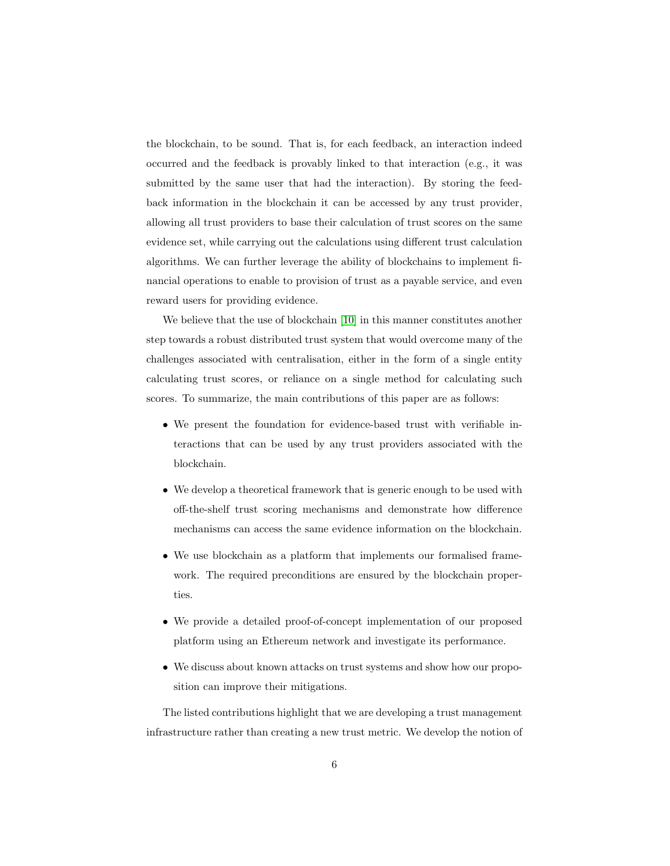the blockchain, to be sound. That is, for each feedback, an interaction indeed occurred and the feedback is provably linked to that interaction (e.g., it was submitted by the same user that had the interaction). By storing the feedback information in the blockchain it can be accessed by any trust provider, allowing all trust providers to base their calculation of trust scores on the same evidence set, while carrying out the calculations using different trust calculation algorithms. We can further leverage the ability of blockchains to implement financial operations to enable to provision of trust as a payable service, and even reward users for providing evidence.

We believe that the use of blockchain [\[10\]](#page-51-2) in this manner constitutes another step towards a robust distributed trust system that would overcome many of the challenges associated with centralisation, either in the form of a single entity calculating trust scores, or reliance on a single method for calculating such scores. To summarize, the main contributions of this paper are as follows:

- We present the foundation for evidence-based trust with verifiable interactions that can be used by any trust providers associated with the blockchain.
- We develop a theoretical framework that is generic enough to be used with off-the-shelf trust scoring mechanisms and demonstrate how difference mechanisms can access the same evidence information on the blockchain.
- We use blockchain as a platform that implements our formalised framework. The required preconditions are ensured by the blockchain properties.
- We provide a detailed proof-of-concept implementation of our proposed platform using an Ethereum network and investigate its performance.
- We discuss about known attacks on trust systems and show how our proposition can improve their mitigations.

The listed contributions highlight that we are developing a trust management infrastructure rather than creating a new trust metric. We develop the notion of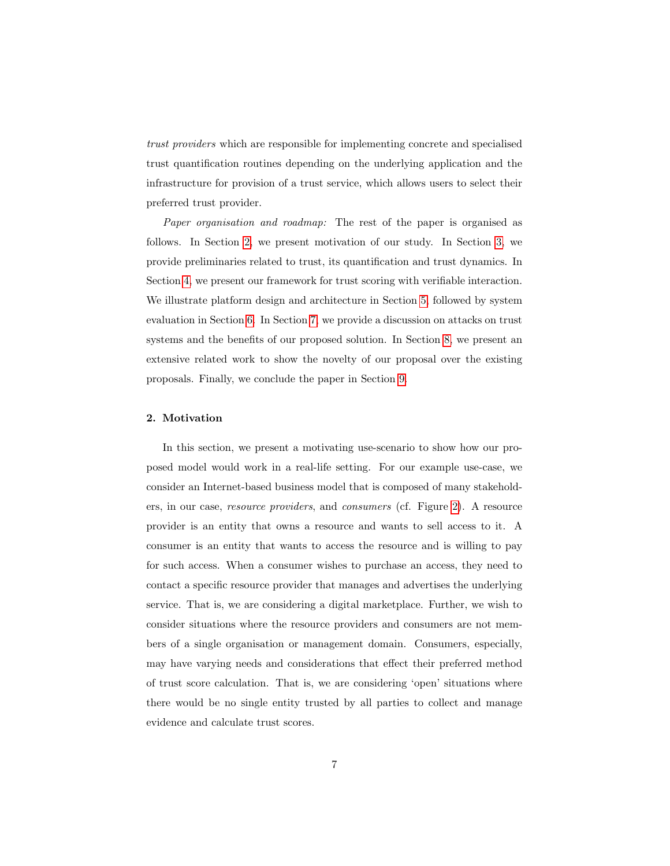trust providers which are responsible for implementing concrete and specialised trust quantification routines depending on the underlying application and the infrastructure for provision of a trust service, which allows users to select their preferred trust provider.

Paper organisation and roadmap: The rest of the paper is organised as follows. In Section [2,](#page-6-0) we present motivation of our study. In Section [3,](#page-10-0) we provide preliminaries related to trust, its quantification and trust dynamics. In Section [4,](#page-12-0) we present our framework for trust scoring with verifiable interaction. We illustrate platform design and architecture in Section [5,](#page-25-0) followed by system evaluation in Section [6.](#page-31-0) In Section [7,](#page-37-0) we provide a discussion on attacks on trust systems and the benefits of our proposed solution. In Section [8,](#page-42-0) we present an extensive related work to show the novelty of our proposal over the existing proposals. Finally, we conclude the paper in Section [9.](#page-49-0)

# <span id="page-6-0"></span>2. Motivation

In this section, we present a motivating use-scenario to show how our proposed model would work in a real-life setting. For our example use-case, we consider an Internet-based business model that is composed of many stakeholders, in our case, resource providers, and consumers (cf. Figure [2\)](#page-7-0). A resource provider is an entity that owns a resource and wants to sell access to it. A consumer is an entity that wants to access the resource and is willing to pay for such access. When a consumer wishes to purchase an access, they need to contact a specific resource provider that manages and advertises the underlying service. That is, we are considering a digital marketplace. Further, we wish to consider situations where the resource providers and consumers are not members of a single organisation or management domain. Consumers, especially, may have varying needs and considerations that effect their preferred method of trust score calculation. That is, we are considering 'open' situations where there would be no single entity trusted by all parties to collect and manage evidence and calculate trust scores.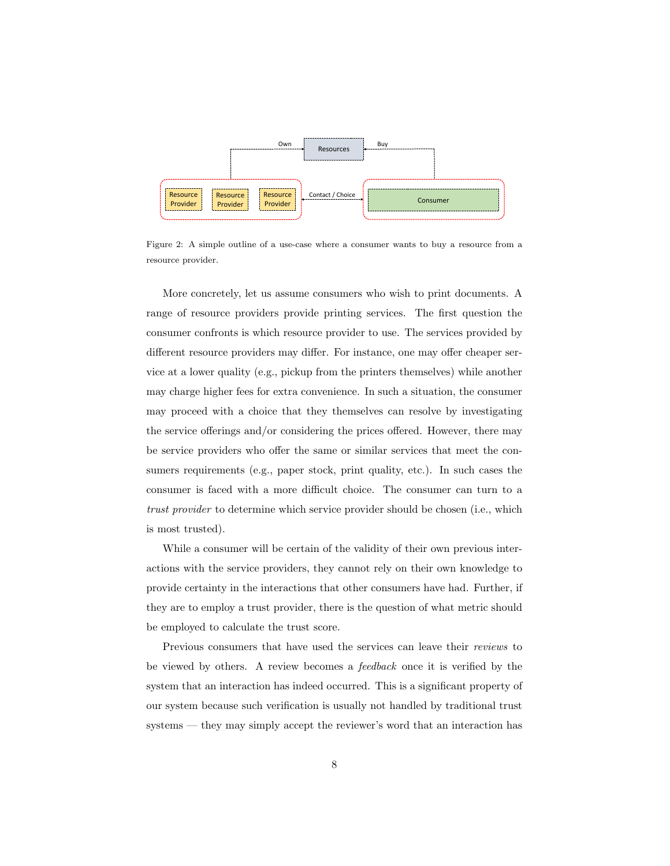

<span id="page-7-0"></span>Figure 2: A simple outline of a use-case where a consumer wants to buy a resource from a resource provider.

More concretely, let us assume consumers who wish to print documents. A range of resource providers provide printing services. The first question the consumer confronts is which resource provider to use. The services provided by different resource providers may differ. For instance, one may offer cheaper service at a lower quality (e.g., pickup from the printers themselves) while another may charge higher fees for extra convenience. In such a situation, the consumer may proceed with a choice that they themselves can resolve by investigating the service offerings and/or considering the prices offered. However, there may be service providers who offer the same or similar services that meet the consumers requirements (e.g., paper stock, print quality, etc.). In such cases the consumer is faced with a more difficult choice. The consumer can turn to a trust provider to determine which service provider should be chosen (i.e., which is most trusted).

While a consumer will be certain of the validity of their own previous interactions with the service providers, they cannot rely on their own knowledge to provide certainty in the interactions that other consumers have had. Further, if they are to employ a trust provider, there is the question of what metric should be employed to calculate the trust score.

Previous consumers that have used the services can leave their reviews to be viewed by others. A review becomes a feedback once it is verified by the system that an interaction has indeed occurred. This is a significant property of our system because such verification is usually not handled by traditional trust systems — they may simply accept the reviewer's word that an interaction has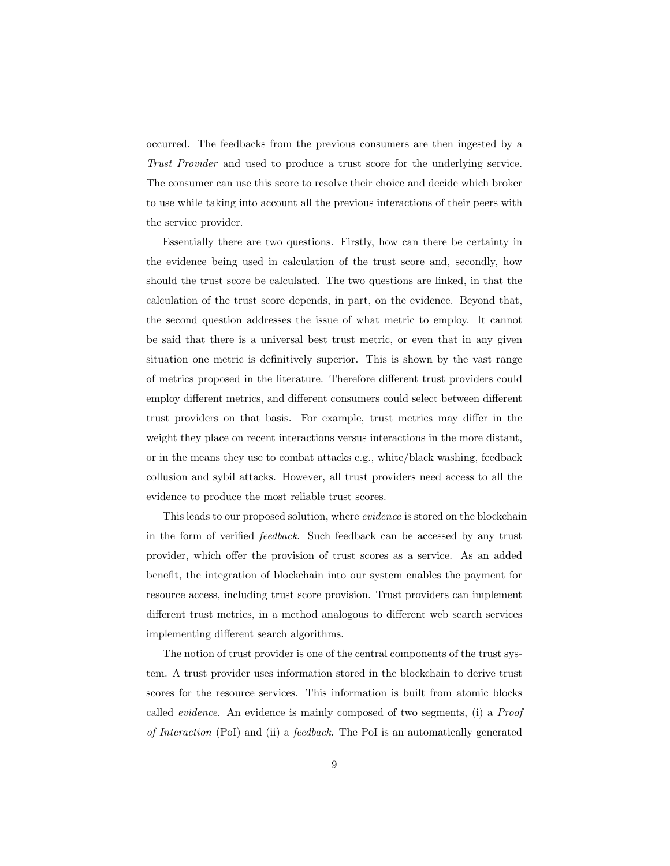occurred. The feedbacks from the previous consumers are then ingested by a Trust Provider and used to produce a trust score for the underlying service. The consumer can use this score to resolve their choice and decide which broker to use while taking into account all the previous interactions of their peers with the service provider.

Essentially there are two questions. Firstly, how can there be certainty in the evidence being used in calculation of the trust score and, secondly, how should the trust score be calculated. The two questions are linked, in that the calculation of the trust score depends, in part, on the evidence. Beyond that, the second question addresses the issue of what metric to employ. It cannot be said that there is a universal best trust metric, or even that in any given situation one metric is definitively superior. This is shown by the vast range of metrics proposed in the literature. Therefore different trust providers could employ different metrics, and different consumers could select between different trust providers on that basis. For example, trust metrics may differ in the weight they place on recent interactions versus interactions in the more distant, or in the means they use to combat attacks e.g., white/black washing, feedback collusion and sybil attacks. However, all trust providers need access to all the evidence to produce the most reliable trust scores.

This leads to our proposed solution, where *evidence* is stored on the blockchain in the form of verified feedback. Such feedback can be accessed by any trust provider, which offer the provision of trust scores as a service. As an added benefit, the integration of blockchain into our system enables the payment for resource access, including trust score provision. Trust providers can implement different trust metrics, in a method analogous to different web search services implementing different search algorithms.

The notion of trust provider is one of the central components of the trust system. A trust provider uses information stored in the blockchain to derive trust scores for the resource services. This information is built from atomic blocks called evidence. An evidence is mainly composed of two segments, (i) a Proof of Interaction (PoI) and (ii) a feedback. The PoI is an automatically generated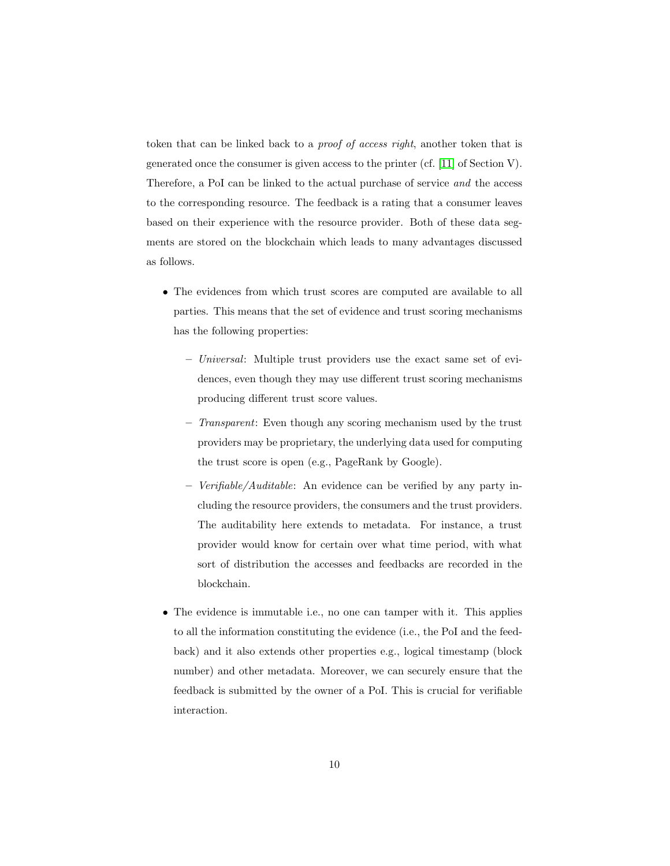token that can be linked back to a proof of access right, another token that is generated once the consumer is given access to the printer (cf. [\[11\]](#page-51-3) of Section V). Therefore, a PoI can be linked to the actual purchase of service and the access to the corresponding resource. The feedback is a rating that a consumer leaves based on their experience with the resource provider. Both of these data segments are stored on the blockchain which leads to many advantages discussed as follows.

- The evidences from which trust scores are computed are available to all parties. This means that the set of evidence and trust scoring mechanisms has the following properties:
	- Universal: Multiple trust providers use the exact same set of evidences, even though they may use different trust scoring mechanisms producing different trust score values.
	- Transparent: Even though any scoring mechanism used by the trust providers may be proprietary, the underlying data used for computing the trust score is open (e.g., PageRank by Google).
	- Verifiable/Auditable: An evidence can be verified by any party including the resource providers, the consumers and the trust providers. The auditability here extends to metadata. For instance, a trust provider would know for certain over what time period, with what sort of distribution the accesses and feedbacks are recorded in the blockchain.
- The evidence is immutable i.e., no one can tamper with it. This applies to all the information constituting the evidence (i.e., the PoI and the feedback) and it also extends other properties e.g., logical timestamp (block number) and other metadata. Moreover, we can securely ensure that the feedback is submitted by the owner of a PoI. This is crucial for verifiable interaction.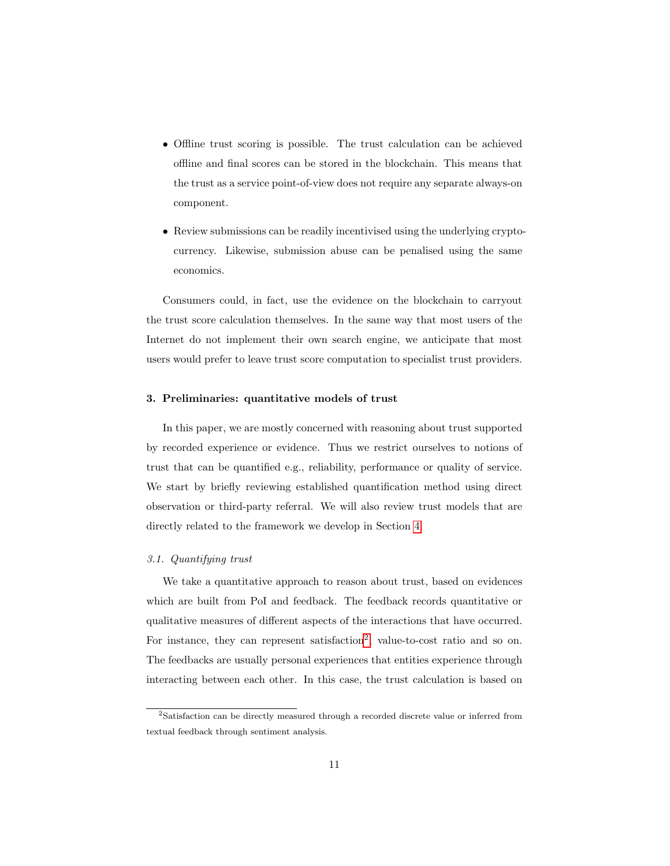- Offline trust scoring is possible. The trust calculation can be achieved offline and final scores can be stored in the blockchain. This means that the trust as a service point-of-view does not require any separate always-on component.
- Review submissions can be readily incentivised using the underlying cryptocurrency. Likewise, submission abuse can be penalised using the same economics.

Consumers could, in fact, use the evidence on the blockchain to carryout the trust score calculation themselves. In the same way that most users of the Internet do not implement their own search engine, we anticipate that most users would prefer to leave trust score computation to specialist trust providers.

#### <span id="page-10-0"></span>3. Preliminaries: quantitative models of trust

In this paper, we are mostly concerned with reasoning about trust supported by recorded experience or evidence. Thus we restrict ourselves to notions of trust that can be quantified e.g., reliability, performance or quality of service. We start by briefly reviewing established quantification method using direct observation or third-party referral. We will also review trust models that are directly related to the framework we develop in Section [4.](#page-12-0)

# 3.1. Quantifying trust

We take a quantitative approach to reason about trust, based on evidences which are built from PoI and feedback. The feedback records quantitative or qualitative measures of different aspects of the interactions that have occurred. For instance, they can represent satisfaction<sup>[2](#page-10-1)</sup>, value-to-cost ratio and so on. The feedbacks are usually personal experiences that entities experience through interacting between each other. In this case, the trust calculation is based on

<span id="page-10-1"></span><sup>2</sup>Satisfaction can be directly measured through a recorded discrete value or inferred from textual feedback through sentiment analysis.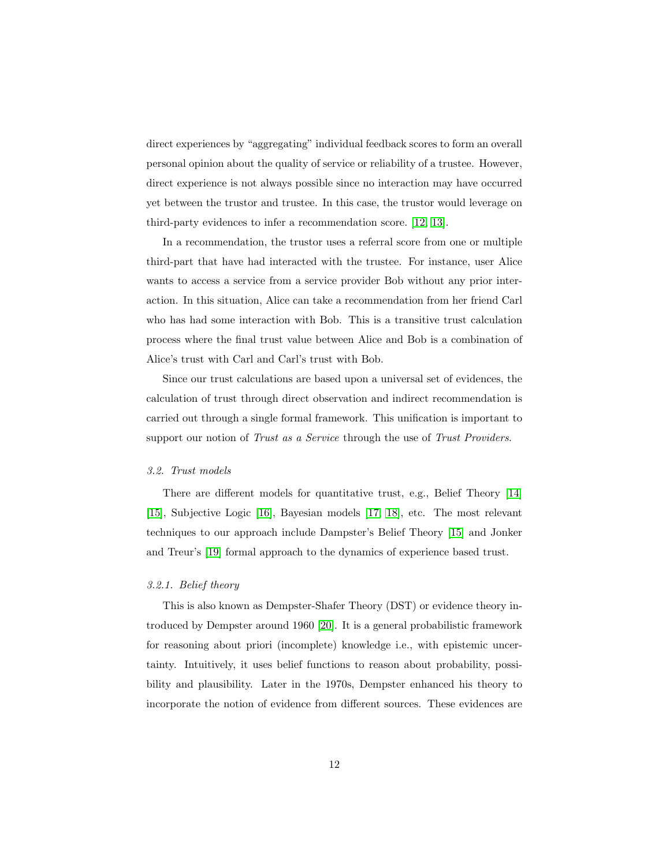direct experiences by "aggregating" individual feedback scores to form an overall personal opinion about the quality of service or reliability of a trustee. However, direct experience is not always possible since no interaction may have occurred yet between the trustor and trustee. In this case, the trustor would leverage on third-party evidences to infer a recommendation score. [\[12,](#page-51-4) [13\]](#page-51-5).

In a recommendation, the trustor uses a referral score from one or multiple third-part that have had interacted with the trustee. For instance, user Alice wants to access a service from a service provider Bob without any prior interaction. In this situation, Alice can take a recommendation from her friend Carl who has had some interaction with Bob. This is a transitive trust calculation process where the final trust value between Alice and Bob is a combination of Alice's trust with Carl and Carl's trust with Bob.

Since our trust calculations are based upon a universal set of evidences, the calculation of trust through direct observation and indirect recommendation is carried out through a single formal framework. This unification is important to support our notion of Trust as a Service through the use of Trust Providers.

#### 3.2. Trust models

There are different models for quantitative trust, e.g., Belief Theory [\[14\]](#page-51-6) [\[15\]](#page-52-0), Subjective Logic [\[16\]](#page-52-1), Bayesian models [\[17,](#page-52-2) [18\]](#page-52-3), etc. The most relevant techniques to our approach include Dampster's Belief Theory [\[15\]](#page-52-0) and Jonker and Treur's [\[19\]](#page-52-4) formal approach to the dynamics of experience based trust.

#### 3.2.1. Belief theory

This is also known as Dempster-Shafer Theory (DST) or evidence theory introduced by Dempster around 1960 [\[20\]](#page-52-5). It is a general probabilistic framework for reasoning about priori (incomplete) knowledge i.e., with epistemic uncertainty. Intuitively, it uses belief functions to reason about probability, possibility and plausibility. Later in the 1970s, Dempster enhanced his theory to incorporate the notion of evidence from different sources. These evidences are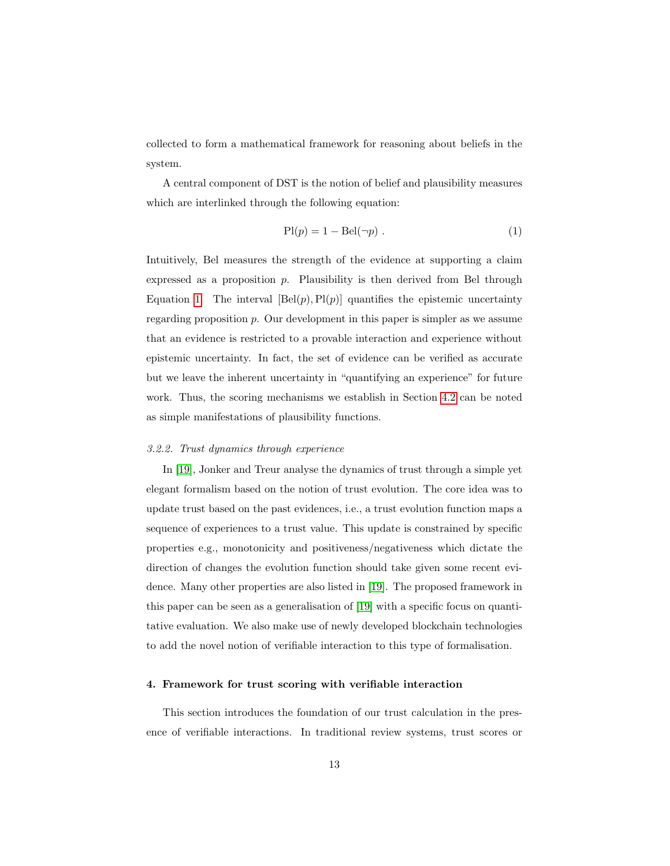collected to form a mathematical framework for reasoning about beliefs in the system.

A central component of DST is the notion of belief and plausibility measures which are interlinked through the following equation:

<span id="page-12-1"></span>
$$
Pl(p) = 1 - Bel(\neg p) . \tag{1}
$$

Intuitively, Bel measures the strength of the evidence at supporting a claim expressed as a proposition  $p$ . Plausibility is then derived from Bel through Equation [1.](#page-12-1) The interval  $[Bel(p), Pl(p)]$  quantifies the epistemic uncertainty regarding proposition p. Our development in this paper is simpler as we assume that an evidence is restricted to a provable interaction and experience without epistemic uncertainty. In fact, the set of evidence can be verified as accurate but we leave the inherent uncertainty in "quantifying an experience" for future work. Thus, the scoring mechanisms we establish in Section [4.2](#page-16-0) can be noted as simple manifestations of plausibility functions.

#### 3.2.2. Trust dynamics through experience

In [\[19\]](#page-52-4), Jonker and Treur analyse the dynamics of trust through a simple yet elegant formalism based on the notion of trust evolution. The core idea was to update trust based on the past evidences, i.e., a trust evolution function maps a sequence of experiences to a trust value. This update is constrained by specific properties e.g., monotonicity and positiveness/negativeness which dictate the direction of changes the evolution function should take given some recent evidence. Many other properties are also listed in [\[19\]](#page-52-4). The proposed framework in this paper can be seen as a generalisation of [\[19\]](#page-52-4) with a specific focus on quantitative evaluation. We also make use of newly developed blockchain technologies to add the novel notion of verifiable interaction to this type of formalisation.

# <span id="page-12-0"></span>4. Framework for trust scoring with verifiable interaction

This section introduces the foundation of our trust calculation in the presence of verifiable interactions. In traditional review systems, trust scores or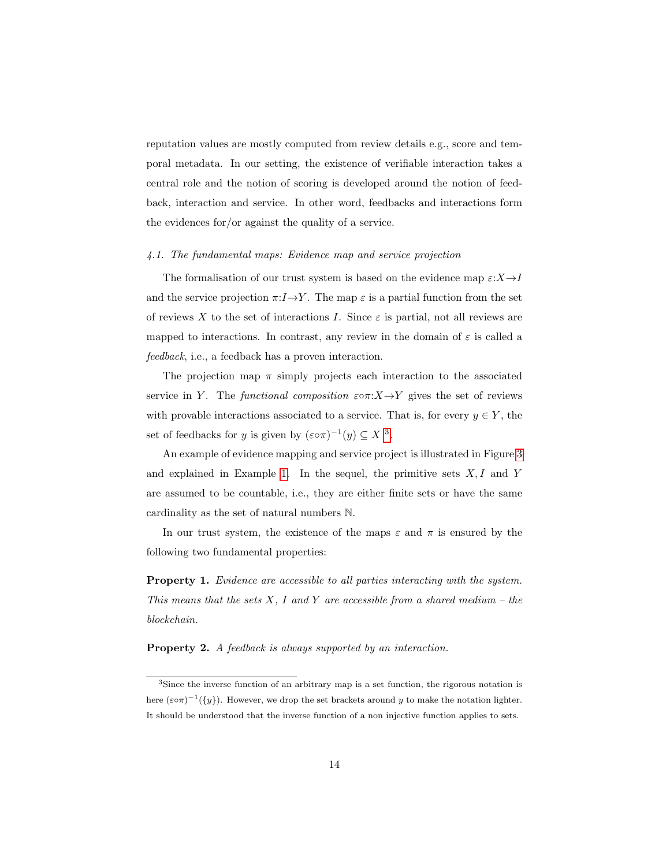reputation values are mostly computed from review details e.g., score and temporal metadata. In our setting, the existence of verifiable interaction takes a central role and the notion of scoring is developed around the notion of feedback, interaction and service. In other word, feedbacks and interactions form the evidences for/or against the quality of a service.

### 4.1. The fundamental maps: Evidence map and service projection

The formalisation of our trust system is based on the evidence map  $\varepsilon: X \to I$ and the service projection  $\pi: I \to Y$ . The map  $\varepsilon$  is a partial function from the set of reviews X to the set of interactions I. Since  $\varepsilon$  is partial, not all reviews are mapped to interactions. In contrast, any review in the domain of  $\varepsilon$  is called a feedback, i.e., a feedback has a proven interaction.

The projection map  $\pi$  simply projects each interaction to the associated service in Y. The functional composition  $\varepsilon \circ \pi : X \to Y$  gives the set of reviews with provable interactions associated to a service. That is, for every  $y \in Y$ , the set of feedbacks for y is given by  $(\varepsilon \circ \pi)^{-1}(y) \subseteq X$ <sup>[3](#page-13-0)</sup>.

An example of evidence mapping and service project is illustrated in Figure [3](#page-14-0) and explained in Example [1.](#page-14-1) In the sequel, the primitive sets  $X, I$  and Y are assumed to be countable, i.e., they are either finite sets or have the same cardinality as the set of natural numbers N.

In our trust system, the existence of the maps  $\varepsilon$  and  $\pi$  is ensured by the following two fundamental properties:

Property 1. Evidence are accessible to all parties interacting with the system. This means that the sets  $X$ , I and  $Y$  are accessible from a shared medium – the blockchain.

Property 2. A feedback is always supported by an interaction.

<span id="page-13-0"></span><sup>3</sup>Since the inverse function of an arbitrary map is a set function, the rigorous notation is here  $(\varepsilon \circ \pi)^{-1}(\{y\})$ . However, we drop the set brackets around y to make the notation lighter. It should be understood that the inverse function of a non injective function applies to sets.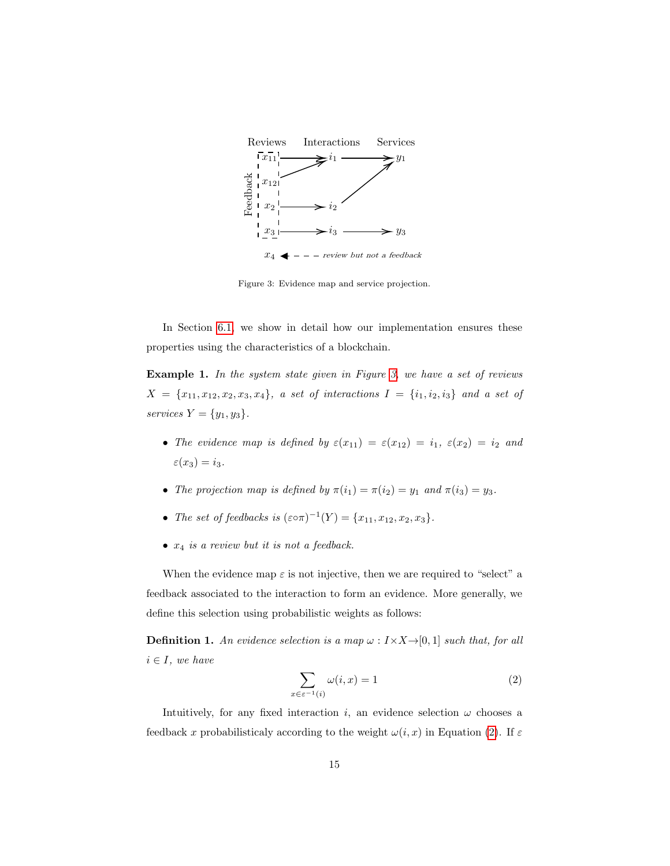

<span id="page-14-0"></span>Figure 3: Evidence map and service projection.

In Section [6.1,](#page-31-1) we show in detail how our implementation ensures these properties using the characteristics of a blockchain.

<span id="page-14-1"></span>Example 1. In the system state given in Figure [3,](#page-14-0) we have a set of reviews  $X = \{x_{11}, x_{12}, x_2, x_3, x_4\},\ a\ set\ of\ interactions\ I = \{i_1, i_2, i_3\}\ and\ a\ set\ of$ services  $Y = \{y_1, y_3\}.$ 

- The evidence map is defined by  $\varepsilon(x_{11}) = \varepsilon(x_{12}) = i_1, \varepsilon(x_2) = i_2$  and  $\varepsilon(x_3) = i_3.$
- The projection map is defined by  $\pi(i_1) = \pi(i_2) = y_1$  and  $\pi(i_3) = y_3$ .
- The set of feedbacks is  $(\varepsilon \circ \pi)^{-1}(Y) = \{x_{11}, x_{12}, x_2, x_3\}.$
- $x_4$  is a review but it is not a feedback.

When the evidence map  $\varepsilon$  is not injective, then we are required to "select" a feedback associated to the interaction to form an evidence. More generally, we define this selection using probabilistic weights as follows:

<span id="page-14-3"></span><span id="page-14-2"></span>**Definition 1.** An evidence selection is a map  $\omega : I \times X \rightarrow [0, 1]$  such that, for all  $i \in I$ , we have

$$
\sum_{x \in \varepsilon^{-1}(i)} \omega(i, x) = 1 \tag{2}
$$

Intuitively, for any fixed interaction i, an evidence selection  $\omega$  chooses a feedback x probabilisticaly according to the weight  $\omega(i, x)$  in Equation [\(2\)](#page-14-2). If  $\varepsilon$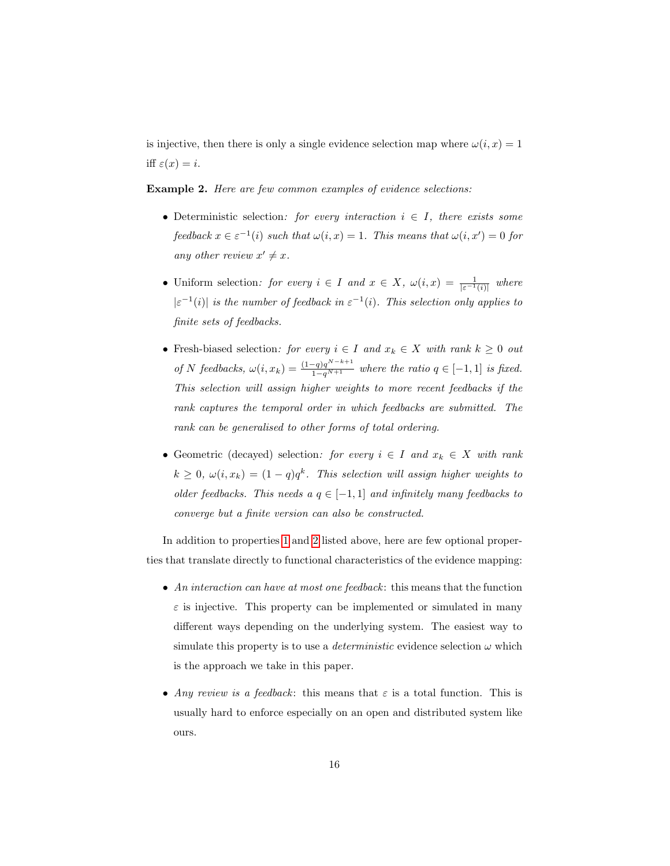is injective, then there is only a single evidence selection map where  $\omega(i, x) = 1$ iff  $\varepsilon(x) = i$ .

<span id="page-15-0"></span>Example 2. Here are few common examples of evidence selections:

- Deterministic selection: for every interaction  $i \in I$ , there exists some feedback  $x \in \varepsilon^{-1}(i)$  such that  $\omega(i, x) = 1$ . This means that  $\omega(i, x') = 0$  for any other review  $x' \neq x$ .
- Uniform selection: for every  $i \in I$  and  $x \in X$ ,  $\omega(i,x) = \frac{1}{|\varepsilon^{-1}(i)|}$  where  $|\varepsilon^{-1}(i)|$  is the number of feedback in  $\varepsilon^{-1}(i)$ . This selection only applies to finite sets of feedbacks.
- Fresh-biased selection: for every  $i \in I$  and  $x_k \in X$  with rank  $k \geq 0$  out of N feedbacks,  $\omega(i, x_k) = \frac{(1-q)q^{N-k+1}}{1-q^{N+1}}$  where the ratio  $q \in [-1, 1]$  is fixed. This selection will assign higher weights to more recent feedbacks if the rank captures the temporal order in which feedbacks are submitted. The rank can be generalised to other forms of total ordering.
- Geometric (decayed) selection: for every  $i \in I$  and  $x_k \in X$  with rank  $k \geq 0$ ,  $\omega(i, x_k) = (1 - q)q^k$ . This selection will assign higher weights to older feedbacks. This needs a  $q \in [-1, 1]$  and infinitely many feedbacks to converge but a finite version can also be constructed.

In addition to properties [1](#page-31-2) and [2](#page-31-3) listed above, here are few optional properties that translate directly to functional characteristics of the evidence mapping:

- An interaction can have at most one feedback: this means that the function  $\varepsilon$  is injective. This property can be implemented or simulated in many different ways depending on the underlying system. The easiest way to simulate this property is to use a *deterministic* evidence selection  $\omega$  which is the approach we take in this paper.
- Any review is a feedback: this means that  $\varepsilon$  is a total function. This is usually hard to enforce especially on an open and distributed system like ours.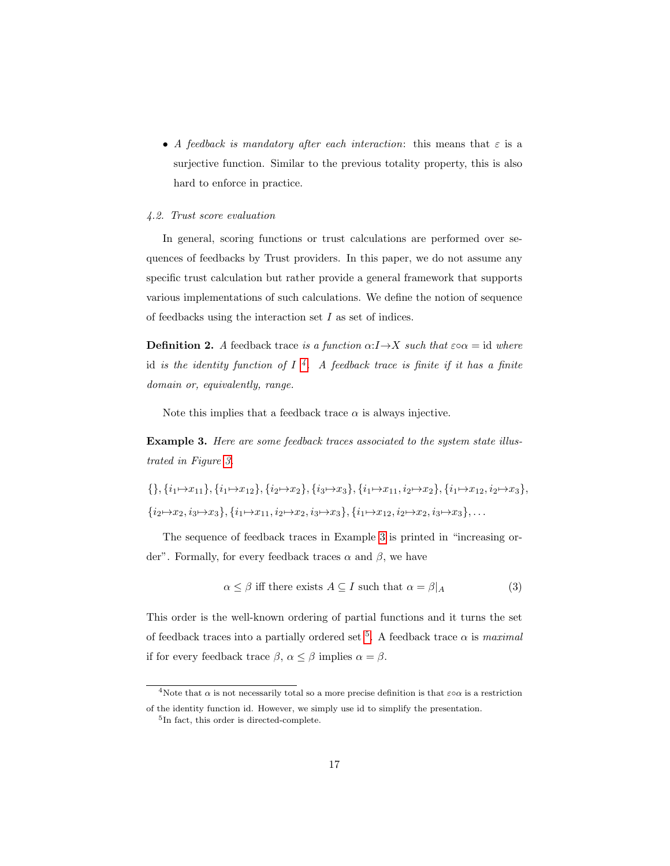• A feedback is mandatory after each interaction: this means that  $\varepsilon$  is a surjective function. Similar to the previous totality property, this is also hard to enforce in practice.

#### <span id="page-16-0"></span>4.2. Trust score evaluation

In general, scoring functions or trust calculations are performed over sequences of feedbacks by Trust providers. In this paper, we do not assume any specific trust calculation but rather provide a general framework that supports various implementations of such calculations. We define the notion of sequence of feedbacks using the interaction set I as set of indices.

**Definition 2.** A feedback trace is a function  $\alpha: I \rightarrow X$  such that  $\varepsilon \circ \alpha = id$  where id is the identity function of  $I^4$  $I^4$ . A feedback trace is finite if it has a finite domain or, equivalently, range.

Note this implies that a feedback trace  $\alpha$  is always injective.

<span id="page-16-2"></span>Example 3. Here are some feedback traces associated to the system state illustrated in Figure [3.](#page-14-0)

$$
\{\}, \{i_1 \mapsto x_{11}\}, \{i_1 \mapsto x_{12}\}, \{i_2 \mapsto x_2\}, \{i_3 \mapsto x_3\}, \{i_1 \mapsto x_{11}, i_2 \mapsto x_2\}, \{i_1 \mapsto x_{12}, i_2 \mapsto x_3\}, \{i_2 \mapsto x_2, i_3 \mapsto x_3\}, \{i_1 \mapsto x_{11}, i_2 \mapsto x_2, i_3 \mapsto x_3\}, \{i_1 \mapsto x_{12}, i_2 \mapsto x_2, i_3 \mapsto x_3\}, \dots
$$

The sequence of feedback traces in Example [3](#page-16-2) is printed in "increasing order". Formally, for every feedback traces  $\alpha$  and  $\beta$ , we have

<span id="page-16-4"></span>
$$
\alpha \le \beta \text{ iff there exists } A \subseteq I \text{ such that } \alpha = \beta | A \tag{3}
$$

This order is the well-known ordering of partial functions and it turns the set of feedback traces into a partially ordered set <sup>[5](#page-16-3)</sup>. A feedback trace  $\alpha$  is *maximal* if for every feedback trace  $\beta$ ,  $\alpha \leq \beta$  implies  $\alpha = \beta$ .

<span id="page-16-1"></span><sup>&</sup>lt;sup>4</sup>Note that  $\alpha$  is not necessarily total so a more precise definition is that  $\varepsilon \circ \alpha$  is a restriction of the identity function id. However, we simply use id to simplify the presentation.

<span id="page-16-3"></span><sup>5</sup> In fact, this order is directed-complete.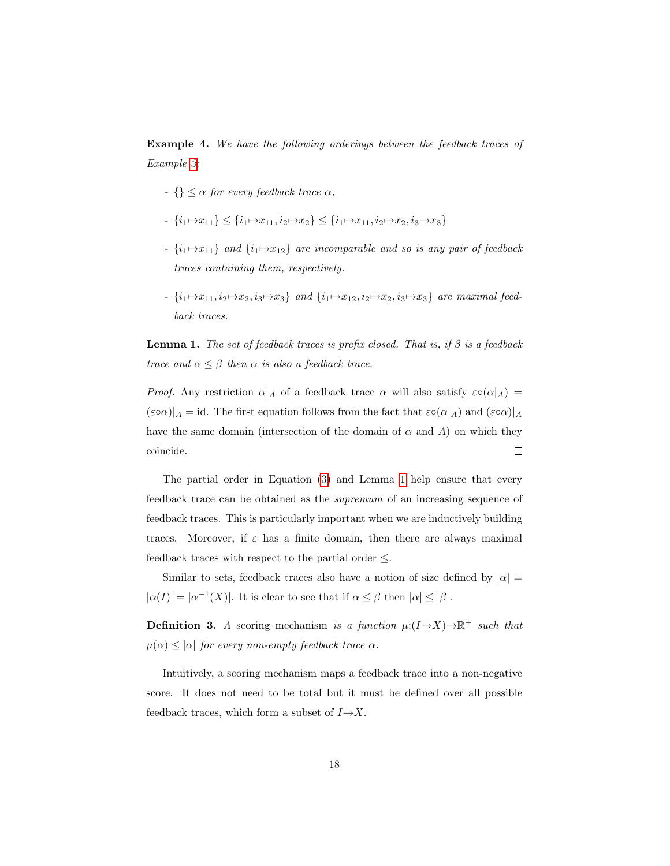Example 4. We have the following orderings between the feedback traces of Example [3:](#page-16-2)

- $\{\} \leq \alpha$  for every feedback trace  $\alpha$ ,
- $\{i_1 \mapsto x_{11}\} \leq \{i_1 \mapsto x_{11}, i_2 \mapsto x_2\} \leq \{i_1 \mapsto x_{11}, i_2 \mapsto x_2, i_3 \mapsto x_3\}$
- $\{i_1 \mapsto x_{11}\}$  and  $\{i_1 \mapsto x_{12}\}$  are incomparable and so is any pair of feedback traces containing them, respectively.
- $\{i_1 \mapsto x_{11}, i_2 \mapsto x_2, i_3 \mapsto x_3\}$  and  $\{i_1 \mapsto x_{12}, i_2 \mapsto x_2, i_3 \mapsto x_3\}$  are maximal feedback traces.

<span id="page-17-0"></span>**Lemma 1.** The set of feedback traces is prefix closed. That is, if  $\beta$  is a feedback trace and  $\alpha \leq \beta$  then  $\alpha$  is also a feedback trace.

*Proof.* Any restriction  $\alpha|_A$  of a feedback trace  $\alpha$  will also satisfy  $\varepsilon \circ (\alpha|_A) =$  $(\varepsilon \circ \alpha)|_A = id$ . The first equation follows from the fact that  $\varepsilon \circ (\alpha|_A)$  and  $(\varepsilon \circ \alpha)|_A$ have the same domain (intersection of the domain of  $\alpha$  and A) on which they coincide.  $\Box$ 

The partial order in Equation [\(3\)](#page-16-4) and Lemma [1](#page-17-0) help ensure that every feedback trace can be obtained as the supremum of an increasing sequence of feedback traces. This is particularly important when we are inductively building traces. Moreover, if  $\varepsilon$  has a finite domain, then there are always maximal feedback traces with respect to the partial order  $\leq$ .

Similar to sets, feedback traces also have a notion of size defined by  $|\alpha| =$  $|\alpha(I)| = |\alpha^{-1}(X)|$ . It is clear to see that if  $\alpha \leq \beta$  then  $|\alpha| \leq |\beta|$ .

<span id="page-17-1"></span>**Definition 3.** A scoring mechanism is a function  $\mu:(I \rightarrow X) \rightarrow \mathbb{R}^+$  such that  $\mu(\alpha) \leq |\alpha|$  for every non-empty feedback trace  $\alpha$ .

Intuitively, a scoring mechanism maps a feedback trace into a non-negative score. It does not need to be total but it must be defined over all possible feedback traces, which form a subset of  $I\rightarrow X$ .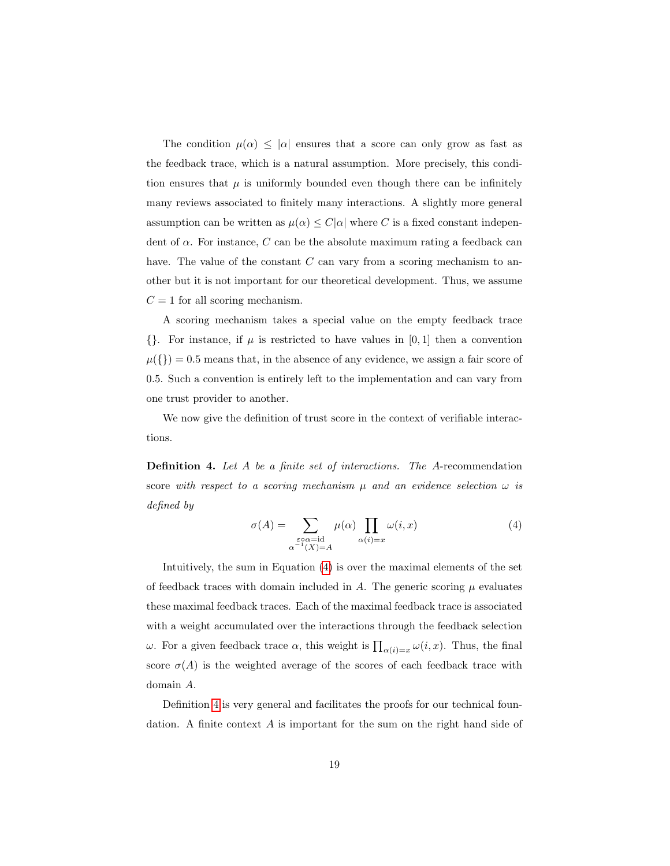The condition  $\mu(\alpha) \leq |\alpha|$  ensures that a score can only grow as fast as the feedback trace, which is a natural assumption. More precisely, this condition ensures that  $\mu$  is uniformly bounded even though there can be infinitely many reviews associated to finitely many interactions. A slightly more general assumption can be written as  $\mu(\alpha) \leq C|\alpha|$  where C is a fixed constant independent of  $\alpha$ . For instance, C can be the absolute maximum rating a feedback can have. The value of the constant C can vary from a scoring mechanism to another but it is not important for our theoretical development. Thus, we assume  $C = 1$  for all scoring mechanism.

A scoring mechanism takes a special value on the empty feedback trace  $\{\}\.$  For instance, if  $\mu$  is restricted to have values in [0, 1] then a convention  $\mu({}) = 0.5$  means that, in the absence of any evidence, we assign a fair score of 0.5. Such a convention is entirely left to the implementation and can vary from one trust provider to another.

We now give the definition of trust score in the context of verifiable interactions.

<span id="page-18-1"></span><span id="page-18-0"></span>Definition 4. Let A be a finite set of interactions. The A-recommendation score with respect to a scoring mechanism  $\mu$  and an evidence selection  $\omega$  is defined by

$$
\sigma(A) = \sum_{\substack{\varepsilon \circ \alpha = \mathrm{id} \\ \alpha^{-1}(X) = A}} \mu(\alpha) \prod_{\alpha(i) = x} \omega(i, x) \tag{4}
$$

Intuitively, the sum in Equation [\(4\)](#page-18-0) is over the maximal elements of the set of feedback traces with domain included in  $A$ . The generic scoring  $\mu$  evaluates these maximal feedback traces. Each of the maximal feedback trace is associated with a weight accumulated over the interactions through the feedback selection ω. For a given feedback trace α, this weight is  $\prod_{\alpha(i)=x} \omega(i, x)$ . Thus, the final score  $\sigma(A)$  is the weighted average of the scores of each feedback trace with domain A.

Definition [4](#page-18-1) is very general and facilitates the proofs for our technical foundation. A finite context A is important for the sum on the right hand side of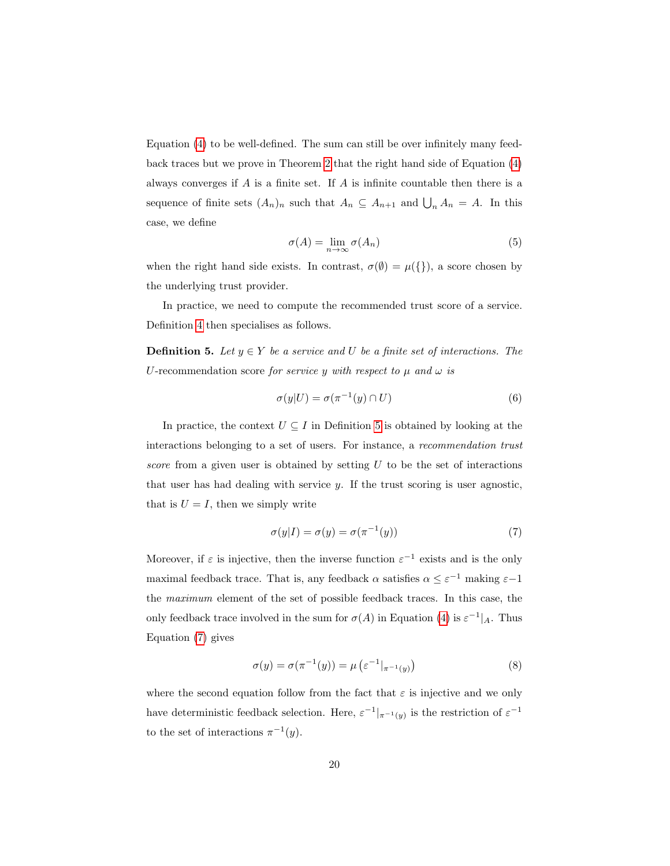Equation [\(4\)](#page-18-0) to be well-defined. The sum can still be over infinitely many feedback traces but we prove in Theorem [2](#page-23-0) that the right hand side of Equation [\(4\)](#page-18-0) always converges if  $A$  is a finite set. If  $A$  is infinite countable then there is a sequence of finite sets  $(A_n)_n$  such that  $A_n \subseteq A_{n+1}$  and  $\bigcup_n A_n = A$ . In this case, we define

$$
\sigma(A) = \lim_{n \to \infty} \sigma(A_n) \tag{5}
$$

when the right hand side exists. In contrast,  $\sigma(\emptyset) = \mu({\{\})}$ , a score chosen by the underlying trust provider.

In practice, we need to compute the recommended trust score of a service. Definition [4](#page-18-1) then specialises as follows.

<span id="page-19-0"></span>**Definition 5.** Let  $y \in Y$  be a service and U be a finite set of interactions. The U-recommendation score for service y with respect to  $\mu$  and  $\omega$  is

$$
\sigma(y|U) = \sigma(\pi^{-1}(y) \cap U) \tag{6}
$$

In practice, the context  $U \subseteq I$  in Definition [5](#page-19-0) is obtained by looking at the interactions belonging to a set of users. For instance, a recommendation trust score from a given user is obtained by setting  $U$  to be the set of interactions that user has had dealing with service  $y$ . If the trust scoring is user agnostic, that is  $U = I$ , then we simply write

<span id="page-19-1"></span>
$$
\sigma(y|I) = \sigma(y) = \sigma(\pi^{-1}(y))\tag{7}
$$

Moreover, if  $\varepsilon$  is injective, then the inverse function  $\varepsilon^{-1}$  exists and is the only maximal feedback trace. That is, any feedback  $\alpha$  satisfies  $\alpha \leq \varepsilon^{-1}$  making  $\varepsilon$ -1 the maximum element of the set of possible feedback traces. In this case, the only feedback trace involved in the sum for  $\sigma(A)$  in Equation [\(4\)](#page-18-0) is  $\varepsilon^{-1}|_A$ . Thus Equation [\(7\)](#page-19-1) gives

$$
\sigma(y) = \sigma(\pi^{-1}(y)) = \mu(\varepsilon^{-1}|_{\pi^{-1}(y)})
$$
\n(8)

where the second equation follow from the fact that  $\varepsilon$  is injective and we only have deterministic feedback selection. Here,  $\varepsilon^{-1}|_{\pi^{-1}(y)}$  is the restriction of  $\varepsilon^{-1}$ to the set of interactions  $\pi^{-1}(y)$ .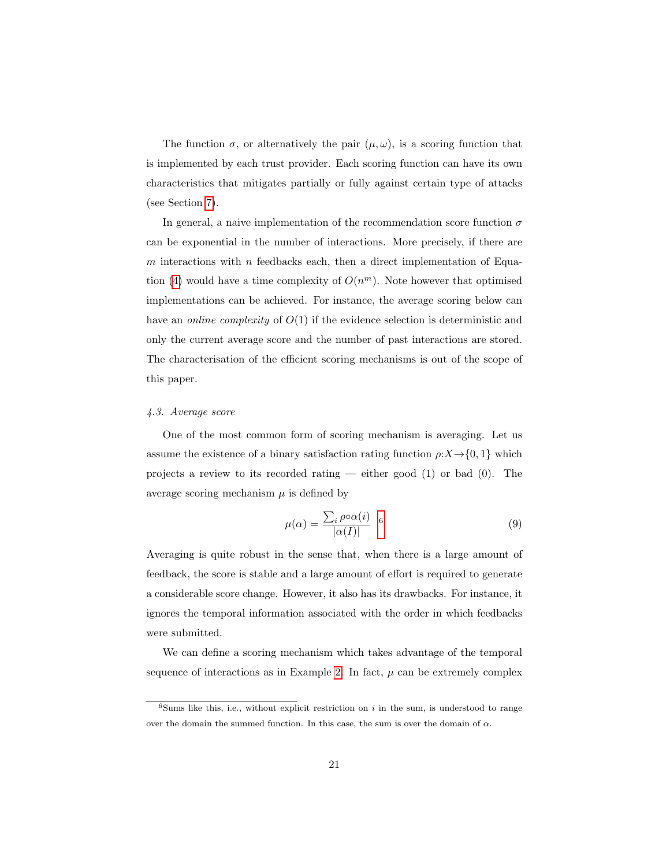The function  $\sigma$ , or alternatively the pair  $(\mu, \omega)$ , is a scoring function that is implemented by each trust provider. Each scoring function can have its own characteristics that mitigates partially or fully against certain type of attacks (see Section [7\)](#page-37-0).

In general, a naive implementation of the recommendation score function  $\sigma$ can be exponential in the number of interactions. More precisely, if there are  $m$  interactions with  $n$  feedbacks each, then a direct implementation of Equa-tion [\(4\)](#page-18-0) would have a time complexity of  $O(n^m)$ . Note however that optimised implementations can be achieved. For instance, the average scoring below can have an *online complexity* of  $O(1)$  if the evidence selection is deterministic and only the current average score and the number of past interactions are stored. The characterisation of the efficient scoring mechanisms is out of the scope of this paper.

#### 4.3. Average score

One of the most common form of scoring mechanism is averaging. Let us assume the existence of a binary satisfaction rating function  $\rho: X \rightarrow \{0, 1\}$  which projects a review to its recorded rating — either good  $(1)$  or bad  $(0)$ . The average scoring mechanism  $\mu$  is defined by

$$
\mu(\alpha) = \frac{\sum_{i} \rho \circ \alpha(i)}{|\alpha(I)|} \quad 6 \tag{9}
$$

Averaging is quite robust in the sense that, when there is a large amount of feedback, the score is stable and a large amount of effort is required to generate a considerable score change. However, it also has its drawbacks. For instance, it ignores the temporal information associated with the order in which feedbacks were submitted.

We can define a scoring mechanism which takes advantage of the temporal sequence of interactions as in Example [2.](#page-15-0) In fact,  $\mu$  can be extremely complex

<span id="page-20-0"></span><sup>&</sup>lt;sup>6</sup>Sums like this, i.e., without explicit restriction on i in the sum, is understood to range over the domain the summed function. In this case, the sum is over the domain of  $\alpha$ .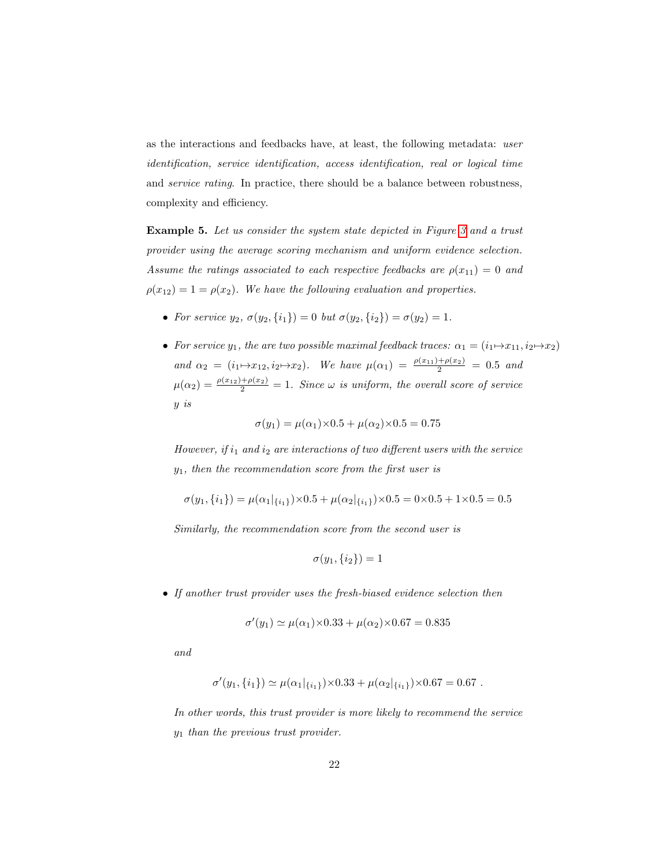as the interactions and feedbacks have, at least, the following metadata: user identification, service identification, access identification, real or logical time and service rating. In practice, there should be a balance between robustness, complexity and efficiency.

Example 5. Let us consider the system state depicted in Figure [3](#page-14-0) and a trust provider using the average scoring mechanism and uniform evidence selection. Assume the ratings associated to each respective feedbacks are  $\rho(x_{11}) = 0$  and  $\rho(x_{12}) = 1 = \rho(x_2)$ . We have the following evaluation and properties.

- For service  $y_2$ ,  $\sigma(y_2, \{i_1\}) = 0$  but  $\sigma(y_2, \{i_2\}) = \sigma(y_2) = 1$ .
- For service  $y_1$ , the are two possible maximal feedback traces:  $\alpha_1 = (i_1 \mapsto x_{11}, i_2 \mapsto x_2)$ and  $\alpha_2 = (i_1 \mapsto x_{12}, i_2 \mapsto x_2)$ . We have  $\mu(\alpha_1) = \frac{\rho(x_{11}) + \rho(x_2)}{2} = 0.5$  and  $\mu(\alpha_2) = \frac{\rho(x_{12}) + \rho(x_2)}{2} = 1$ . Since  $\omega$  is uniform, the overall score of service y is

$$
\sigma(y_1) = \mu(\alpha_1) \times 0.5 + \mu(\alpha_2) \times 0.5 = 0.75
$$

However, if  $i_1$  and  $i_2$  are interactions of two different users with the service  $y_1$ , then the recommendation score from the first user is

$$
\sigma(y_1, \{i_1\}) = \mu(\alpha_1|_{\{i_1\}}) \times 0.5 + \mu(\alpha_2|_{\{i_1\}}) \times 0.5 = 0 \times 0.5 + 1 \times 0.5 = 0.5
$$

Similarly, the recommendation score from the second user is

$$
\sigma(y_1,\{i_2\})=1
$$

• If another trust provider uses the fresh-biased evidence selection then

$$
\sigma'(y_1) \simeq \mu(\alpha_1) \times 0.33 + \mu(\alpha_2) \times 0.67 = 0.835
$$

and

$$
\sigma'(y_1, \{i_1\}) \simeq \mu(\alpha_1|_{\{i_1\}}) \times 0.33 + \mu(\alpha_2|_{\{i_1\}}) \times 0.67 = 0.67.
$$

In other words, this trust provider is more likely to recommend the service  $y_1$  than the previous trust provider.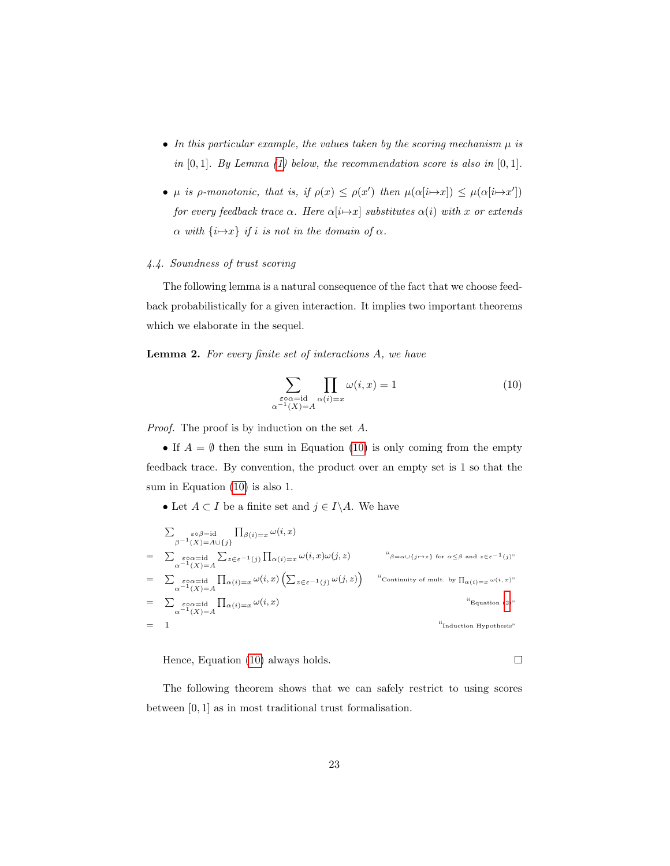- In this particular example, the values taken by the scoring mechanism  $\mu$  is in  $[0, 1]$ . By Lemma [\(1\)](#page-23-1) below, the recommendation score is also in  $[0, 1]$ .
- $\mu$  is  $\rho$ -monotonic, that is, if  $\rho(x) \leq \rho(x')$  then  $\mu(\alpha[i \mapsto x]) \leq \mu(\alpha[i \mapsto x'])$ for every feedback trace  $\alpha$ . Here  $\alpha[i\rightarrow x]$  substitutes  $\alpha(i)$  with x or extends  $\alpha$  with  $\{i \mapsto x\}$  if i is not in the domain of  $\alpha$ .

# 4.4. Soundness of trust scoring

The following lemma is a natural consequence of the fact that we choose feedback probabilistically for a given interaction. It implies two important theorems which we elaborate in the sequel.

<span id="page-22-1"></span>Lemma 2. For every finite set of interactions A, we have

<span id="page-22-0"></span>
$$
\sum_{\substack{\varepsilon \circ \alpha = \mathrm{id} \\ \alpha^{-1}(X) = A}} \prod_{\alpha(i) = x} \omega(i, x) = 1 \tag{10}
$$

Proof. The proof is by induction on the set A.

• If  $A = \emptyset$  then the sum in Equation [\(10\)](#page-22-0) is only coming from the empty feedback trace. By convention, the product over an empty set is 1 so that the sum in Equation [\(10\)](#page-22-0) is also 1.

• Let  $A \subset I$  be a finite set and  $j \in I \backslash A$ . We have

$$
\sum_{\substack{\beta^{-1}(X)=A\cup\{j\}\\ \alpha^{-1}(X)=A}}\prod_{\substack{\beta(i)=x\\ \alpha^{-1}(X)=A}}\omega(i,x)
$$
\n
$$
=\sum_{\substack{\varepsilon\circ\alpha=\mathrm{id}\\ \alpha^{-1}(X)=A}}\sum_{z\in\varepsilon^{-1}(j)}\prod_{\alpha(i)=x}\omega(i,x)\omega(j,z) \qquad \text{``}\beta=\alpha\cup\{j\mapsto z\} \text{ for } \alpha\leq\beta \text{ and } z\in\varepsilon^{-1}(j)\text{''}}
$$
\n
$$
=\sum_{\substack{\varepsilon\circ\alpha=\mathrm{id}\\ \alpha^{-1}(X)=A}}\prod_{\alpha(i)=x}\omega(i,x)\left(\sum_{z\in\varepsilon^{-1}(j)}\omega(j,z)\right) \qquad \text{``Continuity of mult. by } \prod_{\alpha(i)=x}\omega(i,x)\text{''}
$$
\n
$$
=\sum_{\substack{\varepsilon\circ\alpha=\mathrm{id}\\ \alpha^{-1}(X)=A}}\prod_{\alpha(i)=x}\omega(i,x) \qquad \text{``Equation (2)"}
$$
\n
$$
=\frac{1}{\sum_{\substack{\alpha\circ\alpha=\mathrm{id}\\ \alpha^{-1}(X)=A}}\prod_{\substack{\alpha(i)=x\\ \alpha(i)=x}}\omega(i,x)
$$

Hence, Equation [\(10\)](#page-22-0) always holds.

The following theorem shows that we can safely restrict to using scores between [0, 1] as in most traditional trust formalisation.

 $\Box$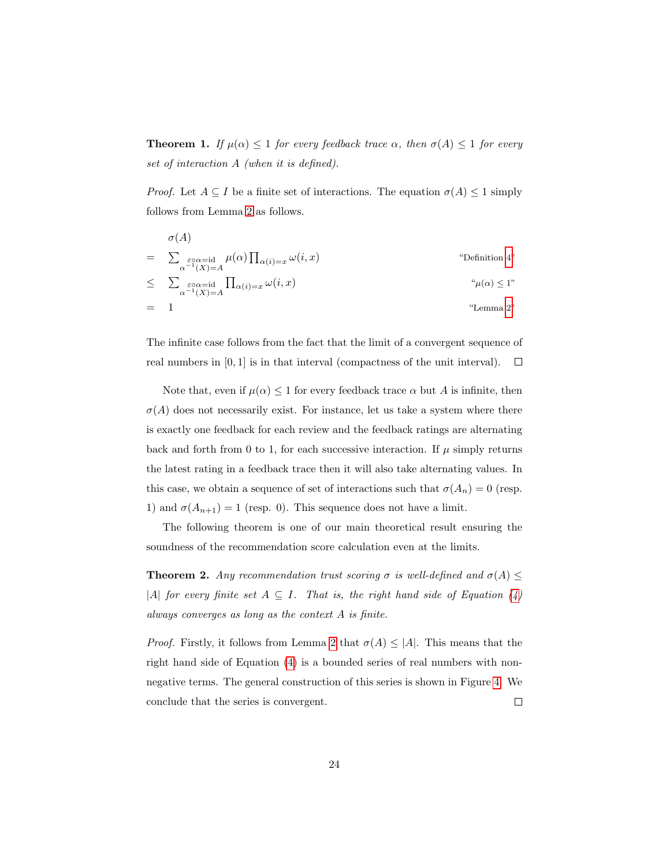<span id="page-23-1"></span>**Theorem 1.** If  $\mu(\alpha) \leq 1$  for every feedback trace  $\alpha$ , then  $\sigma(A) \leq 1$  for every set of interaction A (when it is defined).

*Proof.* Let  $A \subseteq I$  be a finite set of interactions. The equation  $\sigma(A) \leq 1$  simply follows from Lemma [2](#page-22-1) as follows.

$$
\sigma(A)
$$
\n
$$
= \sum_{\substack{\varepsilon \circ \alpha = \mathrm{id} \\ \alpha^{-1}(X) = A}} \mu(\alpha) \prod_{\alpha(i) = x} \omega(i, x)
$$
\n
$$
\leq \sum_{\substack{\varepsilon \circ \alpha = \mathrm{id} \\ \alpha^{-1}(X) = A}} \prod_{\alpha(i) = x} \omega(i, x)
$$
\n
$$
\omega(i, x)
$$
\n
$$
\omega(i, x)
$$
\n
$$
\omega(\alpha) \leq 1
$$
\n
$$
\omega(\alpha) \leq 1
$$
\n
$$
\omega(\alpha) \leq 1
$$
\n
$$
\omega(\alpha) \leq 1
$$
\n
$$
\omega(\alpha) \leq 1
$$
\n
$$
\omega(\alpha) \leq 1
$$
\n
$$
\omega(\alpha) \leq 1
$$
\n
$$
\omega(\alpha) \leq 1
$$
\n
$$
\omega(\alpha) \leq 1
$$
\n
$$
\omega(\alpha) \leq 1
$$
\n
$$
\omega(\alpha) \leq 1
$$
\n
$$
\omega(\alpha) \leq 1
$$
\n
$$
\omega(\alpha) \leq 1
$$

The infinite case follows from the fact that the limit of a convergent sequence of real numbers in [0, 1] is in that interval (compactness of the unit interval).  $\Box$ 

Note that, even if  $\mu(\alpha) \leq 1$  for every feedback trace  $\alpha$  but A is infinite, then  $\sigma(A)$  does not necessarily exist. For instance, let us take a system where there is exactly one feedback for each review and the feedback ratings are alternating back and forth from 0 to 1, for each successive interaction. If  $\mu$  simply returns the latest rating in a feedback trace then it will also take alternating values. In this case, we obtain a sequence of set of interactions such that  $\sigma(A_n) = 0$  (resp. 1) and  $\sigma(A_{n+1}) = 1$  (resp. 0). This sequence does not have a limit.

The following theorem is one of our main theoretical result ensuring the soundness of the recommendation score calculation even at the limits.

<span id="page-23-0"></span>**Theorem 2.** Any recommendation trust scoring  $\sigma$  is well-defined and  $\sigma(A) \leq$ |A| for every finite set  $A \subseteq I$ . That is, the right hand side of Equation [\(4\)](#page-18-0) always converges as long as the context A is finite.

*Proof.* Firstly, it follows from Lemma [2](#page-22-1) that  $\sigma(A) \leq |A|$ . This means that the right hand side of Equation [\(4\)](#page-18-0) is a bounded series of real numbers with nonnegative terms. The general construction of this series is shown in Figure [4.](#page-24-0) We conclude that the series is convergent.  $\Box$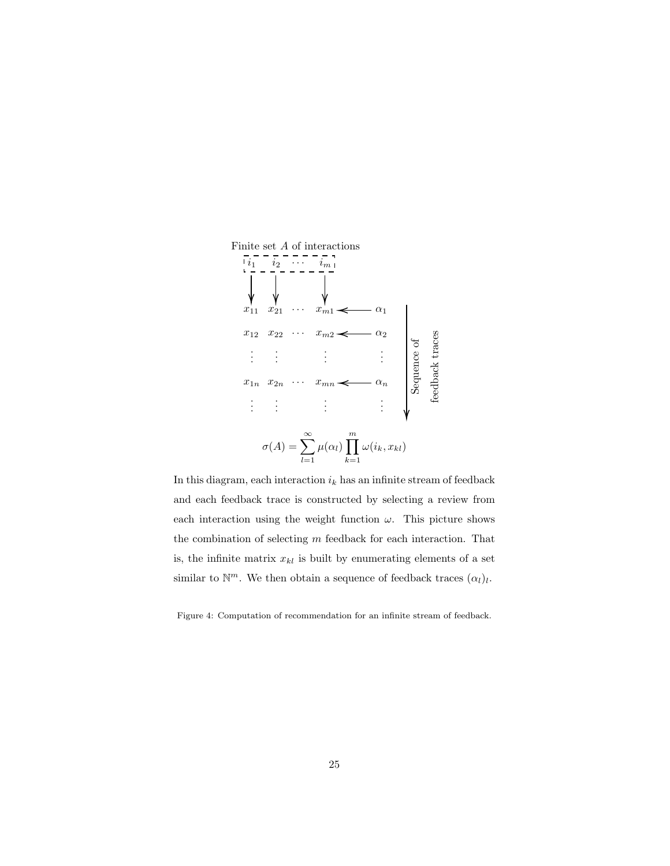

In this diagram, each interaction  $i_k$  has an infinite stream of feedback and each feedback trace is constructed by selecting a review from each interaction using the weight function  $\omega$ . This picture shows the combination of selecting  $m$  feedback for each interaction. That is, the infinite matrix  $x_{kl}$  is built by enumerating elements of a set similar to  $\mathbb{N}^m$ . We then obtain a sequence of feedback traces  $(\alpha_l)_l$ .

<span id="page-24-0"></span>Figure 4: Computation of recommendation for an infinite stream of feedback.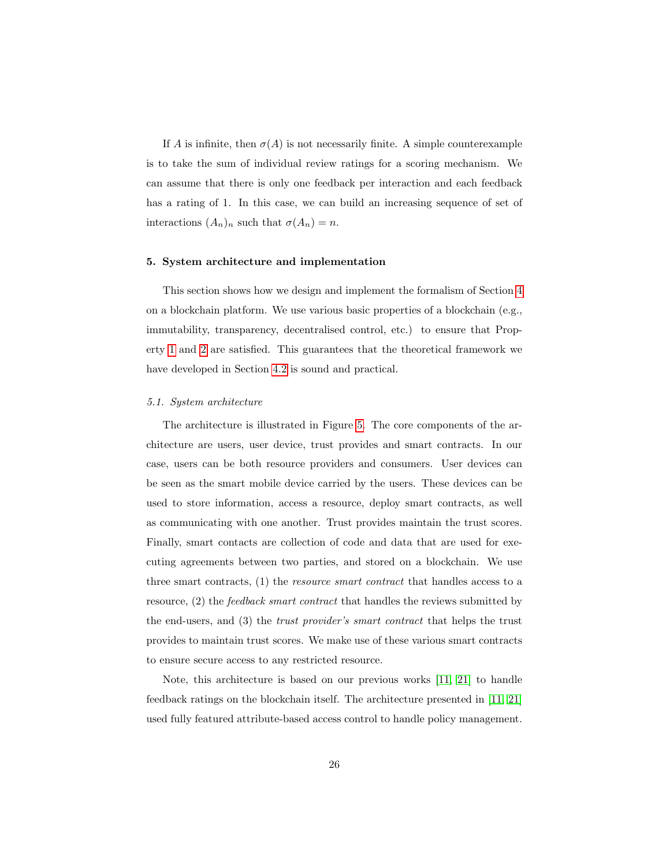If A is infinite, then  $\sigma(A)$  is not necessarily finite. A simple counterexample is to take the sum of individual review ratings for a scoring mechanism. We can assume that there is only one feedback per interaction and each feedback has a rating of 1. In this case, we can build an increasing sequence of set of interactions  $(A_n)_n$  such that  $\sigma(A_n) = n$ .

#### <span id="page-25-0"></span>5. System architecture and implementation

This section shows how we design and implement the formalism of Section [4](#page-12-0) on a blockchain platform. We use various basic properties of a blockchain (e.g., immutability, transparency, decentralised control, etc.) to ensure that Property [1](#page-31-2) and [2](#page-31-3) are satisfied. This guarantees that the theoretical framework we have developed in Section [4.2](#page-16-0) is sound and practical.

#### 5.1. System architecture

The architecture is illustrated in Figure [5.](#page-26-0) The core components of the architecture are users, user device, trust provides and smart contracts. In our case, users can be both resource providers and consumers. User devices can be seen as the smart mobile device carried by the users. These devices can be used to store information, access a resource, deploy smart contracts, as well as communicating with one another. Trust provides maintain the trust scores. Finally, smart contacts are collection of code and data that are used for executing agreements between two parties, and stored on a blockchain. We use three smart contracts, (1) the resource smart contract that handles access to a resource, (2) the feedback smart contract that handles the reviews submitted by the end-users, and (3) the trust provider's smart contract that helps the trust provides to maintain trust scores. We make use of these various smart contracts to ensure secure access to any restricted resource.

Note, this architecture is based on our previous works [\[11,](#page-51-3) [21\]](#page-52-6) to handle feedback ratings on the blockchain itself. The architecture presented in [\[11,](#page-51-3) [21\]](#page-52-6) used fully featured attribute-based access control to handle policy management.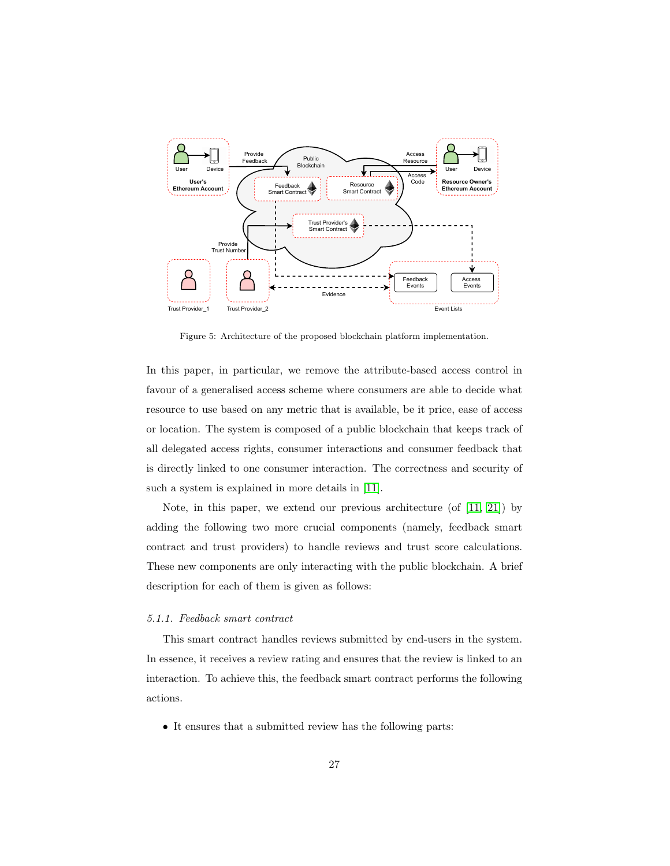

<span id="page-26-0"></span>Figure 5: Architecture of the proposed blockchain platform implementation.

In this paper, in particular, we remove the attribute-based access control in favour of a generalised access scheme where consumers are able to decide what resource to use based on any metric that is available, be it price, ease of access or location. The system is composed of a public blockchain that keeps track of all delegated access rights, consumer interactions and consumer feedback that is directly linked to one consumer interaction. The correctness and security of such a system is explained in more details in [\[11\]](#page-51-3).

Note, in this paper, we extend our previous architecture (of  $[11, 21]$  $[11, 21]$ ) by adding the following two more crucial components (namely, feedback smart contract and trust providers) to handle reviews and trust score calculations. These new components are only interacting with the public blockchain. A brief description for each of them is given as follows:

# 5.1.1. Feedback smart contract

This smart contract handles reviews submitted by end-users in the system. In essence, it receives a review rating and ensures that the review is linked to an interaction. To achieve this, the feedback smart contract performs the following actions.

• It ensures that a submitted review has the following parts: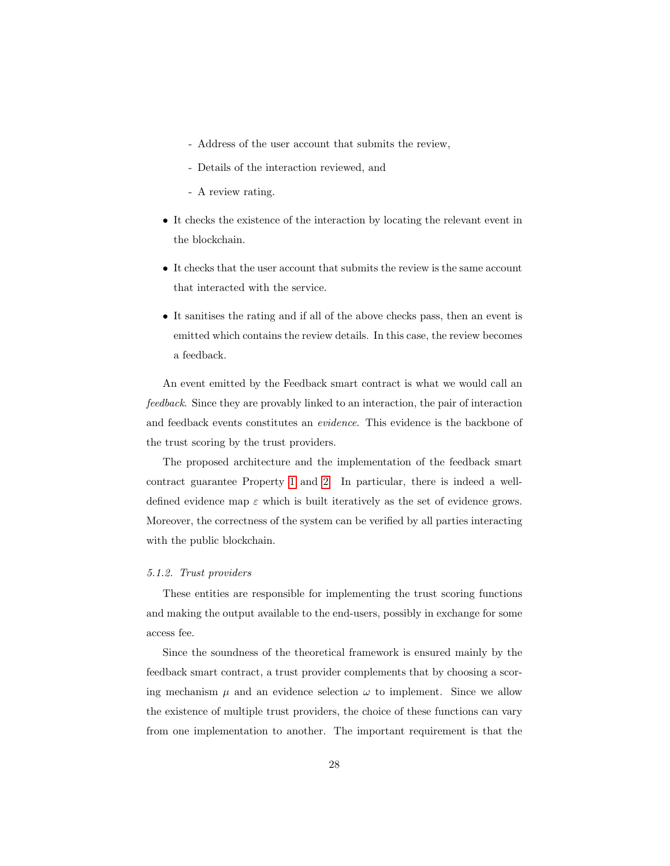- Address of the user account that submits the review,
- Details of the interaction reviewed, and
- A review rating.
- It checks the existence of the interaction by locating the relevant event in the blockchain.
- It checks that the user account that submits the review is the same account that interacted with the service.
- It sanitises the rating and if all of the above checks pass, then an event is emitted which contains the review details. In this case, the review becomes a feedback.

An event emitted by the Feedback smart contract is what we would call an feedback. Since they are provably linked to an interaction, the pair of interaction and feedback events constitutes an evidence. This evidence is the backbone of the trust scoring by the trust providers.

The proposed architecture and the implementation of the feedback smart contract guarantee Property [1](#page-31-2) and [2.](#page-31-3) In particular, there is indeed a welldefined evidence map  $\varepsilon$  which is built iteratively as the set of evidence grows. Moreover, the correctness of the system can be verified by all parties interacting with the public blockchain.

# 5.1.2. Trust providers

These entities are responsible for implementing the trust scoring functions and making the output available to the end-users, possibly in exchange for some access fee.

Since the soundness of the theoretical framework is ensured mainly by the feedback smart contract, a trust provider complements that by choosing a scoring mechanism  $\mu$  and an evidence selection  $\omega$  to implement. Since we allow the existence of multiple trust providers, the choice of these functions can vary from one implementation to another. The important requirement is that the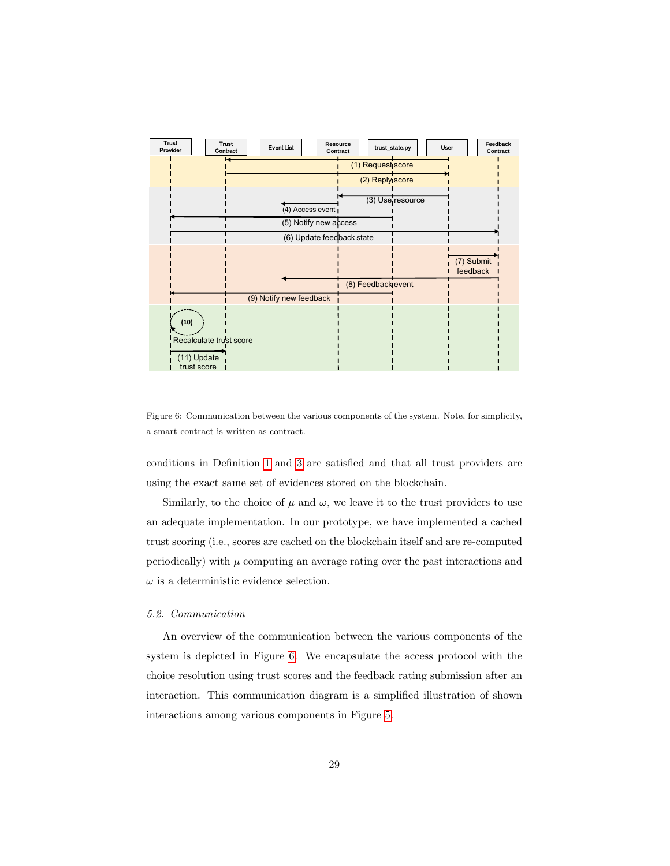

<span id="page-28-0"></span>Figure 6: Communication between the various components of the system. Note, for simplicity, a smart contract is written as contract.

conditions in Definition [1](#page-14-3) and [3](#page-17-1) are satisfied and that all trust providers are using the exact same set of evidences stored on the blockchain.

Similarly, to the choice of  $\mu$  and  $\omega$ , we leave it to the trust providers to use an adequate implementation. In our prototype, we have implemented a cached trust scoring (i.e., scores are cached on the blockchain itself and are re-computed periodically) with  $\mu$  computing an average rating over the past interactions and  $\omega$  is a deterministic evidence selection.

# 5.2. Communication

An overview of the communication between the various components of the system is depicted in Figure [6.](#page-28-0) We encapsulate the access protocol with the choice resolution using trust scores and the feedback rating submission after an interaction. This communication diagram is a simplified illustration of shown interactions among various components in Figure [5.](#page-26-0)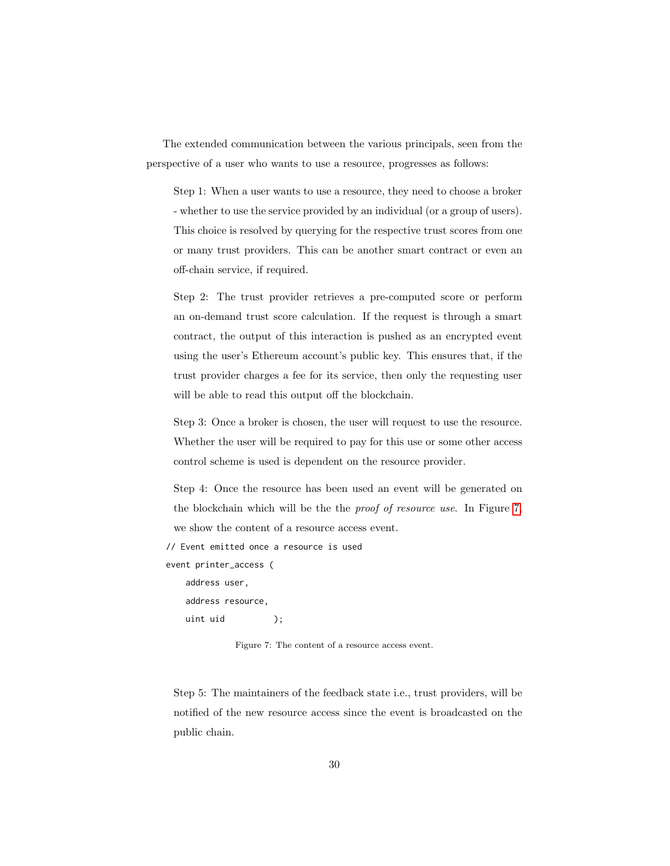The extended communication between the various principals, seen from the perspective of a user who wants to use a resource, progresses as follows:

Step 1: When a user wants to use a resource, they need to choose a broker - whether to use the service provided by an individual (or a group of users). This choice is resolved by querying for the respective trust scores from one or many trust providers. This can be another smart contract or even an off-chain service, if required.

Step 2: The trust provider retrieves a pre-computed score or perform an on-demand trust score calculation. If the request is through a smart contract, the output of this interaction is pushed as an encrypted event using the user's Ethereum account's public key. This ensures that, if the trust provider charges a fee for its service, then only the requesting user will be able to read this output off the blockchain.

Step 3: Once a broker is chosen, the user will request to use the resource. Whether the user will be required to pay for this use or some other access control scheme is used is dependent on the resource provider.

Step 4: Once the resource has been used an event will be generated on the blockchain which will be the the proof of resource use. In Figure [7,](#page-29-0) we show the content of a resource access event.

// Event emitted once a resource is used

event printer\_access (

<span id="page-29-0"></span>address user, address resource, uint uid ();

Figure 7: The content of a resource access event.

Step 5: The maintainers of the feedback state i.e., trust providers, will be notified of the new resource access since the event is broadcasted on the public chain.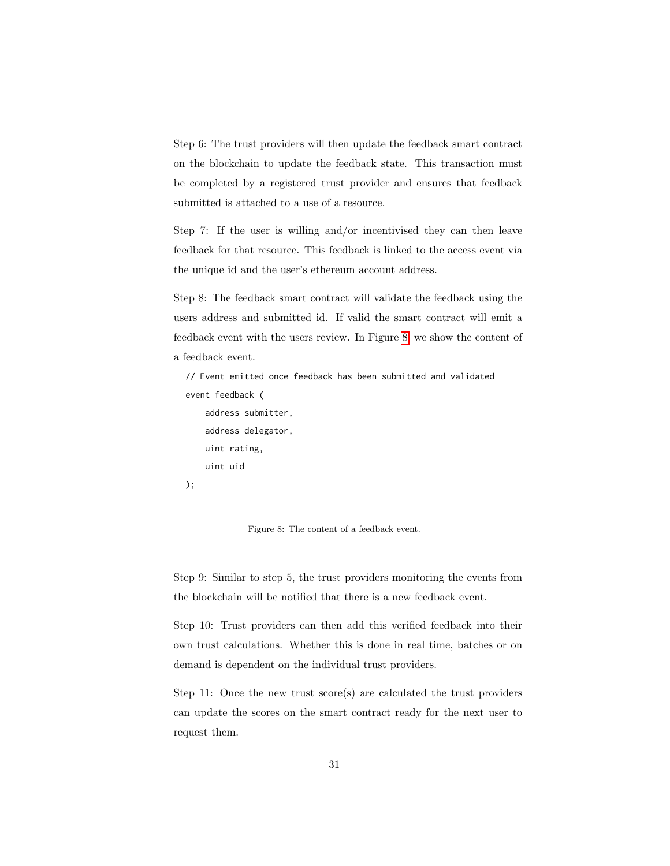Step 6: The trust providers will then update the feedback smart contract on the blockchain to update the feedback state. This transaction must be completed by a registered trust provider and ensures that feedback submitted is attached to a use of a resource.

Step 7: If the user is willing and/or incentivised they can then leave feedback for that resource. This feedback is linked to the access event via the unique id and the user's ethereum account address.

Step 8: The feedback smart contract will validate the feedback using the users address and submitted id. If valid the smart contract will emit a feedback event with the users review. In Figure [8,](#page-30-0) we show the content of a feedback event.

// Event emitted once feedback has been submitted and validated event feedback (

address submitter, address delegator, uint rating, uint uid

<span id="page-30-0"></span>);

Figure 8: The content of a feedback event.

Step 9: Similar to step 5, the trust providers monitoring the events from the blockchain will be notified that there is a new feedback event.

Step 10: Trust providers can then add this verified feedback into their own trust calculations. Whether this is done in real time, batches or on demand is dependent on the individual trust providers.

Step 11: Once the new trust score(s) are calculated the trust providers can update the scores on the smart contract ready for the next user to request them.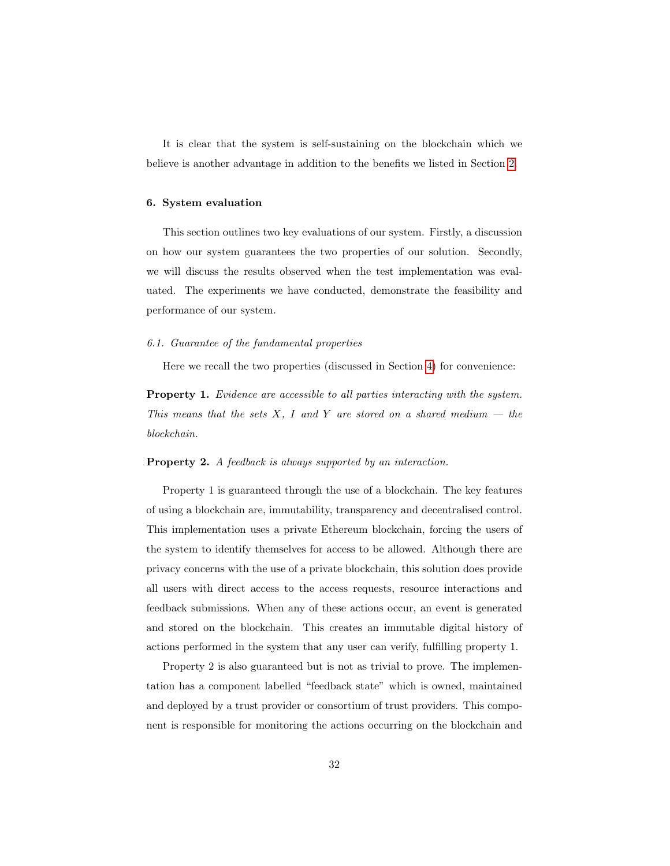It is clear that the system is self-sustaining on the blockchain which we believe is another advantage in addition to the benefits we listed in Section [2.](#page-6-0)

## <span id="page-31-0"></span>6. System evaluation

This section outlines two key evaluations of our system. Firstly, a discussion on how our system guarantees the two properties of our solution. Secondly, we will discuss the results observed when the test implementation was evaluated. The experiments we have conducted, demonstrate the feasibility and performance of our system.

### <span id="page-31-1"></span>6.1. Guarantee of the fundamental properties

Here we recall the two properties (discussed in Section [4\)](#page-12-0) for convenience:

<span id="page-31-2"></span>Property 1. Evidence are accessible to all parties interacting with the system. This means that the sets  $X$ , I and Y are stored on a shared medium  $-$  the blockchain.

# <span id="page-31-3"></span>Property 2. A feedback is always supported by an interaction.

Property 1 is guaranteed through the use of a blockchain. The key features of using a blockchain are, immutability, transparency and decentralised control. This implementation uses a private Ethereum blockchain, forcing the users of the system to identify themselves for access to be allowed. Although there are privacy concerns with the use of a private blockchain, this solution does provide all users with direct access to the access requests, resource interactions and feedback submissions. When any of these actions occur, an event is generated and stored on the blockchain. This creates an immutable digital history of actions performed in the system that any user can verify, fulfilling property 1.

Property 2 is also guaranteed but is not as trivial to prove. The implementation has a component labelled "feedback state" which is owned, maintained and deployed by a trust provider or consortium of trust providers. This component is responsible for monitoring the actions occurring on the blockchain and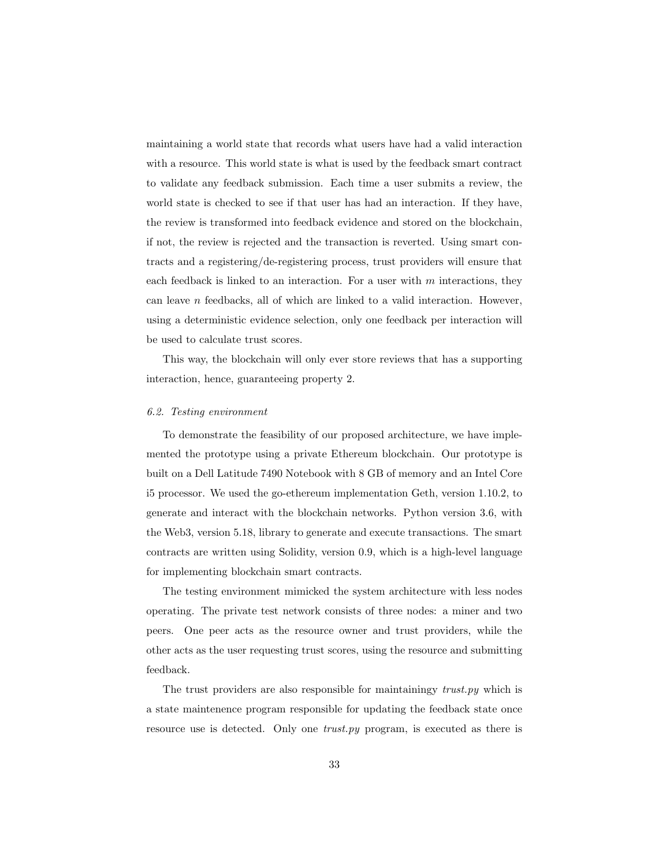maintaining a world state that records what users have had a valid interaction with a resource. This world state is what is used by the feedback smart contract to validate any feedback submission. Each time a user submits a review, the world state is checked to see if that user has had an interaction. If they have, the review is transformed into feedback evidence and stored on the blockchain, if not, the review is rejected and the transaction is reverted. Using smart contracts and a registering/de-registering process, trust providers will ensure that each feedback is linked to an interaction. For a user with  $m$  interactions, they can leave n feedbacks, all of which are linked to a valid interaction. However, using a deterministic evidence selection, only one feedback per interaction will be used to calculate trust scores.

This way, the blockchain will only ever store reviews that has a supporting interaction, hence, guaranteeing property 2.

#### 6.2. Testing environment

To demonstrate the feasibility of our proposed architecture, we have implemented the prototype using a private Ethereum blockchain. Our prototype is built on a Dell Latitude 7490 Notebook with 8 GB of memory and an Intel Core i5 processor. We used the go-ethereum implementation Geth, version 1.10.2, to generate and interact with the blockchain networks. Python version 3.6, with the Web3, version 5.18, library to generate and execute transactions. The smart contracts are written using Solidity, version 0.9, which is a high-level language for implementing blockchain smart contracts.

The testing environment mimicked the system architecture with less nodes operating. The private test network consists of three nodes: a miner and two peers. One peer acts as the resource owner and trust providers, while the other acts as the user requesting trust scores, using the resource and submitting feedback.

The trust providers are also responsible for maintainingy trust.py which is a state maintenence program responsible for updating the feedback state once resource use is detected. Only one *trust.py* program, is executed as there is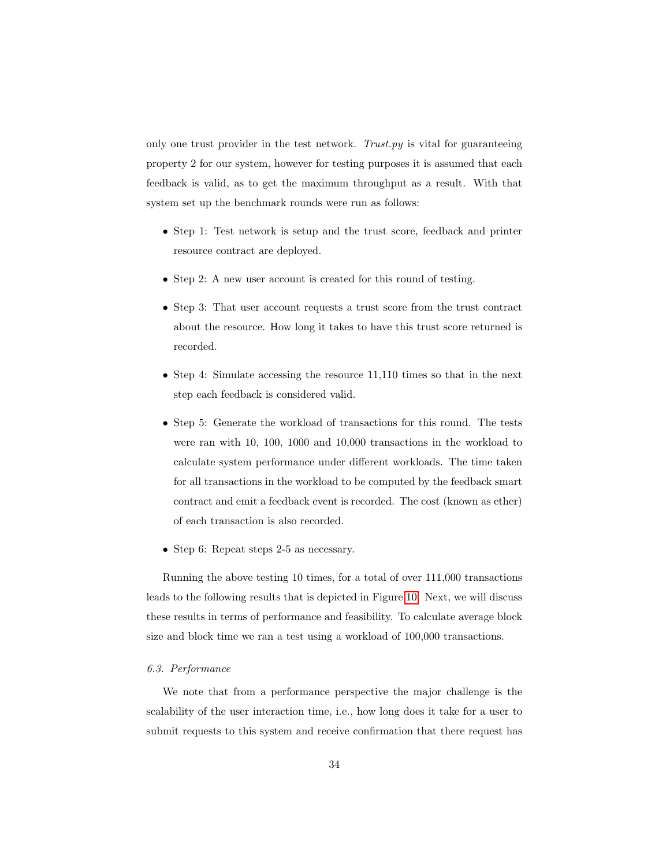only one trust provider in the test network. Trust.py is vital for guaranteeing property 2 for our system, however for testing purposes it is assumed that each feedback is valid, as to get the maximum throughput as a result. With that system set up the benchmark rounds were run as follows:

- Step 1: Test network is setup and the trust score, feedback and printer resource contract are deployed.
- Step 2: A new user account is created for this round of testing.
- Step 3: That user account requests a trust score from the trust contract about the resource. How long it takes to have this trust score returned is recorded.
- Step 4: Simulate accessing the resource 11,110 times so that in the next step each feedback is considered valid.
- Step 5: Generate the workload of transactions for this round. The tests were ran with 10, 100, 1000 and 10,000 transactions in the workload to calculate system performance under different workloads. The time taken for all transactions in the workload to be computed by the feedback smart contract and emit a feedback event is recorded. The cost (known as ether) of each transaction is also recorded.
- Step 6: Repeat steps 2-5 as necessary.

Running the above testing 10 times, for a total of over 111,000 transactions leads to the following results that is depicted in Figure [10.](#page-35-0) Next, we will discuss these results in terms of performance and feasibility. To calculate average block size and block time we ran a test using a workload of 100,000 transactions.

# 6.3. Performance

We note that from a performance perspective the major challenge is the scalability of the user interaction time, i.e., how long does it take for a user to submit requests to this system and receive confirmation that there request has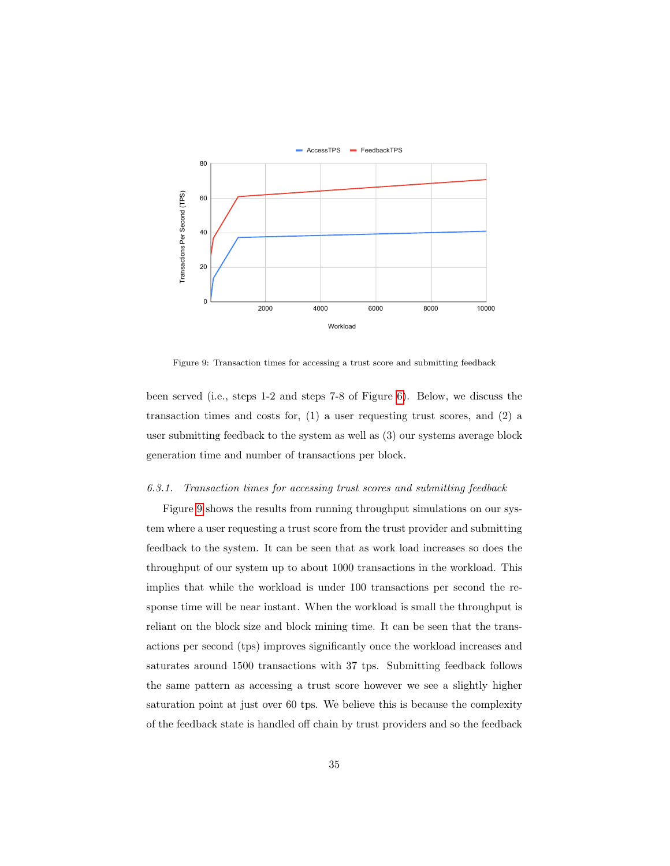

<span id="page-34-0"></span>Figure 9: Transaction times for accessing a trust score and submitting feedback

been served (i.e., steps 1-2 and steps 7-8 of Figure [6\)](#page-28-0). Below, we discuss the transaction times and costs for, (1) a user requesting trust scores, and (2) a user submitting feedback to the system as well as (3) our systems average block generation time and number of transactions per block.

## 6.3.1. Transaction times for accessing trust scores and submitting feedback

Figure [9](#page-34-0) shows the results from running throughput simulations on our system where a user requesting a trust score from the trust provider and submitting feedback to the system. It can be seen that as work load increases so does the throughput of our system up to about 1000 transactions in the workload. This implies that while the workload is under 100 transactions per second the response time will be near instant. When the workload is small the throughput is reliant on the block size and block mining time. It can be seen that the transactions per second (tps) improves significantly once the workload increases and saturates around 1500 transactions with 37 tps. Submitting feedback follows the same pattern as accessing a trust score however we see a slightly higher saturation point at just over 60 tps. We believe this is because the complexity of the feedback state is handled off chain by trust providers and so the feedback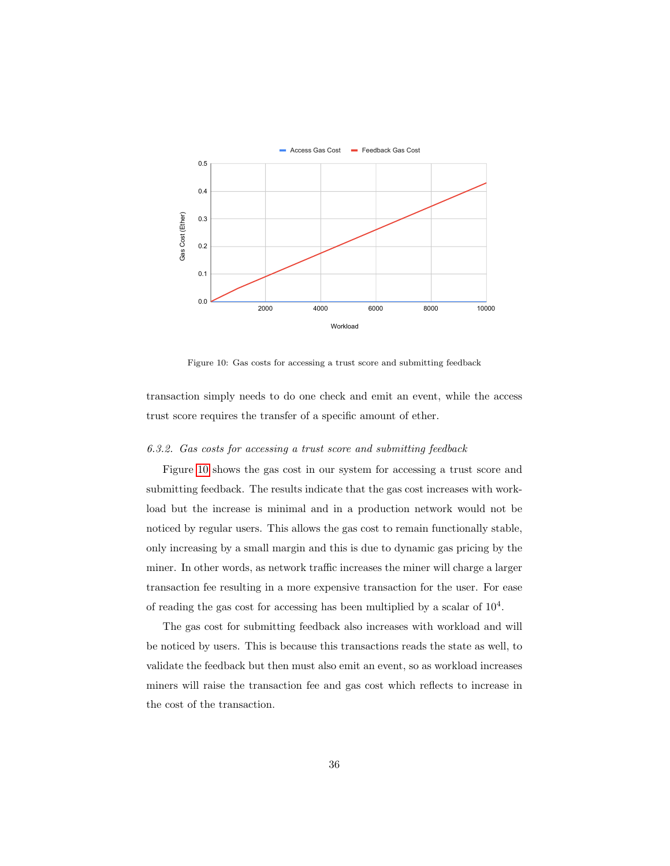

<span id="page-35-0"></span>Figure 10: Gas costs for accessing a trust score and submitting feedback

transaction simply needs to do one check and emit an event, while the access trust score requires the transfer of a specific amount of ether.

#### 6.3.2. Gas costs for accessing a trust score and submitting feedback

Figure [10](#page-35-0) shows the gas cost in our system for accessing a trust score and submitting feedback. The results indicate that the gas cost increases with workload but the increase is minimal and in a production network would not be noticed by regular users. This allows the gas cost to remain functionally stable, only increasing by a small margin and this is due to dynamic gas pricing by the miner. In other words, as network traffic increases the miner will charge a larger transaction fee resulting in a more expensive transaction for the user. For ease of reading the gas cost for accessing has been multiplied by a scalar of  $10<sup>4</sup>$ .

The gas cost for submitting feedback also increases with workload and will be noticed by users. This is because this transactions reads the state as well, to validate the feedback but then must also emit an event, so as workload increases miners will raise the transaction fee and gas cost which reflects to increase in the cost of the transaction.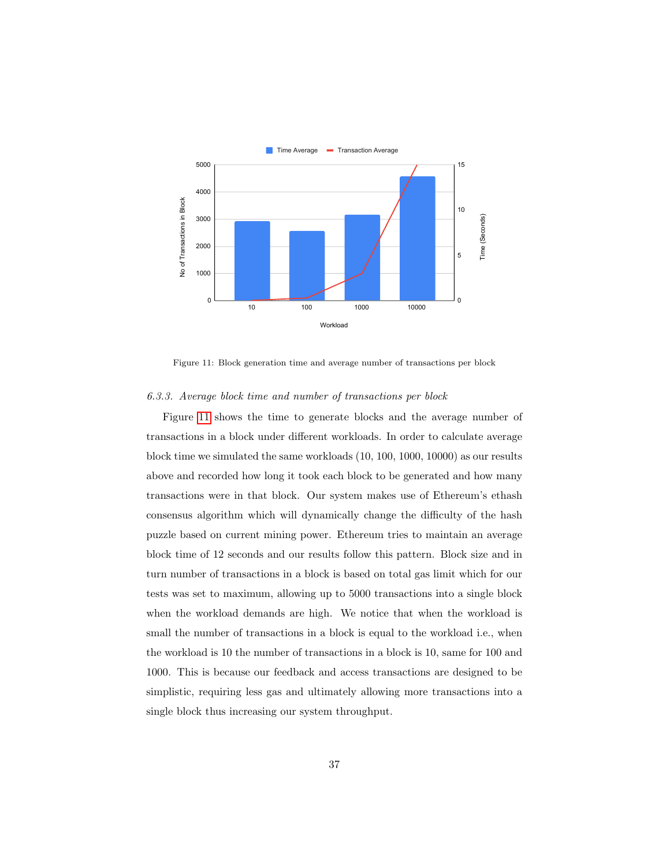

<span id="page-36-0"></span>Figure 11: Block generation time and average number of transactions per block

# 6.3.3. Average block time and number of transactions per block

Figure [11](#page-36-0) shows the time to generate blocks and the average number of transactions in a block under different workloads. In order to calculate average block time we simulated the same workloads (10, 100, 1000, 10000) as our results above and recorded how long it took each block to be generated and how many transactions were in that block. Our system makes use of Ethereum's ethash consensus algorithm which will dynamically change the difficulty of the hash puzzle based on current mining power. Ethereum tries to maintain an average block time of 12 seconds and our results follow this pattern. Block size and in turn number of transactions in a block is based on total gas limit which for our tests was set to maximum, allowing up to 5000 transactions into a single block when the workload demands are high. We notice that when the workload is small the number of transactions in a block is equal to the workload i.e., when the workload is 10 the number of transactions in a block is 10, same for 100 and 1000. This is because our feedback and access transactions are designed to be simplistic, requiring less gas and ultimately allowing more transactions into a single block thus increasing our system throughput.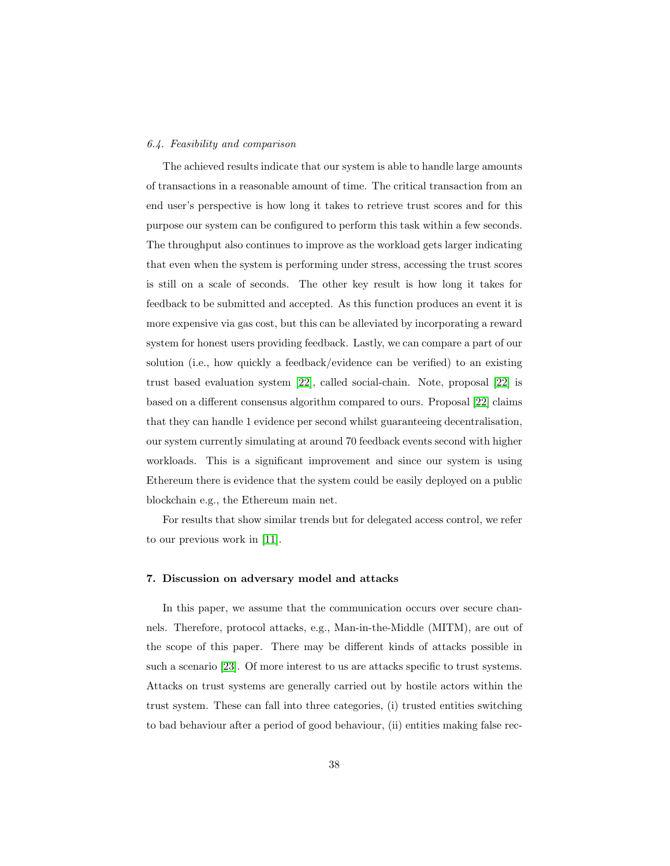#### 6.4. Feasibility and comparison

The achieved results indicate that our system is able to handle large amounts of transactions in a reasonable amount of time. The critical transaction from an end user's perspective is how long it takes to retrieve trust scores and for this purpose our system can be configured to perform this task within a few seconds. The throughput also continues to improve as the workload gets larger indicating that even when the system is performing under stress, accessing the trust scores is still on a scale of seconds. The other key result is how long it takes for feedback to be submitted and accepted. As this function produces an event it is more expensive via gas cost, but this can be alleviated by incorporating a reward system for honest users providing feedback. Lastly, we can compare a part of our solution (i.e., how quickly a feedback/evidence can be verified) to an existing trust based evaluation system [\[22\]](#page-53-0), called social-chain. Note, proposal [\[22\]](#page-53-0) is based on a different consensus algorithm compared to ours. Proposal [\[22\]](#page-53-0) claims that they can handle 1 evidence per second whilst guaranteeing decentralisation, our system currently simulating at around 70 feedback events second with higher workloads. This is a significant improvement and since our system is using Ethereum there is evidence that the system could be easily deployed on a public blockchain e.g., the Ethereum main net.

For results that show similar trends but for delegated access control, we refer to our previous work in [\[11\]](#page-51-3).

# <span id="page-37-0"></span>7. Discussion on adversary model and attacks

In this paper, we assume that the communication occurs over secure channels. Therefore, protocol attacks, e.g., Man-in-the-Middle (MITM), are out of the scope of this paper. There may be different kinds of attacks possible in such a scenario [\[23\]](#page-53-1). Of more interest to us are attacks specific to trust systems. Attacks on trust systems are generally carried out by hostile actors within the trust system. These can fall into three categories, (i) trusted entities switching to bad behaviour after a period of good behaviour, (ii) entities making false rec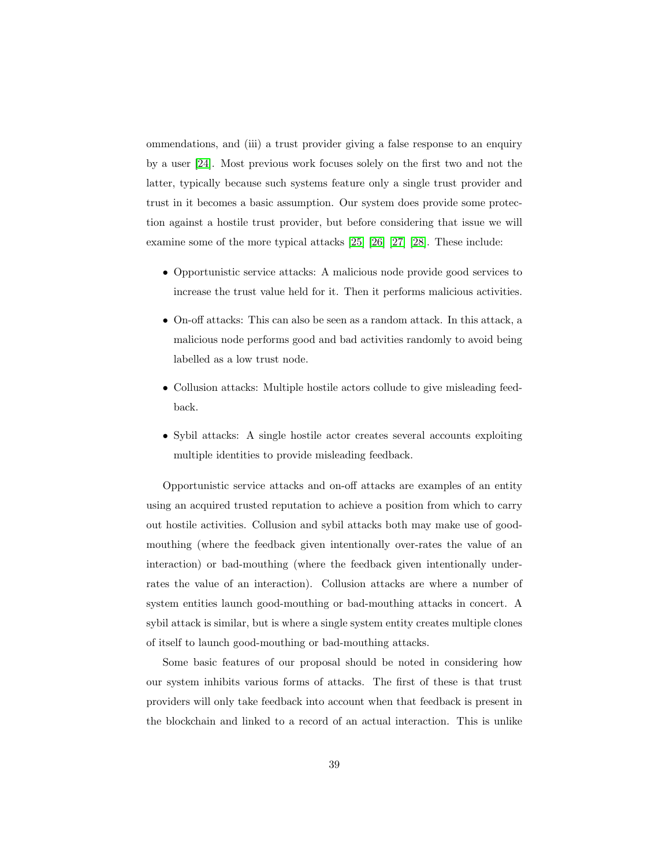ommendations, and (iii) a trust provider giving a false response to an enquiry by a user [\[24\]](#page-53-2). Most previous work focuses solely on the first two and not the latter, typically because such systems feature only a single trust provider and trust in it becomes a basic assumption. Our system does provide some protection against a hostile trust provider, but before considering that issue we will examine some of the more typical attacks [\[25\]](#page-53-3) [\[26\]](#page-53-4) [\[27\]](#page-53-5) [\[28\]](#page-53-6). These include:

- Opportunistic service attacks: A malicious node provide good services to increase the trust value held for it. Then it performs malicious activities.
- On-off attacks: This can also be seen as a random attack. In this attack, a malicious node performs good and bad activities randomly to avoid being labelled as a low trust node.
- Collusion attacks: Multiple hostile actors collude to give misleading feedback.
- Sybil attacks: A single hostile actor creates several accounts exploiting multiple identities to provide misleading feedback.

Opportunistic service attacks and on-off attacks are examples of an entity using an acquired trusted reputation to achieve a position from which to carry out hostile activities. Collusion and sybil attacks both may make use of goodmouthing (where the feedback given intentionally over-rates the value of an interaction) or bad-mouthing (where the feedback given intentionally underrates the value of an interaction). Collusion attacks are where a number of system entities launch good-mouthing or bad-mouthing attacks in concert. A sybil attack is similar, but is where a single system entity creates multiple clones of itself to launch good-mouthing or bad-mouthing attacks.

Some basic features of our proposal should be noted in considering how our system inhibits various forms of attacks. The first of these is that trust providers will only take feedback into account when that feedback is present in the blockchain and linked to a record of an actual interaction. This is unlike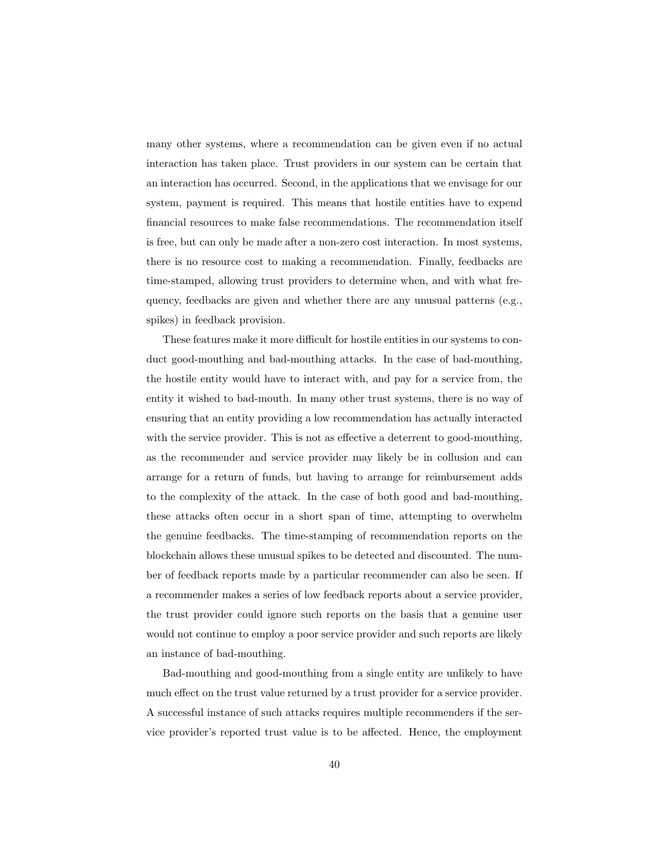many other systems, where a recommendation can be given even if no actual interaction has taken place. Trust providers in our system can be certain that an interaction has occurred. Second, in the applications that we envisage for our system, payment is required. This means that hostile entities have to expend financial resources to make false recommendations. The recommendation itself is free, but can only be made after a non-zero cost interaction. In most systems, there is no resource cost to making a recommendation. Finally, feedbacks are time-stamped, allowing trust providers to determine when, and with what frequency, feedbacks are given and whether there are any unusual patterns (e.g., spikes) in feedback provision.

These features make it more difficult for hostile entities in our systems to conduct good-mouthing and bad-mouthing attacks. In the case of bad-mouthing, the hostile entity would have to interact with, and pay for a service from, the entity it wished to bad-mouth. In many other trust systems, there is no way of ensuring that an entity providing a low recommendation has actually interacted with the service provider. This is not as effective a deterrent to good-mouthing, as the recommender and service provider may likely be in collusion and can arrange for a return of funds, but having to arrange for reimbursement adds to the complexity of the attack. In the case of both good and bad-mouthing, these attacks often occur in a short span of time, attempting to overwhelm the genuine feedbacks. The time-stamping of recommendation reports on the blockchain allows these unusual spikes to be detected and discounted. The number of feedback reports made by a particular recommender can also be seen. If a recommender makes a series of low feedback reports about a service provider, the trust provider could ignore such reports on the basis that a genuine user would not continue to employ a poor service provider and such reports are likely an instance of bad-mouthing.

Bad-mouthing and good-mouthing from a single entity are unlikely to have much effect on the trust value returned by a trust provider for a service provider. A successful instance of such attacks requires multiple recommenders if the service provider's reported trust value is to be affected. Hence, the employment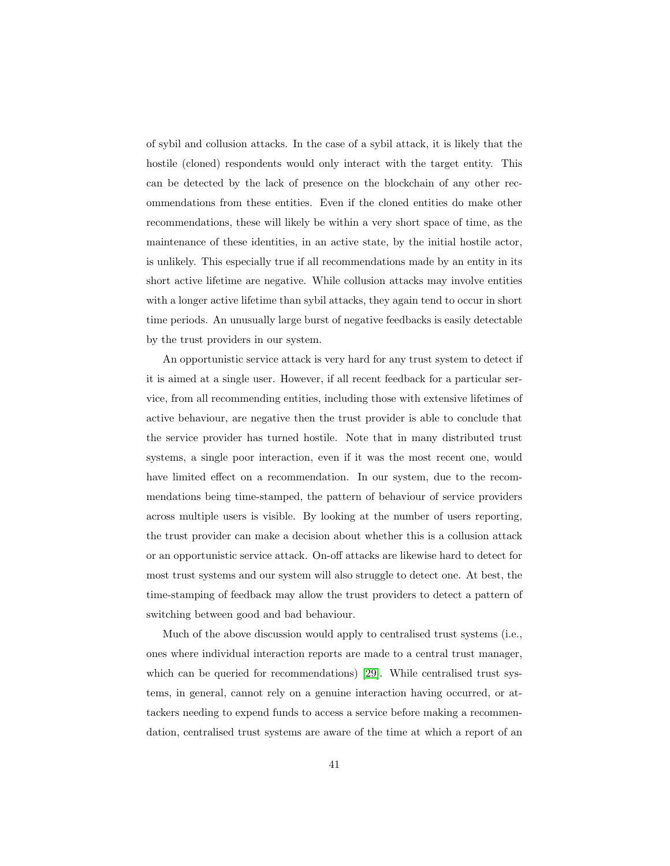of sybil and collusion attacks. In the case of a sybil attack, it is likely that the hostile (cloned) respondents would only interact with the target entity. This can be detected by the lack of presence on the blockchain of any other recommendations from these entities. Even if the cloned entities do make other recommendations, these will likely be within a very short space of time, as the maintenance of these identities, in an active state, by the initial hostile actor, is unlikely. This especially true if all recommendations made by an entity in its short active lifetime are negative. While collusion attacks may involve entities with a longer active lifetime than sybil attacks, they again tend to occur in short time periods. An unusually large burst of negative feedbacks is easily detectable by the trust providers in our system.

An opportunistic service attack is very hard for any trust system to detect if it is aimed at a single user. However, if all recent feedback for a particular service, from all recommending entities, including those with extensive lifetimes of active behaviour, are negative then the trust provider is able to conclude that the service provider has turned hostile. Note that in many distributed trust systems, a single poor interaction, even if it was the most recent one, would have limited effect on a recommendation. In our system, due to the recommendations being time-stamped, the pattern of behaviour of service providers across multiple users is visible. By looking at the number of users reporting, the trust provider can make a decision about whether this is a collusion attack or an opportunistic service attack. On-off attacks are likewise hard to detect for most trust systems and our system will also struggle to detect one. At best, the time-stamping of feedback may allow the trust providers to detect a pattern of switching between good and bad behaviour.

Much of the above discussion would apply to centralised trust systems (i.e., ones where individual interaction reports are made to a central trust manager, which can be queried for recommendations) [\[29\]](#page-53-7). While centralised trust systems, in general, cannot rely on a genuine interaction having occurred, or attackers needing to expend funds to access a service before making a recommendation, centralised trust systems are aware of the time at which a report of an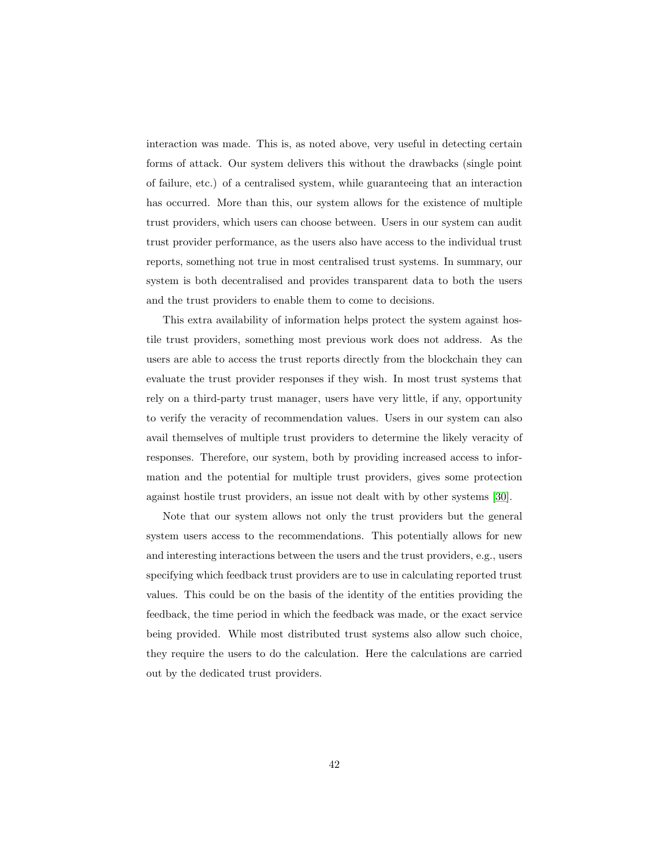interaction was made. This is, as noted above, very useful in detecting certain forms of attack. Our system delivers this without the drawbacks (single point of failure, etc.) of a centralised system, while guaranteeing that an interaction has occurred. More than this, our system allows for the existence of multiple trust providers, which users can choose between. Users in our system can audit trust provider performance, as the users also have access to the individual trust reports, something not true in most centralised trust systems. In summary, our system is both decentralised and provides transparent data to both the users and the trust providers to enable them to come to decisions.

This extra availability of information helps protect the system against hostile trust providers, something most previous work does not address. As the users are able to access the trust reports directly from the blockchain they can evaluate the trust provider responses if they wish. In most trust systems that rely on a third-party trust manager, users have very little, if any, opportunity to verify the veracity of recommendation values. Users in our system can also avail themselves of multiple trust providers to determine the likely veracity of responses. Therefore, our system, both by providing increased access to information and the potential for multiple trust providers, gives some protection against hostile trust providers, an issue not dealt with by other systems [\[30\]](#page-54-0).

Note that our system allows not only the trust providers but the general system users access to the recommendations. This potentially allows for new and interesting interactions between the users and the trust providers, e.g., users specifying which feedback trust providers are to use in calculating reported trust values. This could be on the basis of the identity of the entities providing the feedback, the time period in which the feedback was made, or the exact service being provided. While most distributed trust systems also allow such choice, they require the users to do the calculation. Here the calculations are carried out by the dedicated trust providers.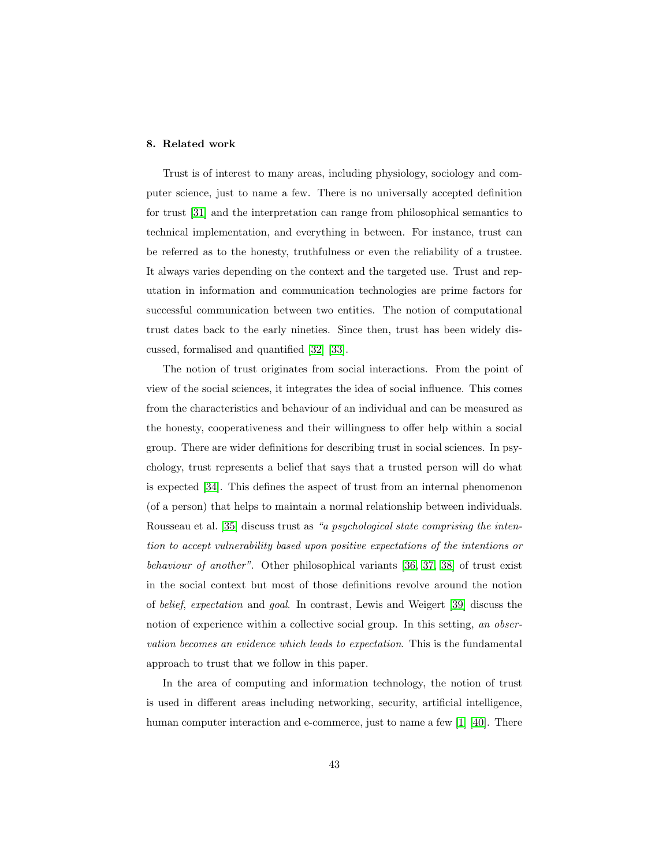# <span id="page-42-0"></span>8. Related work

Trust is of interest to many areas, including physiology, sociology and computer science, just to name a few. There is no universally accepted definition for trust [\[31\]](#page-54-1) and the interpretation can range from philosophical semantics to technical implementation, and everything in between. For instance, trust can be referred as to the honesty, truthfulness or even the reliability of a trustee. It always varies depending on the context and the targeted use. Trust and reputation in information and communication technologies are prime factors for successful communication between two entities. The notion of computational trust dates back to the early nineties. Since then, trust has been widely discussed, formalised and quantified [\[32\]](#page-54-2) [\[33\]](#page-54-3).

The notion of trust originates from social interactions. From the point of view of the social sciences, it integrates the idea of social influence. This comes from the characteristics and behaviour of an individual and can be measured as the honesty, cooperativeness and their willingness to offer help within a social group. There are wider definitions for describing trust in social sciences. In psychology, trust represents a belief that says that a trusted person will do what is expected [\[34\]](#page-54-4). This defines the aspect of trust from an internal phenomenon (of a person) that helps to maintain a normal relationship between individuals. Rousseau et al. [\[35\]](#page-54-5) discuss trust as "a psychological state comprising the intention to accept vulnerability based upon positive expectations of the intentions or behaviour of another". Other philosophical variants [\[36,](#page-54-6) [37,](#page-54-7) [38\]](#page-55-0) of trust exist in the social context but most of those definitions revolve around the notion of belief, expectation and goal. In contrast, Lewis and Weigert [\[39\]](#page-55-1) discuss the notion of experience within a collective social group. In this setting, an observation becomes an evidence which leads to expectation. This is the fundamental approach to trust that we follow in this paper.

In the area of computing and information technology, the notion of trust is used in different areas including networking, security, artificial intelligence, human computer interaction and e-commerce, just to name a few [\[1\]](#page-50-0) [\[40\]](#page-55-2). There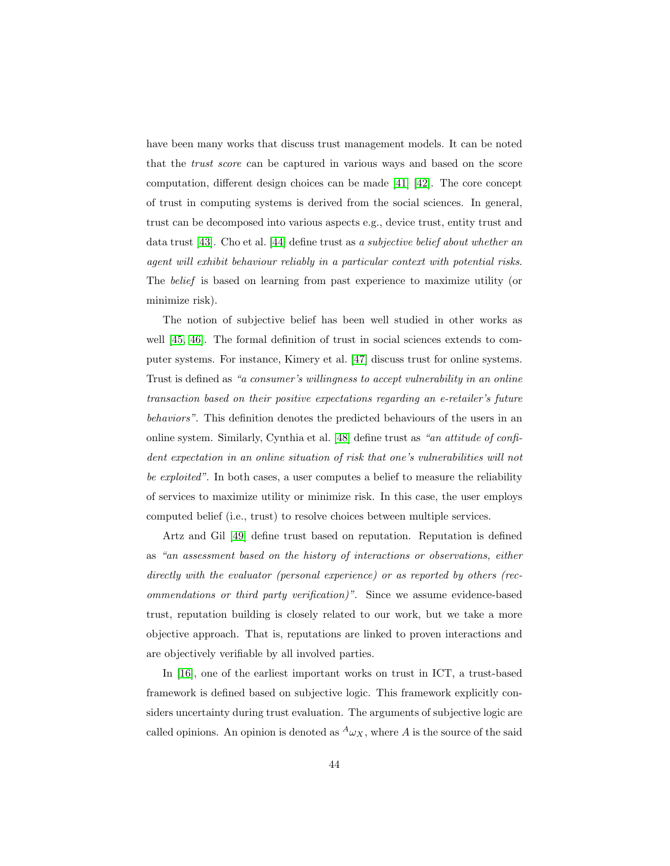have been many works that discuss trust management models. It can be noted that the trust score can be captured in various ways and based on the score computation, different design choices can be made [\[41\]](#page-55-3) [\[42\]](#page-55-4). The core concept of trust in computing systems is derived from the social sciences. In general, trust can be decomposed into various aspects e.g., device trust, entity trust and data trust [\[43\]](#page-55-5). Cho et al. [\[44\]](#page-55-6) define trust as a subjective belief about whether an agent will exhibit behaviour reliably in a particular context with potential risks. The belief is based on learning from past experience to maximize utility (or minimize risk).

The notion of subjective belief has been well studied in other works as well [\[45,](#page-55-7) [46\]](#page-56-0). The formal definition of trust in social sciences extends to computer systems. For instance, Kimery et al. [\[47\]](#page-56-1) discuss trust for online systems. Trust is defined as "a consumer's willingness to accept vulnerability in an online transaction based on their positive expectations regarding an e-retailer's future behaviors". This definition denotes the predicted behaviours of the users in an online system. Similarly, Cynthia et al. [\[48\]](#page-56-2) define trust as "an attitude of confident expectation in an online situation of risk that one's vulnerabilities will not be exploited". In both cases, a user computes a belief to measure the reliability of services to maximize utility or minimize risk. In this case, the user employs computed belief (i.e., trust) to resolve choices between multiple services.

Artz and Gil [\[49\]](#page-56-3) define trust based on reputation. Reputation is defined as "an assessment based on the history of interactions or observations, either directly with the evaluator (personal experience) or as reported by others (recommendations or third party verification)". Since we assume evidence-based trust, reputation building is closely related to our work, but we take a more objective approach. That is, reputations are linked to proven interactions and are objectively verifiable by all involved parties.

In [\[16\]](#page-52-1), one of the earliest important works on trust in ICT, a trust-based framework is defined based on subjective logic. This framework explicitly considers uncertainty during trust evaluation. The arguments of subjective logic are called opinions. An opinion is denoted as  ${}^A\omega_X$ , where A is the source of the said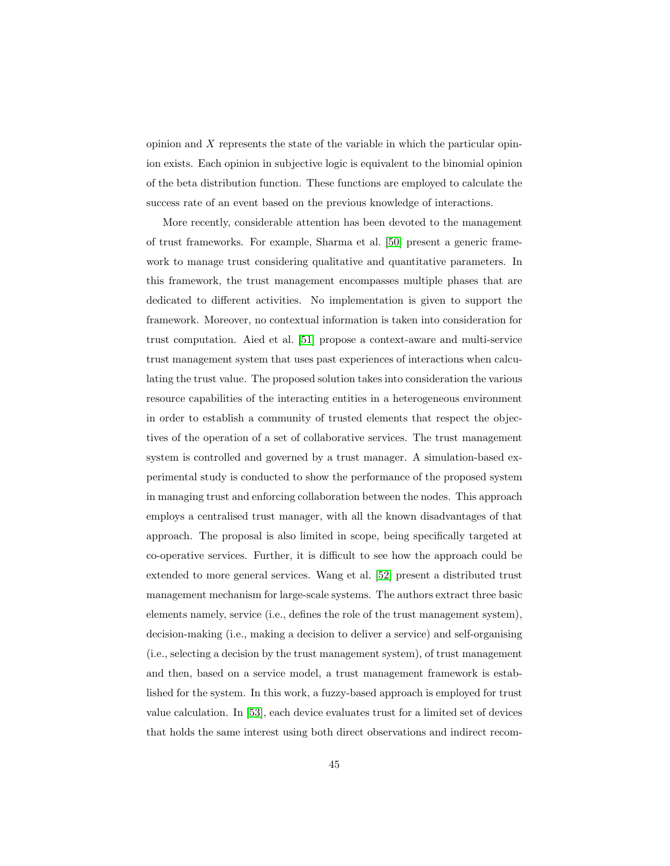opinion and X represents the state of the variable in which the particular opinion exists. Each opinion in subjective logic is equivalent to the binomial opinion of the beta distribution function. These functions are employed to calculate the success rate of an event based on the previous knowledge of interactions.

More recently, considerable attention has been devoted to the management of trust frameworks. For example, Sharma et al. [\[50\]](#page-56-4) present a generic framework to manage trust considering qualitative and quantitative parameters. In this framework, the trust management encompasses multiple phases that are dedicated to different activities. No implementation is given to support the framework. Moreover, no contextual information is taken into consideration for trust computation. Aied et al. [\[51\]](#page-56-5) propose a context-aware and multi-service trust management system that uses past experiences of interactions when calculating the trust value. The proposed solution takes into consideration the various resource capabilities of the interacting entities in a heterogeneous environment in order to establish a community of trusted elements that respect the objectives of the operation of a set of collaborative services. The trust management system is controlled and governed by a trust manager. A simulation-based experimental study is conducted to show the performance of the proposed system in managing trust and enforcing collaboration between the nodes. This approach employs a centralised trust manager, with all the known disadvantages of that approach. The proposal is also limited in scope, being specifically targeted at co-operative services. Further, it is difficult to see how the approach could be extended to more general services. Wang et al. [\[52\]](#page-56-6) present a distributed trust management mechanism for large-scale systems. The authors extract three basic elements namely, service (i.e., defines the role of the trust management system), decision-making (i.e., making a decision to deliver a service) and self-organising (i.e., selecting a decision by the trust management system), of trust management and then, based on a service model, a trust management framework is established for the system. In this work, a fuzzy-based approach is employed for trust value calculation. In [\[53\]](#page-57-0), each device evaluates trust for a limited set of devices that holds the same interest using both direct observations and indirect recom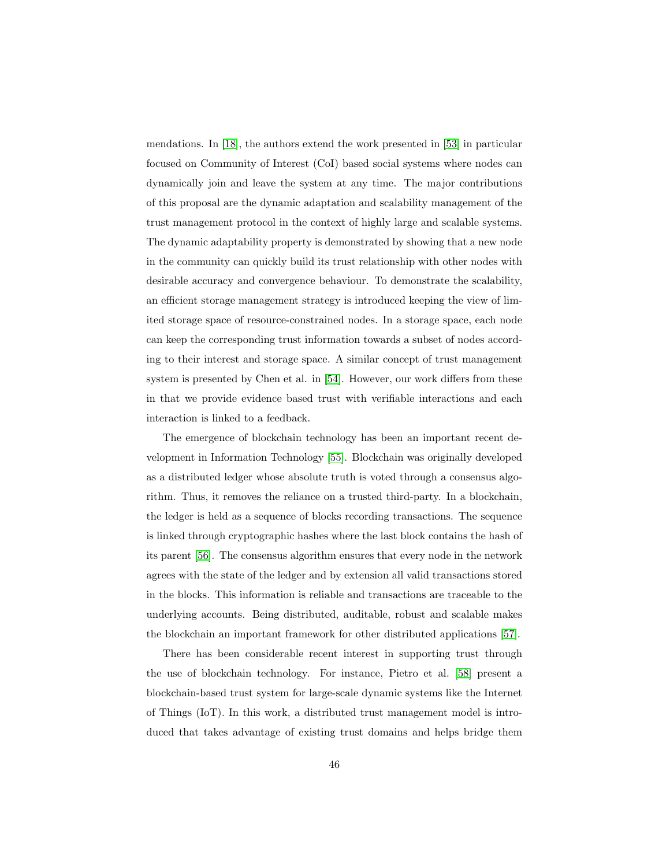mendations. In [\[18\]](#page-52-3), the authors extend the work presented in [\[53\]](#page-57-0) in particular focused on Community of Interest (CoI) based social systems where nodes can dynamically join and leave the system at any time. The major contributions of this proposal are the dynamic adaptation and scalability management of the trust management protocol in the context of highly large and scalable systems. The dynamic adaptability property is demonstrated by showing that a new node in the community can quickly build its trust relationship with other nodes with desirable accuracy and convergence behaviour. To demonstrate the scalability, an efficient storage management strategy is introduced keeping the view of limited storage space of resource-constrained nodes. In a storage space, each node can keep the corresponding trust information towards a subset of nodes according to their interest and storage space. A similar concept of trust management system is presented by Chen et al. in [\[54\]](#page-57-1). However, our work differs from these in that we provide evidence based trust with verifiable interactions and each interaction is linked to a feedback.

The emergence of blockchain technology has been an important recent development in Information Technology [\[55\]](#page-57-2). Blockchain was originally developed as a distributed ledger whose absolute truth is voted through a consensus algorithm. Thus, it removes the reliance on a trusted third-party. In a blockchain, the ledger is held as a sequence of blocks recording transactions. The sequence is linked through cryptographic hashes where the last block contains the hash of its parent [\[56\]](#page-57-3). The consensus algorithm ensures that every node in the network agrees with the state of the ledger and by extension all valid transactions stored in the blocks. This information is reliable and transactions are traceable to the underlying accounts. Being distributed, auditable, robust and scalable makes the blockchain an important framework for other distributed applications [\[57\]](#page-57-4).

There has been considerable recent interest in supporting trust through the use of blockchain technology. For instance, Pietro et al. [\[58\]](#page-57-5) present a blockchain-based trust system for large-scale dynamic systems like the Internet of Things (IoT). In this work, a distributed trust management model is introduced that takes advantage of existing trust domains and helps bridge them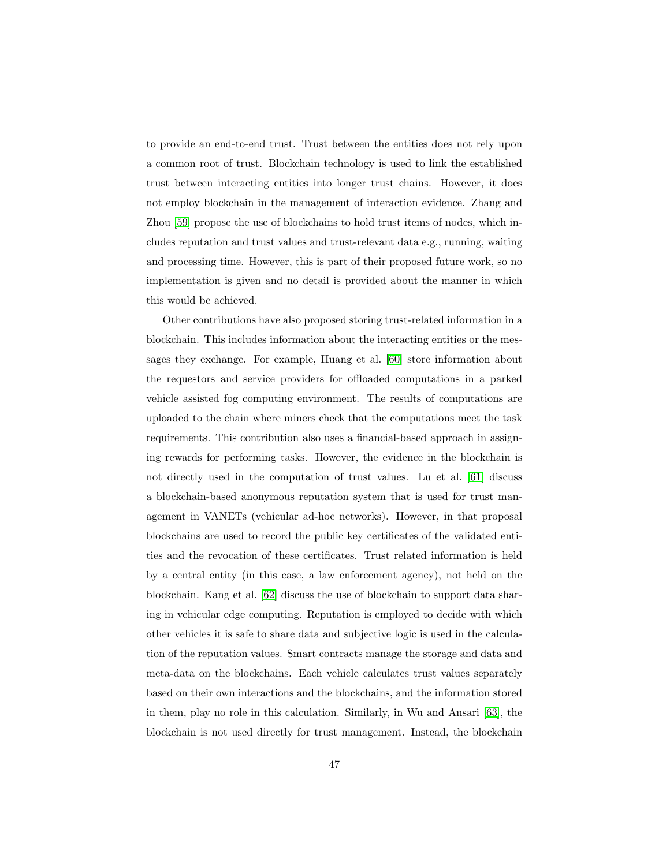to provide an end-to-end trust. Trust between the entities does not rely upon a common root of trust. Blockchain technology is used to link the established trust between interacting entities into longer trust chains. However, it does not employ blockchain in the management of interaction evidence. Zhang and Zhou [\[59\]](#page-57-6) propose the use of blockchains to hold trust items of nodes, which includes reputation and trust values and trust-relevant data e.g., running, waiting and processing time. However, this is part of their proposed future work, so no implementation is given and no detail is provided about the manner in which this would be achieved.

Other contributions have also proposed storing trust-related information in a blockchain. This includes information about the interacting entities or the messages they exchange. For example, Huang et al. [\[60\]](#page-58-0) store information about the requestors and service providers for offloaded computations in a parked vehicle assisted fog computing environment. The results of computations are uploaded to the chain where miners check that the computations meet the task requirements. This contribution also uses a financial-based approach in assigning rewards for performing tasks. However, the evidence in the blockchain is not directly used in the computation of trust values. Lu et al. [\[61\]](#page-58-1) discuss a blockchain-based anonymous reputation system that is used for trust management in VANETs (vehicular ad-hoc networks). However, in that proposal blockchains are used to record the public key certificates of the validated entities and the revocation of these certificates. Trust related information is held by a central entity (in this case, a law enforcement agency), not held on the blockchain. Kang et al. [\[62\]](#page-58-2) discuss the use of blockchain to support data sharing in vehicular edge computing. Reputation is employed to decide with which other vehicles it is safe to share data and subjective logic is used in the calculation of the reputation values. Smart contracts manage the storage and data and meta-data on the blockchains. Each vehicle calculates trust values separately based on their own interactions and the blockchains, and the information stored in them, play no role in this calculation. Similarly, in Wu and Ansari [\[63\]](#page-58-3), the blockchain is not used directly for trust management. Instead, the blockchain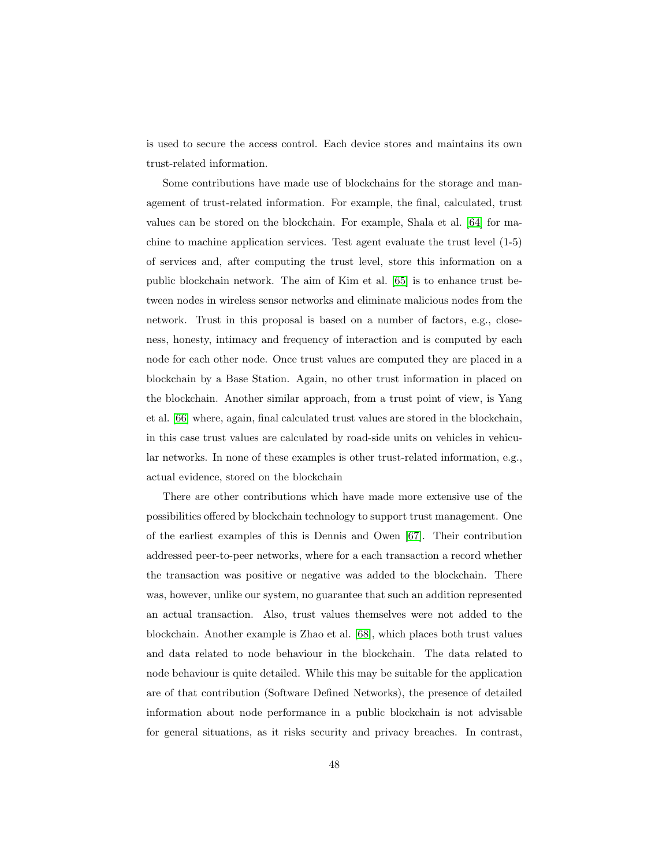is used to secure the access control. Each device stores and maintains its own trust-related information.

Some contributions have made use of blockchains for the storage and management of trust-related information. For example, the final, calculated, trust values can be stored on the blockchain. For example, Shala et al. [\[64\]](#page-58-4) for machine to machine application services. Test agent evaluate the trust level (1-5) of services and, after computing the trust level, store this information on a public blockchain network. The aim of Kim et al. [\[65\]](#page-58-5) is to enhance trust between nodes in wireless sensor networks and eliminate malicious nodes from the network. Trust in this proposal is based on a number of factors, e.g., closeness, honesty, intimacy and frequency of interaction and is computed by each node for each other node. Once trust values are computed they are placed in a blockchain by a Base Station. Again, no other trust information in placed on the blockchain. Another similar approach, from a trust point of view, is Yang et al. [\[66\]](#page-58-6) where, again, final calculated trust values are stored in the blockchain, in this case trust values are calculated by road-side units on vehicles in vehicular networks. In none of these examples is other trust-related information, e.g., actual evidence, stored on the blockchain

There are other contributions which have made more extensive use of the possibilities offered by blockchain technology to support trust management. One of the earliest examples of this is Dennis and Owen [\[67\]](#page-59-0). Their contribution addressed peer-to-peer networks, where for a each transaction a record whether the transaction was positive or negative was added to the blockchain. There was, however, unlike our system, no guarantee that such an addition represented an actual transaction. Also, trust values themselves were not added to the blockchain. Another example is Zhao et al. [\[68\]](#page-59-1), which places both trust values and data related to node behaviour in the blockchain. The data related to node behaviour is quite detailed. While this may be suitable for the application are of that contribution (Software Defined Networks), the presence of detailed information about node performance in a public blockchain is not advisable for general situations, as it risks security and privacy breaches. In contrast,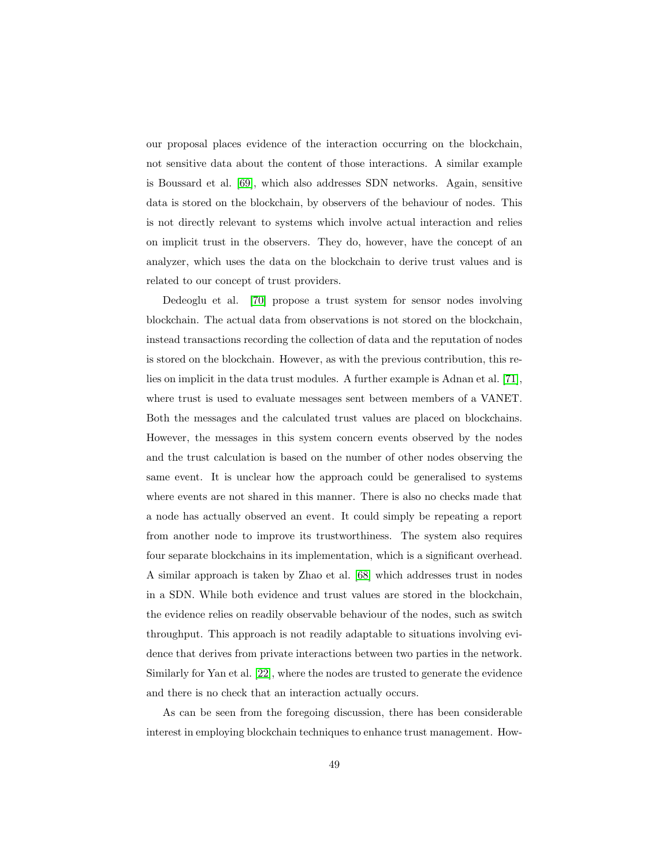our proposal places evidence of the interaction occurring on the blockchain, not sensitive data about the content of those interactions. A similar example is Boussard et al. [\[69\]](#page-59-2), which also addresses SDN networks. Again, sensitive data is stored on the blockchain, by observers of the behaviour of nodes. This is not directly relevant to systems which involve actual interaction and relies on implicit trust in the observers. They do, however, have the concept of an analyzer, which uses the data on the blockchain to derive trust values and is related to our concept of trust providers.

Dedeoglu et al. [\[70\]](#page-59-3) propose a trust system for sensor nodes involving blockchain. The actual data from observations is not stored on the blockchain, instead transactions recording the collection of data and the reputation of nodes is stored on the blockchain. However, as with the previous contribution, this relies on implicit in the data trust modules. A further example is Adnan et al. [\[71\]](#page-59-4), where trust is used to evaluate messages sent between members of a VANET. Both the messages and the calculated trust values are placed on blockchains. However, the messages in this system concern events observed by the nodes and the trust calculation is based on the number of other nodes observing the same event. It is unclear how the approach could be generalised to systems where events are not shared in this manner. There is also no checks made that a node has actually observed an event. It could simply be repeating a report from another node to improve its trustworthiness. The system also requires four separate blockchains in its implementation, which is a significant overhead. A similar approach is taken by Zhao et al. [\[68\]](#page-59-1) which addresses trust in nodes in a SDN. While both evidence and trust values are stored in the blockchain, the evidence relies on readily observable behaviour of the nodes, such as switch throughput. This approach is not readily adaptable to situations involving evidence that derives from private interactions between two parties in the network. Similarly for Yan et al. [\[22\]](#page-53-0), where the nodes are trusted to generate the evidence and there is no check that an interaction actually occurs.

As can be seen from the foregoing discussion, there has been considerable interest in employing blockchain techniques to enhance trust management. How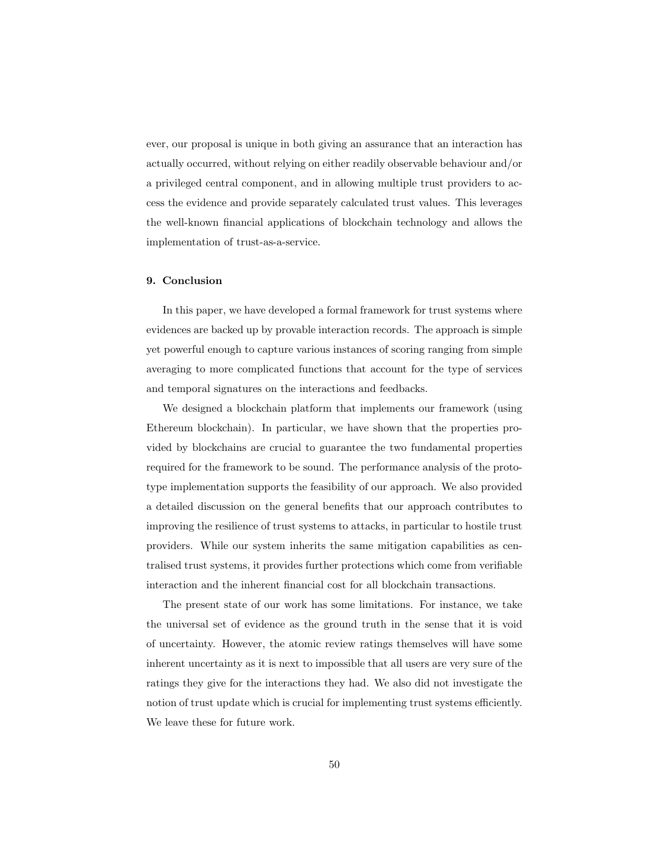ever, our proposal is unique in both giving an assurance that an interaction has actually occurred, without relying on either readily observable behaviour and/or a privileged central component, and in allowing multiple trust providers to access the evidence and provide separately calculated trust values. This leverages the well-known financial applications of blockchain technology and allows the implementation of trust-as-a-service.

#### <span id="page-49-0"></span>9. Conclusion

In this paper, we have developed a formal framework for trust systems where evidences are backed up by provable interaction records. The approach is simple yet powerful enough to capture various instances of scoring ranging from simple averaging to more complicated functions that account for the type of services and temporal signatures on the interactions and feedbacks.

We designed a blockchain platform that implements our framework (using Ethereum blockchain). In particular, we have shown that the properties provided by blockchains are crucial to guarantee the two fundamental properties required for the framework to be sound. The performance analysis of the prototype implementation supports the feasibility of our approach. We also provided a detailed discussion on the general benefits that our approach contributes to improving the resilience of trust systems to attacks, in particular to hostile trust providers. While our system inherits the same mitigation capabilities as centralised trust systems, it provides further protections which come from verifiable interaction and the inherent financial cost for all blockchain transactions.

The present state of our work has some limitations. For instance, we take the universal set of evidence as the ground truth in the sense that it is void of uncertainty. However, the atomic review ratings themselves will have some inherent uncertainty as it is next to impossible that all users are very sure of the ratings they give for the interactions they had. We also did not investigate the notion of trust update which is crucial for implementing trust systems efficiently. We leave these for future work.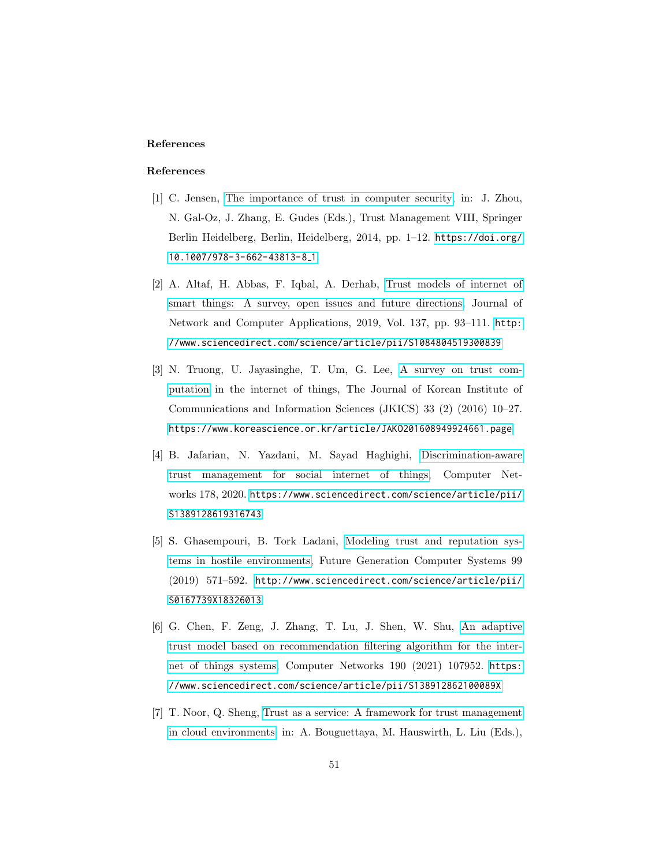# References

# References

- <span id="page-50-0"></span>[1] C. Jensen, [The importance of trust in computer security,](https://link.springer.com/chapter/10.1007/978-3-662-43813-8_1) in: J. Zhou, N. Gal-Oz, J. Zhang, E. Gudes (Eds.), Trust Management VIII, Springer Berlin Heidelberg, Berlin, Heidelberg, 2014, pp. 1–12. [https://doi.org/](https://doi.org/10.1007/978-3-662-43813-8_1) [10.1007/978-3-662-43813-8](https://doi.org/10.1007/978-3-662-43813-8_1) 1
- <span id="page-50-1"></span>[2] A. Altaf, H. Abbas, F. Iqbal, A. Derhab, [Trust models of internet of](http://www.sciencedirect.com/science/article/pii/S1084804519300839) [smart things: A survey, open issues and future directions,](http://www.sciencedirect.com/science/article/pii/S1084804519300839) Journal of Network and Computer Applications, 2019, Vol. 137, pp. 93–111. [http:](http://www.sciencedirect.com/science/article/pii/S1084804519300839) [//www.sciencedirect.com/science/article/pii/S1084804519300839](http://www.sciencedirect.com/science/article/pii/S1084804519300839)
- <span id="page-50-2"></span>[3] N. Truong, U. Jayasinghe, T. Um, G. Lee, [A survey on trust com](https://www.researchgate.net/publication/316042146_A_Survey_on_Trust_Computation_in_the_Internet_of_Things)[putation](https://www.researchgate.net/publication/316042146_A_Survey_on_Trust_Computation_in_the_Internet_of_Things) in the internet of things, The Journal of Korean Institute of Communications and Information Sciences (JKICS) 33 (2) (2016) 10–27. <https://www.koreascience.or.kr/article/JAKO201608949924661.page>
- <span id="page-50-3"></span>[4] B. Jafarian, N. Yazdani, M. Sayad Haghighi, [Discrimination-aware](https://www.sciencedirect.com/science/article/pii/S1389128619316743) [trust management for social internet of things,](https://www.sciencedirect.com/science/article/pii/S1389128619316743) Computer Networks 178, 2020. [https://www.sciencedirect.com/science/article/pii/](https://www.sciencedirect.com/science/article/pii/S1389128619316743) [S1389128619316743](https://www.sciencedirect.com/science/article/pii/S1389128619316743)
- <span id="page-50-4"></span>[5] S. Ghasempouri, B. Tork Ladani, [Modeling trust and reputation sys](http://www.sciencedirect.com/science/article/pii/S0167739X18326013)[tems in hostile environments,](http://www.sciencedirect.com/science/article/pii/S0167739X18326013) Future Generation Computer Systems 99 (2019) 571–592. [http://www.sciencedirect.com/science/article/pii/](http://www.sciencedirect.com/science/article/pii/S0167739X18326013) [S0167739X18326013](http://www.sciencedirect.com/science/article/pii/S0167739X18326013)
- <span id="page-50-5"></span>[6] G. Chen, F. Zeng, J. Zhang, T. Lu, J. Shen, W. Shu, [An adaptive](https://www.sciencedirect.com/science/article/pii/S138912862100089X) [trust model based on recommendation filtering algorithm for the inter](https://www.sciencedirect.com/science/article/pii/S138912862100089X)[net of things systems,](https://www.sciencedirect.com/science/article/pii/S138912862100089X) Computer Networks 190 (2021) 107952. [https:](https://www.sciencedirect.com/science/article/pii/S138912862100089X) [//www.sciencedirect.com/science/article/pii/S138912862100089X](https://www.sciencedirect.com/science/article/pii/S138912862100089X)
- <span id="page-50-6"></span>[7] T. Noor, Q. Sheng, [Trust as a service: A framework for trust management](https://link.springer.com/chapter/10.1007/978-3-642-24434-6_27) [in cloud environments,](https://link.springer.com/chapter/10.1007/978-3-642-24434-6_27) in: A. Bouguettaya, M. Hauswirth, L. Liu (Eds.),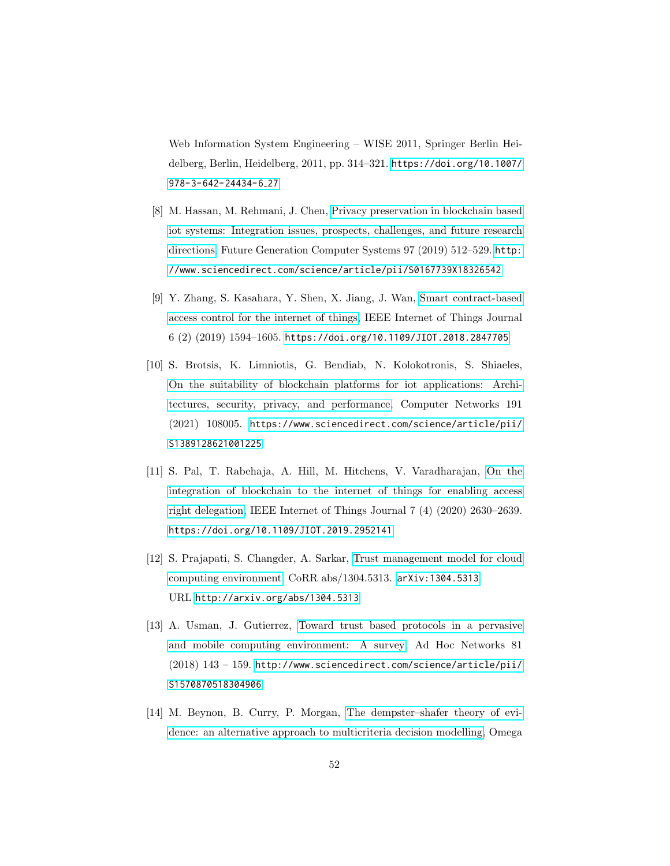Web Information System Engineering – WISE 2011, Springer Berlin Heidelberg, Berlin, Heidelberg, 2011, pp. 314–321. [https://doi.org/10.1007/](https://doi.org/10.1007/978-3-642-24434-6_27) [978-3-642-24434-6](https://doi.org/10.1007/978-3-642-24434-6_27) 27

- <span id="page-51-0"></span>[8] M. Hassan, M. Rehmani, J. Chen, [Privacy preservation in blockchain based](http://www.sciencedirect.com/science/article/pii/S0167739X18326542) [iot systems: Integration issues, prospects, challenges, and future research](http://www.sciencedirect.com/science/article/pii/S0167739X18326542) [directions,](http://www.sciencedirect.com/science/article/pii/S0167739X18326542) Future Generation Computer Systems 97 (2019) 512–529. [http:](http://www.sciencedirect.com/science/article/pii/S0167739X18326542) [//www.sciencedirect.com/science/article/pii/S0167739X18326542](http://www.sciencedirect.com/science/article/pii/S0167739X18326542)
- <span id="page-51-1"></span>[9] Y. Zhang, S. Kasahara, Y. Shen, X. Jiang, J. Wan, [Smart contract-based](https://ieeexplore.ieee.org/document/8386853) [access control for the internet of things,](https://ieeexplore.ieee.org/document/8386853) IEEE Internet of Things Journal 6 (2) (2019) 1594–1605. <https://doi.org/10.1109/JIOT.2018.2847705>
- <span id="page-51-2"></span>[10] S. Brotsis, K. Limniotis, G. Bendiab, N. Kolokotronis, S. Shiaeles, [On the suitability of blockchain platforms for iot applications: Archi](https://www.sciencedirect.com/science/article/pii/S1389128621001225)[tectures, security, privacy, and performance,](https://www.sciencedirect.com/science/article/pii/S1389128621001225) Computer Networks 191 (2021) 108005. [https://www.sciencedirect.com/science/article/pii/](https://www.sciencedirect.com/science/article/pii/S1389128621001225) [S1389128621001225](https://www.sciencedirect.com/science/article/pii/S1389128621001225)
- <span id="page-51-3"></span>[11] S. Pal, T. Rabehaja, A. Hill, M. Hitchens, V. Varadharajan, [On the](https://ieeexplore.ieee.org/abstract/document/8894097) [integration of blockchain to the internet of things for enabling access](https://ieeexplore.ieee.org/abstract/document/8894097) [right delegation,](https://ieeexplore.ieee.org/abstract/document/8894097) IEEE Internet of Things Journal 7 (4) (2020) 2630–2639. <https://doi.org/10.1109/JIOT.2019.2952141>
- <span id="page-51-4"></span>[12] S. Prajapati, S. Changder, A. Sarkar, [Trust management model for cloud](http://arxiv.org/abs/1304.5313) [computing environment,](http://arxiv.org/abs/1304.5313) CoRR abs/1304.5313. [arXiv:1304.5313](http://arxiv.org/abs/1304.5313). URL <http://arxiv.org/abs/1304.5313>
- <span id="page-51-5"></span>[13] A. Usman, J. Gutierrez, [Toward trust based protocols in a pervasive](http://www.sciencedirect.com/science/article/pii/S1570870518304906) [and mobile computing environment: A survey,](http://www.sciencedirect.com/science/article/pii/S1570870518304906) Ad Hoc Networks 81 (2018) 143 – 159. [http://www.sciencedirect.com/science/article/pii/](http://www.sciencedirect.com/science/article/pii/S1570870518304906) [S1570870518304906](http://www.sciencedirect.com/science/article/pii/S1570870518304906)
- <span id="page-51-6"></span>[14] M. Beynon, B. Curry, P. Morgan, [The dempster–shafer theory of evi](http://www.sciencedirect.com/science/article/pii/S030504839900033X)[dence: an alternative approach to multicriteria decision modelling,](http://www.sciencedirect.com/science/article/pii/S030504839900033X) Omega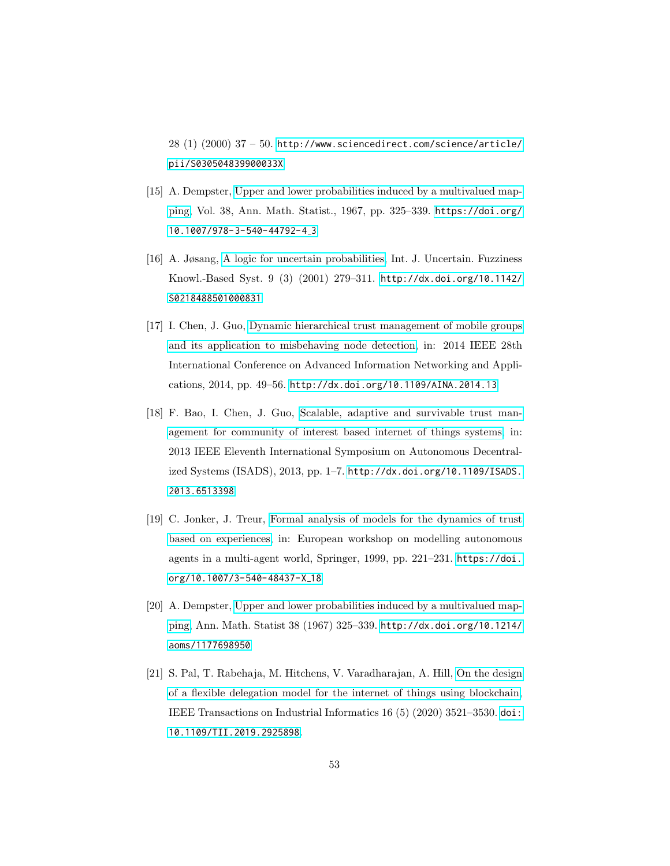28 (1) (2000) 37 – 50. [http://www.sciencedirect.com/science/article/](http://www.sciencedirect.com/science/article/pii/S030504839900033X) [pii/S030504839900033X](http://www.sciencedirect.com/science/article/pii/S030504839900033X)

- <span id="page-52-0"></span>[15] A. Dempster, [Upper and lower probabilities induced by a multivalued map](https://link.springer.com/chapter/10.1007/978-3-540-44792-4_3)[ping,](https://link.springer.com/chapter/10.1007/978-3-540-44792-4_3) Vol. 38, Ann. Math. Statist., 1967, pp. 325–339. [https://doi.org/](https://doi.org/10.1007/978-3-540-44792-4_3) [10.1007/978-3-540-44792-4](https://doi.org/10.1007/978-3-540-44792-4_3) 3
- <span id="page-52-1"></span>[16] A. Jøsang, [A logic for uncertain probabilities,](http://dx.doi.org/10.1142/S0218488501000831) Int. J. Uncertain. Fuzziness Knowl.-Based Syst. 9 (3) (2001) 279–311. [http://dx.doi.org/10.1142/](http://dx.doi.org/10.1142/S0218488501000831) [S0218488501000831](http://dx.doi.org/10.1142/S0218488501000831)
- <span id="page-52-2"></span>[17] I. Chen, J. Guo, [Dynamic hierarchical trust management of mobile groups](https://ieeexplore.ieee.org/document/6838647) [and its application to misbehaving node detection,](https://ieeexplore.ieee.org/document/6838647) in: 2014 IEEE 28th International Conference on Advanced Information Networking and Applications, 2014, pp. 49–56. <http://dx.doi.org/10.1109/AINA.2014.13>
- <span id="page-52-3"></span>[18] F. Bao, I. Chen, J. Guo, [Scalable, adaptive and survivable trust man](http://dx.doi.org/10.1109/ISADS.2013.6513398)[agement for community of interest based internet of things systems,](http://dx.doi.org/10.1109/ISADS.2013.6513398) in: 2013 IEEE Eleventh International Symposium on Autonomous Decentralized Systems (ISADS), 2013, pp. 1–7. [http://dx.doi.org/10.1109/ISADS.](http://dx.doi.org/10.1109/ISADS.2013.6513398) [2013.6513398](http://dx.doi.org/10.1109/ISADS.2013.6513398)
- <span id="page-52-4"></span>[19] C. Jonker, J. Treur, [Formal analysis of models for the dynamics of trust](https://link.springer.com/chapter/10.1007/3-540-48437-X_18) [based on experiences,](https://link.springer.com/chapter/10.1007/3-540-48437-X_18) in: European workshop on modelling autonomous agents in a multi-agent world, Springer, 1999, pp. 221–231. [https://doi.](https://doi.org/10.1007/3-540-48437-X_18) [org/10.1007/3-540-48437-X](https://doi.org/10.1007/3-540-48437-X_18) 18
- <span id="page-52-5"></span>[20] A. Dempster, [Upper and lower probabilities induced by a multivalued map](https://projecteuclid.org/journals/annals-of-mathematical-statistics/volume-38/issue-2/Upper-and-Lower-Probabilities-Induced-by-a-Multivalued-Mapping/10.1214/aoms/1177698950.full)[ping,](https://projecteuclid.org/journals/annals-of-mathematical-statistics/volume-38/issue-2/Upper-and-Lower-Probabilities-Induced-by-a-Multivalued-Mapping/10.1214/aoms/1177698950.full) Ann. Math. Statist 38 (1967) 325–339. [http://dx.doi.org/10.1214/](http://dx.doi.org/10.1214/aoms/1177698950) [aoms/1177698950](http://dx.doi.org/10.1214/aoms/1177698950)
- <span id="page-52-6"></span>[21] S. Pal, T. Rabehaja, M. Hitchens, V. Varadharajan, A. Hill, [On the design](http://dx.doi.org/10.1109/TII.2019.2925898) [of a flexible delegation model for the internet of things using blockchain,](http://dx.doi.org/10.1109/TII.2019.2925898) IEEE Transactions on Industrial Informatics 16 (5) (2020) 3521–3530. [doi:](doi:10.1109/TII.2019.2925898) [10.1109/TII.2019.2925898](doi:10.1109/TII.2019.2925898).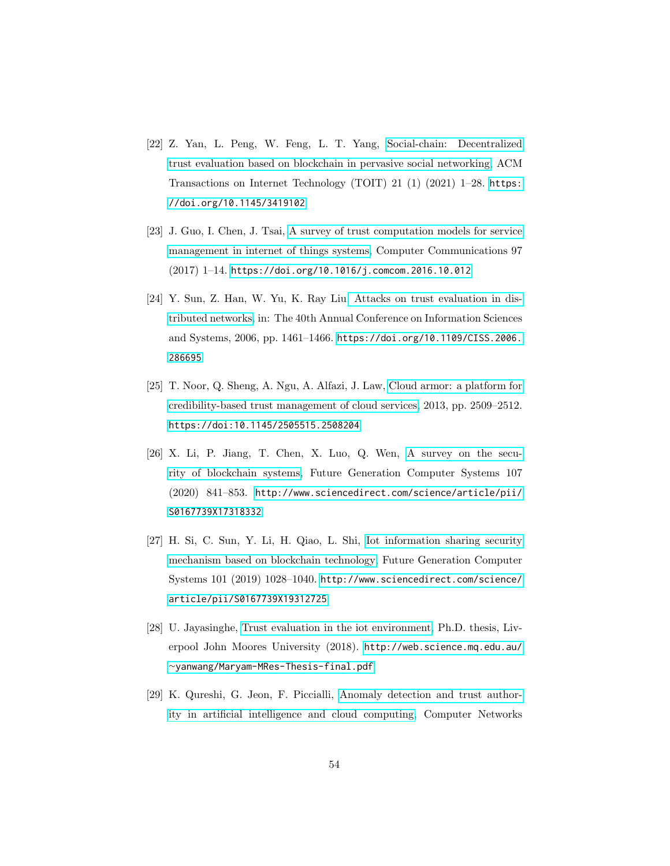- <span id="page-53-0"></span>[22] Z. Yan, L. Peng, W. Feng, L. T. Yang, [Social-chain: Decentralized](https://dl.acm.org/doi/abs/10.1145/3419102) [trust evaluation based on blockchain in pervasive social networking,](https://dl.acm.org/doi/abs/10.1145/3419102) ACM Transactions on Internet Technology (TOIT) 21 (1) (2021) 1–28. [https:](https://doi.org/10.1145/3419102) [//doi.org/10.1145/3419102](https://doi.org/10.1145/3419102)
- <span id="page-53-1"></span>[23] J. Guo, I. Chen, J. Tsai, [A survey of trust computation models for service](http://www.sciencedirect.com/science/article/pii/S0140366416304959) [management in internet of things systems,](http://www.sciencedirect.com/science/article/pii/S0140366416304959) Computer Communications 97 (2017) 1–14. <https://doi.org/10.1016/j.comcom.2016.10.012>
- <span id="page-53-2"></span>[24] Y. Sun, Z. Han, W. Yu, K. Ray Liu[, Attacks on trust evaluation in dis](https://ieeexplore.ieee.org/document/4068036)[tributed networks,](https://ieeexplore.ieee.org/document/4068036) in: The 40th Annual Conference on Information Sciences and Systems, 2006, pp. 1461–1466. [https://doi.org/10.1109/CISS.2006.](https://doi.org/10.1109/CISS.2006.286695) [286695](https://doi.org/10.1109/CISS.2006.286695)
- <span id="page-53-3"></span>[25] T. Noor, Q. Sheng, A. Ngu, A. Alfazi, J. Law, [Cloud armor: a platform for](http://dx.doi.org/10.1145/2505515.2508204) [credibility-based trust management of cloud services,](http://dx.doi.org/10.1145/2505515.2508204) 2013, pp. 2509–2512. <https://doi:10.1145/2505515.2508204>
- <span id="page-53-4"></span>[26] X. Li, P. Jiang, T. Chen, X. Luo, Q. Wen, [A survey on the secu](http://www.sciencedirect.com/science/article/pii/S0167739X17318332)[rity of blockchain systems,](http://www.sciencedirect.com/science/article/pii/S0167739X17318332) Future Generation Computer Systems 107 (2020) 841–853. [http://www.sciencedirect.com/science/article/pii/](http://www.sciencedirect.com/science/article/pii/S0167739X17318332) [S0167739X17318332](http://www.sciencedirect.com/science/article/pii/S0167739X17318332)
- <span id="page-53-5"></span>[27] H. Si, C. Sun, Y. Li, H. Qiao, L. Shi, [Iot information sharing security](http://www.sciencedirect.com/science/article/pii/S0167739X19312725) [mechanism based on blockchain technology,](http://www.sciencedirect.com/science/article/pii/S0167739X19312725) Future Generation Computer Systems 101 (2019) 1028–1040. [http://www.sciencedirect.com/science/](http://www.sciencedirect.com/science/article/pii/S0167739X19312725) [article/pii/S0167739X19312725](http://www.sciencedirect.com/science/article/pii/S0167739X19312725)
- <span id="page-53-6"></span>[28] U. Jayasinghe, [Trust evaluation in the iot environment,](http://web.science.mq.edu.au/~yanwang/Maryam-MRes-Thesis-final.pdf) Ph.D. thesis, Liverpool John Moores University (2018). [http://web.science.mq.edu.au/](http://web.science.mq.edu.au/~yanwang/Maryam-MRes-Thesis-final.pdf) <sup>∼</sup>[yanwang/Maryam-MRes-Thesis-final.pdf](http://web.science.mq.edu.au/~yanwang/Maryam-MRes-Thesis-final.pdf)
- <span id="page-53-7"></span>[29] K. Qureshi, G. Jeon, F. Piccialli, [Anomaly detection and trust author](https://www.sciencedirect.com/science/article/pii/S1389128620312664)[ity in artificial intelligence and cloud computing,](https://www.sciencedirect.com/science/article/pii/S1389128620312664) Computer Networks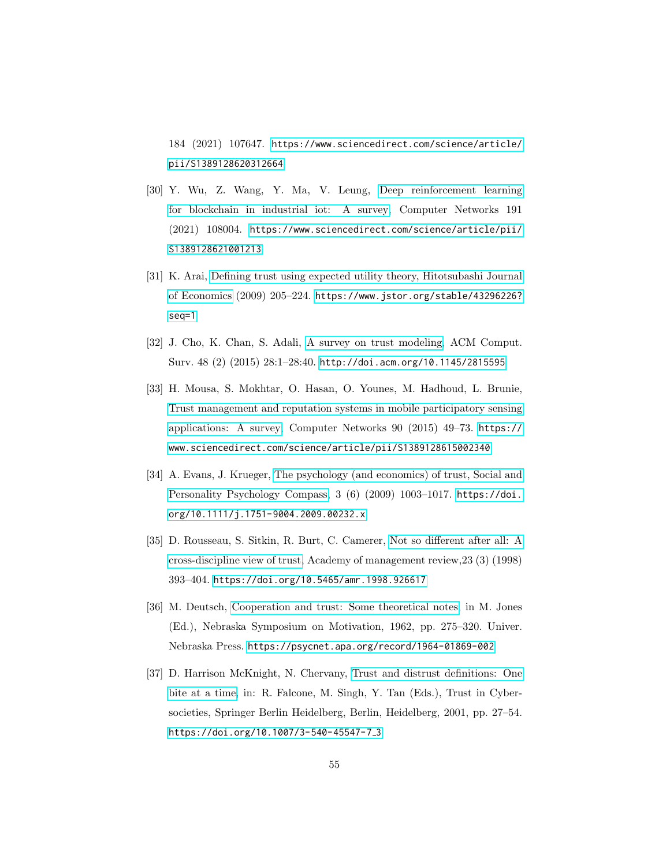184 (2021) 107647. [https://www.sciencedirect.com/science/article/](https://www.sciencedirect.com/science/article/pii/S1389128620312664) [pii/S1389128620312664](https://www.sciencedirect.com/science/article/pii/S1389128620312664)

- <span id="page-54-0"></span>[30] Y. Wu, Z. Wang, Y. Ma, V. Leung, [Deep reinforcement learning](https://www.sciencedirect.com/science/article/pii/S1389128621001213) [for blockchain in industrial iot: A survey,](https://www.sciencedirect.com/science/article/pii/S1389128621001213) Computer Networks 191 (2021) 108004. [https://www.sciencedirect.com/science/article/pii/](https://www.sciencedirect.com/science/article/pii/S1389128621001213) [S1389128621001213](https://www.sciencedirect.com/science/article/pii/S1389128621001213)
- <span id="page-54-1"></span>[31] K. Arai, [Defining trust using expected utility theory, Hitotsubashi Journal](https://www.jstor.org/stable/43296226?seq=1) [of Economics](https://www.jstor.org/stable/43296226?seq=1) (2009) 205–224. [https://www.jstor.org/stable/43296226?](https://www.jstor.org/stable/43296226?seq=1) [seq=1](https://www.jstor.org/stable/43296226?seq=1)
- <span id="page-54-2"></span>[32] J. Cho, K. Chan, S. Adali, [A survey on trust modeling,](http://doi.acm.org/10.1145/2815595) ACM Comput. Surv. 48 (2) (2015) 28:1–28:40. <http://doi.acm.org/10.1145/2815595>
- <span id="page-54-3"></span>[33] H. Mousa, S. Mokhtar, O. Hasan, O. Younes, M. Hadhoud, L. Brunie, [Trust management and reputation systems in mobile participatory sensing](https://www.sciencedirect.com/science/article/pii/S1389128615002340) [applications: A survey,](https://www.sciencedirect.com/science/article/pii/S1389128615002340) Computer Networks 90 (2015) 49–73. [https://](https://www.sciencedirect.com/science/article/pii/S1389128615002340) [www.sciencedirect.com/science/article/pii/S1389128615002340](https://www.sciencedirect.com/science/article/pii/S1389128615002340)
- <span id="page-54-4"></span>[34] A. Evans, J. Krueger, [The psychology \(and economics\) of trust, Social and](https://onlinelibrary.wiley.com/doi/abs/10.1111/j.1751-9004.2009.00232.x) [Personality Psychology Compass,](https://onlinelibrary.wiley.com/doi/abs/10.1111/j.1751-9004.2009.00232.x) 3 (6) (2009) 1003–1017. [https://doi.](https://doi.org/10.1111/j.1751-9004.2009.00232.x) [org/10.1111/j.1751-9004.2009.00232.x](https://doi.org/10.1111/j.1751-9004.2009.00232.x)
- <span id="page-54-5"></span>[35] D. Rousseau, S. Sitkin, R. Burt, C. Camerer, [Not so different after all: A](https://journals.aom.org/doi/10.5465/amr.1998.926617) [cross-discipline view of trust,](https://journals.aom.org/doi/10.5465/amr.1998.926617) Academy of management review,23 (3) (1998) 393–404. <https://doi.org/10.5465/amr.1998.926617>
- <span id="page-54-6"></span>[36] M. Deutsch, [Cooperation and trust: Some theoretical notes,](https://psycnet.apa.org/record/1964-01869-002) in M. Jones (Ed.), Nebraska Symposium on Motivation, 1962, pp. 275–320. Univer. Nebraska Press. <https://psycnet.apa.org/record/1964-01869-002>
- <span id="page-54-7"></span>[37] D. Harrison McKnight, N. Chervany, [Trust and distrust definitions: One](https://link.springer.com/chapter/10.1007/3-540-45547-7_3) [bite at a time,](https://link.springer.com/chapter/10.1007/3-540-45547-7_3) in: R. Falcone, M. Singh, Y. Tan (Eds.), Trust in Cybersocieties, Springer Berlin Heidelberg, Berlin, Heidelberg, 2001, pp. 27–54. [https://doi.org/10.1007/3-540-45547-7](https://doi.org/10.1007/3-540-45547-7_3) 3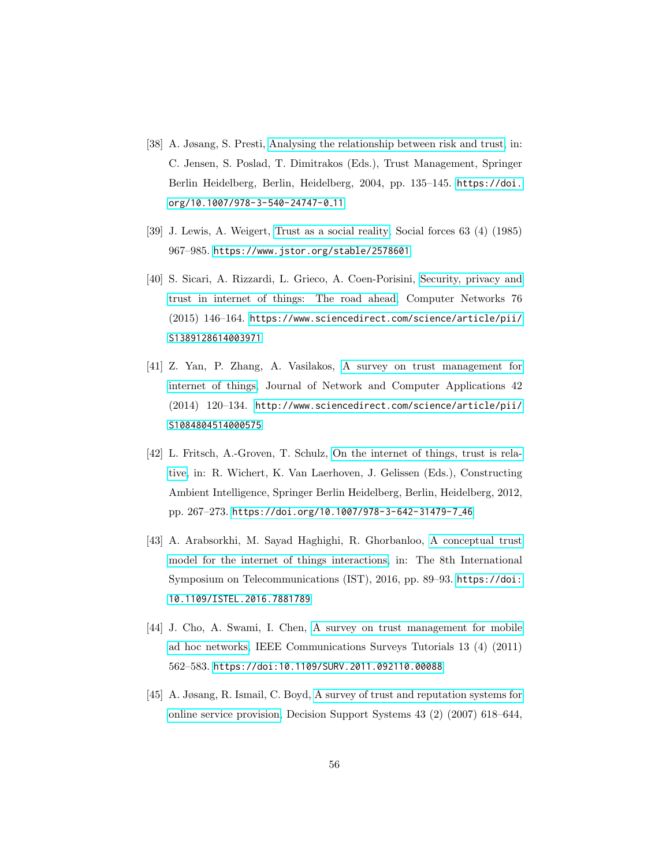- <span id="page-55-0"></span>[38] A. Jøsang, S. Presti, [Analysing the relationship between risk and trust,](https://link.springer.com/chapter/10.1007/978-3-540-24747-0_11) in: C. Jensen, S. Poslad, T. Dimitrakos (Eds.), Trust Management, Springer Berlin Heidelberg, Berlin, Heidelberg, 2004, pp. 135–145. [https://doi.](https://doi.org/10.1007/978-3-540-24747-0_11) [org/10.1007/978-3-540-24747-0](https://doi.org/10.1007/978-3-540-24747-0_11) 11
- <span id="page-55-1"></span>[39] J. Lewis, A. Weigert, [Trust as a social reality,](https://www.jstor.org/stable/2578601) Social forces 63 (4) (1985) 967–985. <https://www.jstor.org/stable/2578601>
- <span id="page-55-2"></span>[40] S. Sicari, A. Rizzardi, L. Grieco, A. Coen-Porisini, [Security, privacy and](https://www.sciencedirect.com/science/article/pii/S1389128614003971) [trust in internet of things: The road ahead,](https://www.sciencedirect.com/science/article/pii/S1389128614003971) Computer Networks 76 (2015) 146–164. [https://www.sciencedirect.com/science/article/pii/](https://www.sciencedirect.com/science/article/pii/S1389128614003971) [S1389128614003971](https://www.sciencedirect.com/science/article/pii/S1389128614003971)
- <span id="page-55-3"></span>[41] Z. Yan, P. Zhang, A. Vasilakos, [A survey on trust management for](http://www.sciencedirect.com/science/article/pii/S1084804514000575) [internet of things,](http://www.sciencedirect.com/science/article/pii/S1084804514000575) Journal of Network and Computer Applications 42 (2014) 120–134. [http://www.sciencedirect.com/science/article/pii/](http://www.sciencedirect.com/science/article/pii/S1084804514000575) [S1084804514000575](http://www.sciencedirect.com/science/article/pii/S1084804514000575)
- <span id="page-55-4"></span>[42] L. Fritsch, A.-Groven, T. Schulz, [On the internet of things, trust is rela](https://link.springer.com/chapter/10.1007/978-3-642-31479-7_46)[tive,](https://link.springer.com/chapter/10.1007/978-3-642-31479-7_46) in: R. Wichert, K. Van Laerhoven, J. Gelissen (Eds.), Constructing Ambient Intelligence, Springer Berlin Heidelberg, Berlin, Heidelberg, 2012, pp. 267–273. [https://doi.org/10.1007/978-3-642-31479-7](https://doi.org/10.1007/978-3-642-31479-7_46) 46
- <span id="page-55-5"></span>[43] A. Arabsorkhi, M. Sayad Haghighi, R. Ghorbanloo, [A conceptual trust](http://dx.doi.org/10.1109/ISTEL.2016.7881789) [model for the internet of things interactions,](http://dx.doi.org/10.1109/ISTEL.2016.7881789) in: The 8th International Symposium on Telecommunications (IST), 2016, pp. 89–93. [https://doi:](https://doi:10.1109/ISTEL.2016.7881789) [10.1109/ISTEL.2016.7881789](https://doi:10.1109/ISTEL.2016.7881789)
- <span id="page-55-6"></span>[44] J. Cho, A. Swami, I. Chen, [A survey on trust management for mobile](http://dx.doi.org/10.1109/SURV.2011.092110.00088) [ad hoc networks,](http://dx.doi.org/10.1109/SURV.2011.092110.00088) IEEE Communications Surveys Tutorials 13 (4) (2011) 562–583. <https://doi:10.1109/SURV.2011.092110.00088>
- <span id="page-55-7"></span>[45] A. Jøsang, R. Ismail, C. Boyd, [A survey of trust and reputation systems for](http://www.sciencedirect.com/science/article/pii/S0167923605000849) [online service provision,](http://www.sciencedirect.com/science/article/pii/S0167923605000849) Decision Support Systems 43 (2) (2007) 618–644,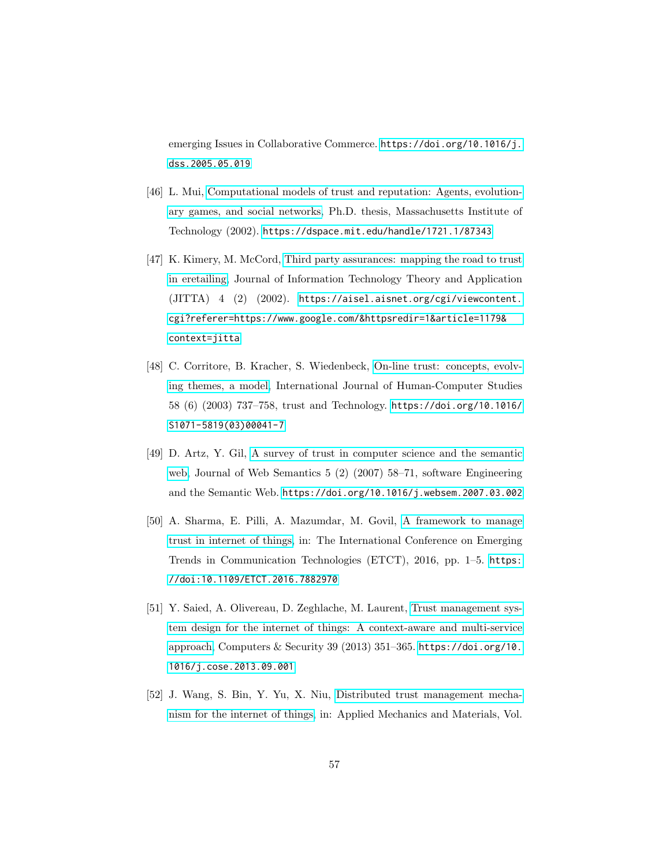emerging Issues in Collaborative Commerce. [https://doi.org/10.1016/j.](https://doi.org/10.1016/j.dss.2005.05.019) [dss.2005.05.019](https://doi.org/10.1016/j.dss.2005.05.019)

- <span id="page-56-0"></span>[46] L. Mui, [Computational models of trust and reputation: Agents, evolution](https://dspace.mit.edu/handle/1721.1/87343)[ary games, and social networks,](https://dspace.mit.edu/handle/1721.1/87343) Ph.D. thesis, Massachusetts Institute of Technology (2002). <https://dspace.mit.edu/handle/1721.1/87343>
- <span id="page-56-1"></span>[47] K. Kimery, M. McCord, [Third party assurances: mapping the road to trust](https://aisel.aisnet.org/cgi/viewcontent.cgi?referer=https://www.google.com/&httpsredir=1&article=1179&context=jitta) [in eretailing,](https://aisel.aisnet.org/cgi/viewcontent.cgi?referer=https://www.google.com/&httpsredir=1&article=1179&context=jitta) Journal of Information Technology Theory and Application (JITTA) 4 (2) (2002). [https://aisel.aisnet.org/cgi/viewcontent.](https://aisel.aisnet.org/cgi/viewcontent.cgi?referer=https://www.google.com/&httpsredir=1&article=1179&context=jitta) [cgi?referer=https://www.google.com/&httpsredir=1&article=1179&](https://aisel.aisnet.org/cgi/viewcontent.cgi?referer=https://www.google.com/&httpsredir=1&article=1179&context=jitta) [context=jitta](https://aisel.aisnet.org/cgi/viewcontent.cgi?referer=https://www.google.com/&httpsredir=1&article=1179&context=jitta)
- <span id="page-56-2"></span>[48] C. Corritore, B. Kracher, S. Wiedenbeck, [On-line trust: concepts, evolv](http://www.sciencedirect.com/science/article/pii/S1071581903000417)[ing themes, a model,](http://www.sciencedirect.com/science/article/pii/S1071581903000417) International Journal of Human-Computer Studies 58 (6) (2003) 737–758, trust and Technology. [https://doi.org/10.1016/](https://doi.org/10.1016/S1071-5819(03)00041-7) [S1071-5819\(03\)00041-7](https://doi.org/10.1016/S1071-5819(03)00041-7)
- <span id="page-56-3"></span>[49] D. Artz, Y. Gil, [A survey of trust in computer science and the semantic](http://www.sciencedirect.com/science/article/pii/S1570826807000133) [web,](http://www.sciencedirect.com/science/article/pii/S1570826807000133) Journal of Web Semantics 5 (2) (2007) 58–71, software Engineering and the Semantic Web. <https://doi.org/10.1016/j.websem.2007.03.002>
- <span id="page-56-4"></span>[50] A. Sharma, E. Pilli, A. Mazumdar, M. Govil, [A framework to manage](http://dx.doi.org/10.1109/ETCT.2016.7882970) [trust in internet of things,](http://dx.doi.org/10.1109/ETCT.2016.7882970) in: The International Conference on Emerging Trends in Communication Technologies (ETCT), 2016, pp. 1–5. [https:](https://doi:10.1109/ETCT.2016.7882970) [//doi:10.1109/ETCT.2016.7882970](https://doi:10.1109/ETCT.2016.7882970)
- <span id="page-56-5"></span>[51] Y. Saied, A. Olivereau, D. Zeghlache, M. Laurent, [Trust management sys](http://www.sciencedirect.com/science/article/pii/S0167404813001302)[tem design for the internet of things: A context-aware and multi-service](http://www.sciencedirect.com/science/article/pii/S0167404813001302) [approach,](http://www.sciencedirect.com/science/article/pii/S0167404813001302) Computers & Security 39 (2013) 351–365. [https://doi.org/10.](https://doi.org/10.1016/j.cose.2013.09.001) [1016/j.cose.2013.09.001](https://doi.org/10.1016/j.cose.2013.09.001)
- <span id="page-56-6"></span>[52] J. Wang, S. Bin, Y. Yu, X. Niu, [Distributed trust management mecha](https://www.scientific.net/AMM.347-350.2463)[nism for the internet of things,](https://www.scientific.net/AMM.347-350.2463) in: Applied Mechanics and Materials, Vol.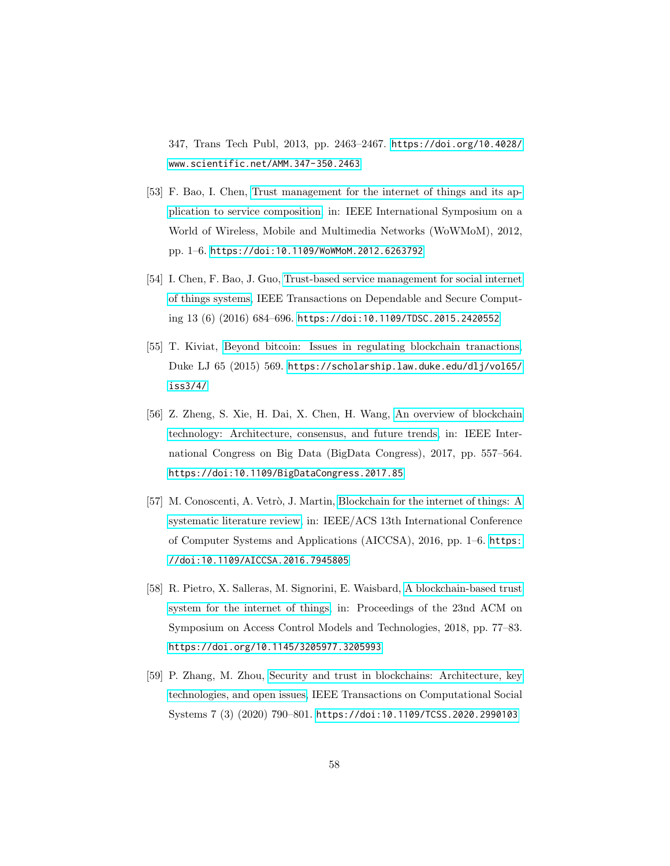347, Trans Tech Publ, 2013, pp. 2463–2467. [https://doi.org/10.4028/](https://doi.org/10.4028/www.scientific.net/AMM.347-350.2463) [www.scientific.net/AMM.347-350.2463](https://doi.org/10.4028/www.scientific.net/AMM.347-350.2463)

- <span id="page-57-0"></span>[53] F. Bao, I. Chen, [Trust management for the internet of things and its ap](http://dx.doi.org/10.1109/WoWMoM.2012.6263792)[plication to service composition,](http://dx.doi.org/10.1109/WoWMoM.2012.6263792) in: IEEE International Symposium on a World of Wireless, Mobile and Multimedia Networks (WoWMoM), 2012, pp. 1–6. <https://doi:10.1109/WoWMoM.2012.6263792>
- <span id="page-57-1"></span>[54] I. Chen, F. Bao, J. Guo, [Trust-based service management for social internet](http://dx.doi.org/10.1109/TDSC.2015.2420552) [of things systems,](http://dx.doi.org/10.1109/TDSC.2015.2420552) IEEE Transactions on Dependable and Secure Computing 13 (6) (2016) 684–696. <https://doi:10.1109/TDSC.2015.2420552>
- <span id="page-57-2"></span>[55] T. Kiviat, [Beyond bitcoin: Issues in regulating blockchain tranactions,](https://scholarship.law.duke.edu/dlj/vol65/iss3/4/) Duke LJ 65 (2015) 569. [https://scholarship.law.duke.edu/dlj/vol65/](https://scholarship.law.duke.edu/dlj/vol65/iss3/4/) [iss3/4/](https://scholarship.law.duke.edu/dlj/vol65/iss3/4/)
- <span id="page-57-3"></span>[56] Z. Zheng, S. Xie, H. Dai, X. Chen, H. Wang, [An overview of blockchain](http://dx.doi.org/10.1109/BigDataCongress.2017.85) [technology: Architecture, consensus, and future trends,](http://dx.doi.org/10.1109/BigDataCongress.2017.85) in: IEEE International Congress on Big Data (BigData Congress), 2017, pp. 557–564. <https://doi:10.1109/BigDataCongress.2017.85>
- <span id="page-57-4"></span>[57] M. Conoscenti, A. Vetrò, J. Martin, [Blockchain for the internet of things: A](http://dx.doi.org/10.1109/AICCSA.2016.7945805) [systematic literature review,](http://dx.doi.org/10.1109/AICCSA.2016.7945805) in: IEEE/ACS 13th International Conference of Computer Systems and Applications (AICCSA), 2016, pp. 1–6. [https:](https://doi:10.1109/AICCSA.2016.7945805) [//doi:10.1109/AICCSA.2016.7945805](https://doi:10.1109/AICCSA.2016.7945805)
- <span id="page-57-5"></span>[58] R. Pietro, X. Salleras, M. Signorini, E. Waisbard, [A blockchain-based trust](https://dl.acm.org/doi/abs/10.1145/3205977.3205993) [system for the internet of things,](https://dl.acm.org/doi/abs/10.1145/3205977.3205993) in: Proceedings of the 23nd ACM on Symposium on Access Control Models and Technologies, 2018, pp. 77–83. <https://doi.org/10.1145/3205977.3205993>
- <span id="page-57-6"></span>[59] P. Zhang, M. Zhou, [Security and trust in blockchains: Architecture, key](http://dx.doi.org/10.1109/TCSS.2020.2990103) [technologies, and open issues,](http://dx.doi.org/10.1109/TCSS.2020.2990103) IEEE Transactions on Computational Social Systems 7 (3) (2020) 790–801. <https://doi:10.1109/TCSS.2020.2990103>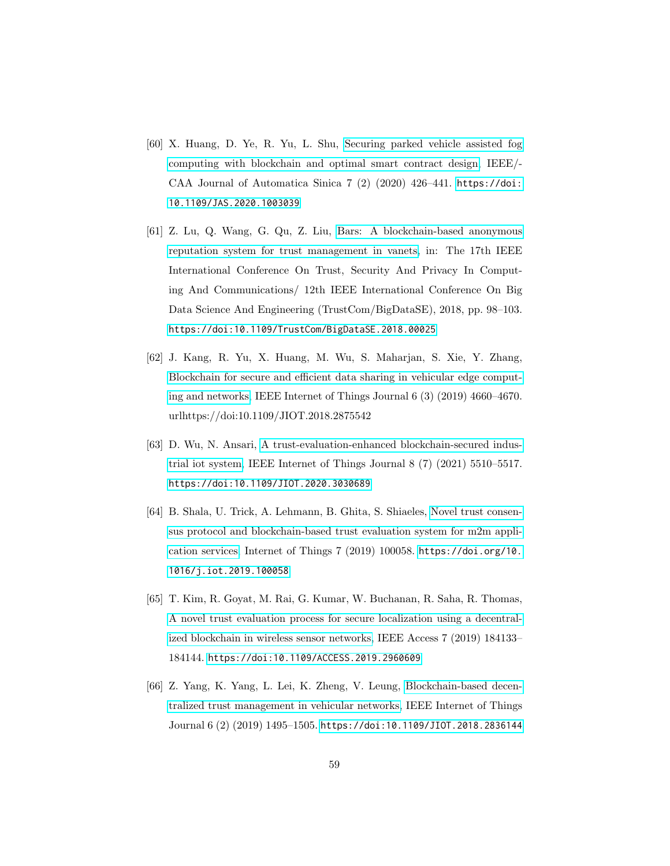- <span id="page-58-0"></span>[60] X. Huang, D. Ye, R. Yu, L. Shu, [Securing parked vehicle assisted fog](http://dx.doi.org/10.1109/JAS.2020.1003039) [computing with blockchain and optimal smart contract design,](http://dx.doi.org/10.1109/JAS.2020.1003039) IEEE/- CAA Journal of Automatica Sinica 7 (2) (2020) 426–441. [https://doi:](https://doi:10.1109/JAS.2020.1003039) [10.1109/JAS.2020.1003039](https://doi:10.1109/JAS.2020.1003039)
- <span id="page-58-1"></span>[61] Z. Lu, Q. Wang, G. Qu, Z. Liu, [Bars: A blockchain-based anonymous](https://ieeexplore.ieee.org/document/8455893) [reputation system for trust management in vanets,](https://ieeexplore.ieee.org/document/8455893) in: The 17th IEEE International Conference On Trust, Security And Privacy In Computing And Communications/ 12th IEEE International Conference On Big Data Science And Engineering (TrustCom/BigDataSE), 2018, pp. 98–103. <https://doi:10.1109/TrustCom/BigDataSE.2018.00025>
- <span id="page-58-2"></span>[62] J. Kang, R. Yu, X. Huang, M. Wu, S. Maharjan, S. Xie, Y. Zhang, [Blockchain for secure and efficient data sharing in vehicular edge comput](http://dx.doi.org/10.1109/JIOT.2018.2875542)[ing and networks,](http://dx.doi.org/10.1109/JIOT.2018.2875542) IEEE Internet of Things Journal 6 (3) (2019) 4660–4670. urlhttps://doi:10.1109/JIOT.2018.2875542
- <span id="page-58-3"></span>[63] D. Wu, N. Ansari, [A trust-evaluation-enhanced blockchain-secured indus](http://dx.doi.org/10.1109/JIOT.2020.3030689)[trial iot system,](http://dx.doi.org/10.1109/JIOT.2020.3030689) IEEE Internet of Things Journal 8 (7) (2021) 5510–5517. <https://doi:10.1109/JIOT.2020.3030689>
- <span id="page-58-4"></span>[64] B. Shala, U. Trick, A. Lehmann, B. Ghita, S. Shiaeles, [Novel trust consen](https://www.sciencedirect.com/science/article/pii/S2542660519301234)[sus protocol and blockchain-based trust evaluation system for m2m appli](https://www.sciencedirect.com/science/article/pii/S2542660519301234)[cation services,](https://www.sciencedirect.com/science/article/pii/S2542660519301234) Internet of Things 7 (2019) 100058. [https://doi.org/10.](https://doi.org/10.1016/j.iot.2019.100058) [1016/j.iot.2019.100058](https://doi.org/10.1016/j.iot.2019.100058)
- <span id="page-58-5"></span>[65] T. Kim, R. Goyat, M. Rai, G. Kumar, W. Buchanan, R. Saha, R. Thomas, [A novel trust evaluation process for secure localization using a decentral](http://dx.doi.org/10.1109/ACCESS.2019.2960609)[ized blockchain in wireless sensor networks,](http://dx.doi.org/10.1109/ACCESS.2019.2960609) IEEE Access 7 (2019) 184133– 184144. <https://doi:10.1109/ACCESS.2019.2960609>
- <span id="page-58-6"></span>[66] Z. Yang, K. Yang, L. Lei, K. Zheng, V. Leung, [Blockchain-based decen](http://dx.doi.org/10.1109/JIOT.2018.2836144)[tralized trust management in vehicular networks,](http://dx.doi.org/10.1109/JIOT.2018.2836144) IEEE Internet of Things Journal 6 (2) (2019) 1495–1505. <https://doi:10.1109/JIOT.2018.2836144>